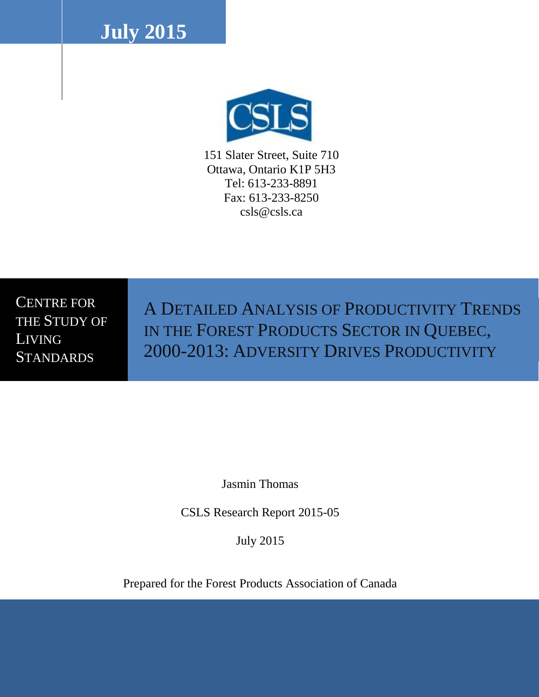**July 2015**



151 Slater Street, Suite 710 Ottawa, Ontario K1P 5H3 Tel: 613-233-8891 Fax: 613-233-8250 csls@csls.ca

CENTRE FOR THE STUDY OF LIVING **STANDARDS** 

A DETAILED ANALYSIS OF PRODUCTIVITY TRENDS IN THE FOREST PRODUCTS SECTOR IN QUEBEC, 2000-2013: ADVERSITY DRIVES PRODUCTIVITY

Jasmin Thomas

CSLS Research Report 2015-05

July 2015

Prepared for the Forest Products Association of Canada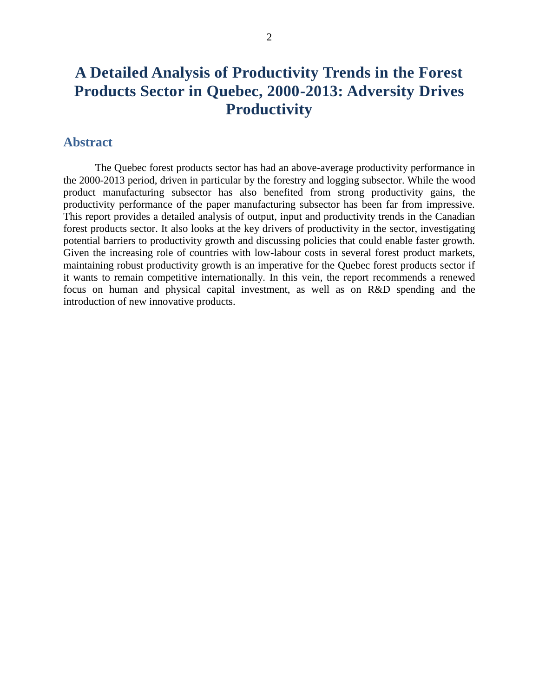# **A Detailed Analysis of Productivity Trends in the Forest Products Sector in Quebec, 2000-2013: Adversity Drives Productivity**

## <span id="page-1-0"></span>**Abstract**

The Quebec forest products sector has had an above-average productivity performance in the 2000-2013 period, driven in particular by the forestry and logging subsector. While the wood product manufacturing subsector has also benefited from strong productivity gains, the productivity performance of the paper manufacturing subsector has been far from impressive. This report provides a detailed analysis of output, input and productivity trends in the Canadian forest products sector. It also looks at the key drivers of productivity in the sector, investigating potential barriers to productivity growth and discussing policies that could enable faster growth. Given the increasing role of countries with low-labour costs in several forest product markets, maintaining robust productivity growth is an imperative for the Quebec forest products sector if it wants to remain competitive internationally. In this vein, the report recommends a renewed focus on human and physical capital investment, as well as on R&D spending and the introduction of new innovative products.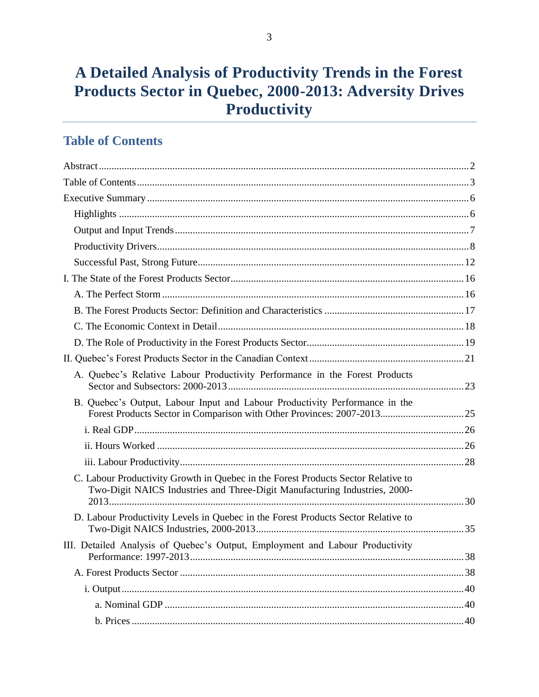# A Detailed Analysis of Productivity Trends in the Forest Products Sector in Quebec, 2000-2013: Adversity Drives Productivity

## <span id="page-2-0"></span>**Table of Contents**

| A. Quebec's Relative Labour Productivity Performance in the Forest Products                                                                                     |    |
|-----------------------------------------------------------------------------------------------------------------------------------------------------------------|----|
| B. Quebec's Output, Labour Input and Labour Productivity Performance in the                                                                                     |    |
|                                                                                                                                                                 |    |
|                                                                                                                                                                 |    |
|                                                                                                                                                                 |    |
| C. Labour Productivity Growth in Quebec in the Forest Products Sector Relative to<br>Two-Digit NAICS Industries and Three-Digit Manufacturing Industries, 2000- |    |
| D. Labour Productivity Levels in Quebec in the Forest Products Sector Relative to                                                                               |    |
| III. Detailed Analysis of Quebec's Output, Employment and Labour Productivity                                                                                   |    |
|                                                                                                                                                                 |    |
|                                                                                                                                                                 |    |
|                                                                                                                                                                 |    |
|                                                                                                                                                                 | 40 |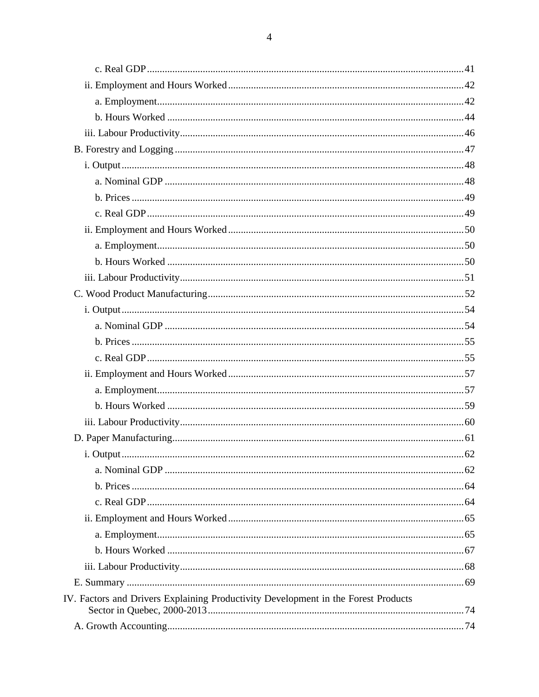| IV. Factors and Drivers Explaining Productivity Development in the Forest Products |  |
|------------------------------------------------------------------------------------|--|
|                                                                                    |  |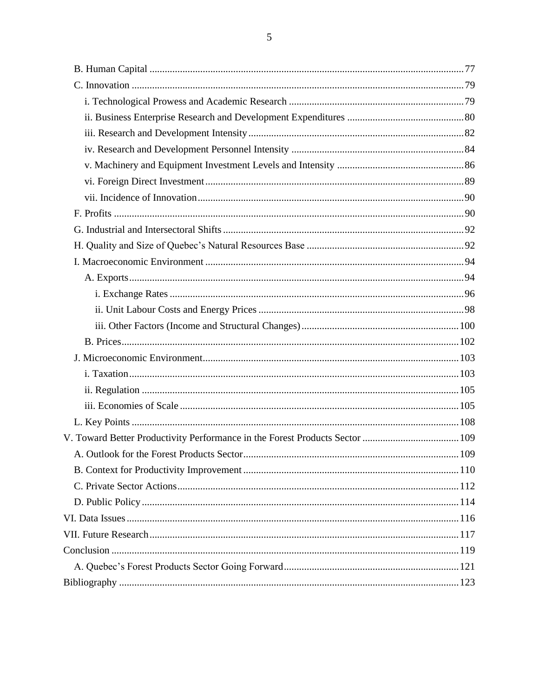| A. Outlook for the Forest Products Sector. | 109 |
|--------------------------------------------|-----|
|                                            |     |
|                                            |     |
|                                            |     |
|                                            |     |
|                                            |     |
|                                            |     |
|                                            |     |
|                                            |     |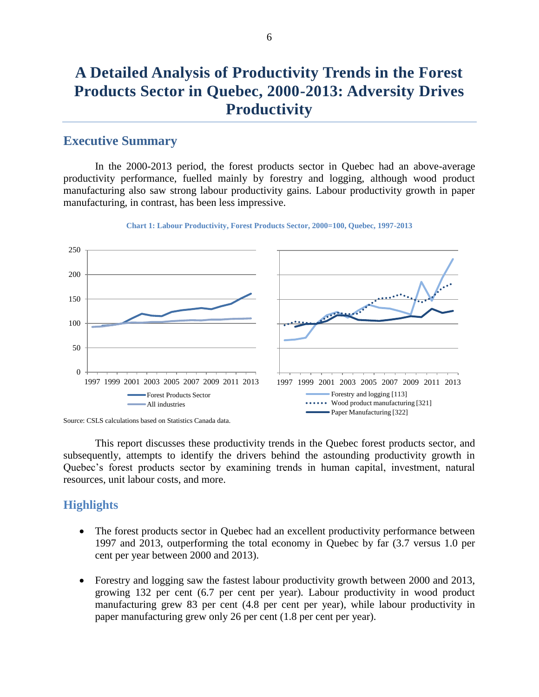# **A Detailed Analysis of Productivity Trends in the Forest Products Sector in Quebec, 2000-2013: Adversity Drives Productivity**

### <span id="page-5-0"></span>**Executive Summary**

In the 2000-2013 period, the forest products sector in Quebec had an above-average productivity performance, fuelled mainly by forestry and logging, although wood product manufacturing also saw strong labour productivity gains. Labour productivity growth in paper manufacturing, in contrast, has been less impressive.



#### **Chart 1: Labour Productivity, Forest Products Sector, 2000=100, Quebec, 1997-2013**

This report discusses these productivity trends in the Quebec forest products sector, and subsequently, attempts to identify the drivers behind the astounding productivity growth in Quebec's forest products sector by examining trends in human capital, investment, natural resources, unit labour costs, and more.

### <span id="page-5-1"></span>**Highlights**

- The forest products sector in Quebec had an excellent productivity performance between 1997 and 2013, outperforming the total economy in Quebec by far (3.7 versus 1.0 per cent per year between 2000 and 2013).
- Forestry and logging saw the fastest labour productivity growth between 2000 and 2013, growing 132 per cent (6.7 per cent per year). Labour productivity in wood product manufacturing grew 83 per cent (4.8 per cent per year), while labour productivity in paper manufacturing grew only 26 per cent (1.8 per cent per year).

Source: CSLS calculations based on Statistics Canada data.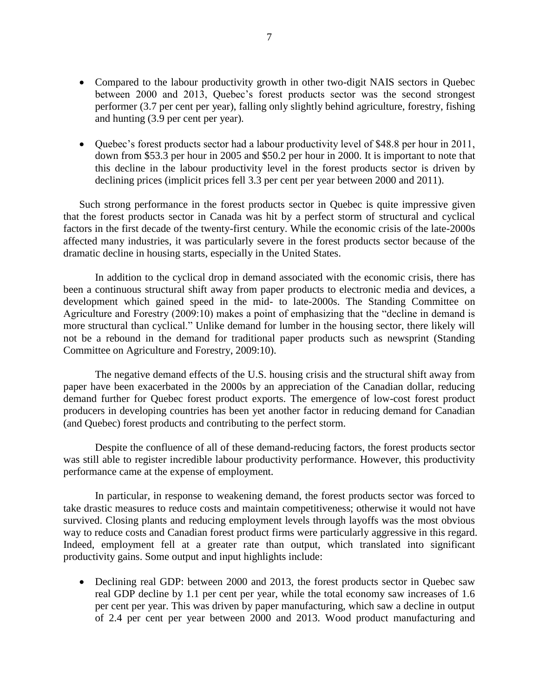- Compared to the labour productivity growth in other two-digit NAIS sectors in Quebec between 2000 and 2013, Quebec's forest products sector was the second strongest performer (3.7 per cent per year), falling only slightly behind agriculture, forestry, fishing and hunting (3.9 per cent per year).
- Quebec's forest products sector had a labour productivity level of \$48.8 per hour in 2011, down from \$53.3 per hour in 2005 and \$50.2 per hour in 2000. It is important to note that this decline in the labour productivity level in the forest products sector is driven by declining prices (implicit prices fell 3.3 per cent per year between 2000 and 2011).

Such strong performance in the forest products sector in Quebec is quite impressive given that the forest products sector in Canada was hit by a perfect storm of structural and cyclical factors in the first decade of the twenty-first century. While the economic crisis of the late-2000s affected many industries, it was particularly severe in the forest products sector because of the dramatic decline in housing starts, especially in the United States.

In addition to the cyclical drop in demand associated with the economic crisis, there has been a continuous structural shift away from paper products to electronic media and devices, a development which gained speed in the mid- to late-2000s. The Standing Committee on Agriculture and Forestry (2009:10) makes a point of emphasizing that the "decline in demand is more structural than cyclical." Unlike demand for lumber in the housing sector, there likely will not be a rebound in the demand for traditional paper products such as newsprint (Standing Committee on Agriculture and Forestry, 2009:10).

The negative demand effects of the U.S. housing crisis and the structural shift away from paper have been exacerbated in the 2000s by an appreciation of the Canadian dollar, reducing demand further for Quebec forest product exports. The emergence of low-cost forest product producers in developing countries has been yet another factor in reducing demand for Canadian (and Quebec) forest products and contributing to the perfect storm.

<span id="page-6-0"></span>Despite the confluence of all of these demand-reducing factors, the forest products sector was still able to register incredible labour productivity performance. However, this productivity performance came at the expense of employment.

In particular, in response to weakening demand, the forest products sector was forced to take drastic measures to reduce costs and maintain competitiveness; otherwise it would not have survived. Closing plants and reducing employment levels through layoffs was the most obvious way to reduce costs and Canadian forest product firms were particularly aggressive in this regard. Indeed, employment fell at a greater rate than output, which translated into significant productivity gains. Some output and input highlights include:

• Declining real GDP: between 2000 and 2013, the forest products sector in Quebec saw real GDP decline by 1.1 per cent per year, while the total economy saw increases of 1.6 per cent per year. This was driven by paper manufacturing, which saw a decline in output of 2.4 per cent per year between 2000 and 2013. Wood product manufacturing and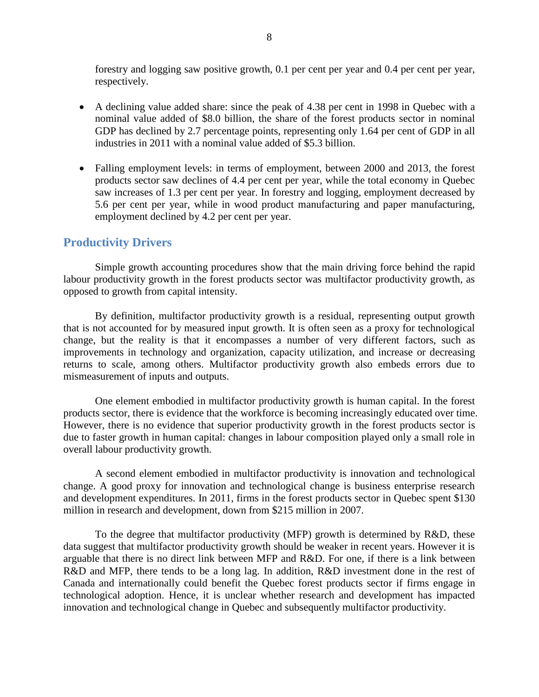forestry and logging saw positive growth, 0.1 per cent per year and 0.4 per cent per year, respectively.

- A declining value added share: since the peak of 4.38 per cent in 1998 in Quebec with a nominal value added of \$8.0 billion, the share of the forest products sector in nominal GDP has declined by 2.7 percentage points, representing only 1.64 per cent of GDP in all industries in 2011 with a nominal value added of \$5.3 billion.
- Falling employment levels: in terms of employment, between 2000 and 2013, the forest products sector saw declines of 4.4 per cent per year, while the total economy in Quebec saw increases of 1.3 per cent per year. In forestry and logging, employment decreased by 5.6 per cent per year, while in wood product manufacturing and paper manufacturing, employment declined by 4.2 per cent per year.

### <span id="page-7-0"></span>**Productivity Drivers**

Simple growth accounting procedures show that the main driving force behind the rapid labour productivity growth in the forest products sector was multifactor productivity growth, as opposed to growth from capital intensity.

By definition, multifactor productivity growth is a residual, representing output growth that is not accounted for by measured input growth. It is often seen as a proxy for technological change, but the reality is that it encompasses a number of very different factors, such as improvements in technology and organization, capacity utilization, and increase or decreasing returns to scale, among others. Multifactor productivity growth also embeds errors due to mismeasurement of inputs and outputs.

One element embodied in multifactor productivity growth is human capital. In the forest products sector, there is evidence that the workforce is becoming increasingly educated over time. However, there is no evidence that superior productivity growth in the forest products sector is due to faster growth in human capital: changes in labour composition played only a small role in overall labour productivity growth.

A second element embodied in multifactor productivity is innovation and technological change. A good proxy for innovation and technological change is business enterprise research and development expenditures. In 2011, firms in the forest products sector in Quebec spent \$130 million in research and development, down from \$215 million in 2007.

To the degree that multifactor productivity (MFP) growth is determined by R&D, these data suggest that multifactor productivity growth should be weaker in recent years. However it is arguable that there is no direct link between MFP and R&D. For one, if there is a link between R&D and MFP, there tends to be a long lag. In addition, R&D investment done in the rest of Canada and internationally could benefit the Quebec forest products sector if firms engage in technological adoption. Hence, it is unclear whether research and development has impacted innovation and technological change in Quebec and subsequently multifactor productivity.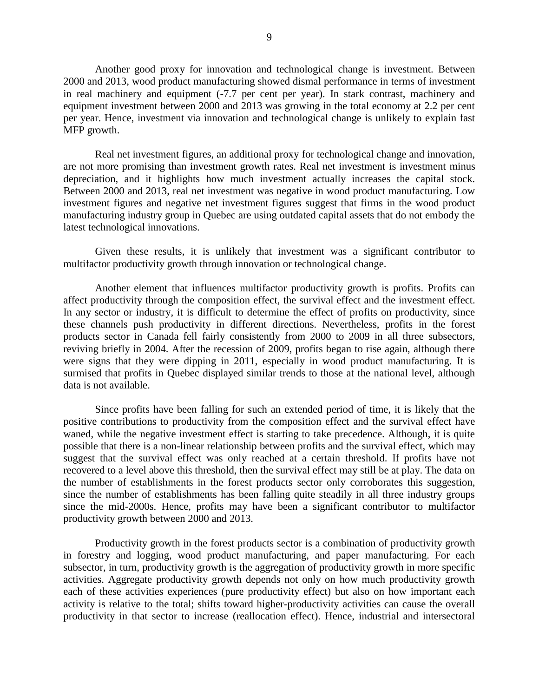Another good proxy for innovation and technological change is investment. Between 2000 and 2013, wood product manufacturing showed dismal performance in terms of investment in real machinery and equipment (-7.7 per cent per year). In stark contrast, machinery and equipment investment between 2000 and 2013 was growing in the total economy at 2.2 per cent per year. Hence, investment via innovation and technological change is unlikely to explain fast MFP growth.

Real net investment figures, an additional proxy for technological change and innovation, are not more promising than investment growth rates. Real net investment is investment minus depreciation, and it highlights how much investment actually increases the capital stock. Between 2000 and 2013, real net investment was negative in wood product manufacturing. Low investment figures and negative net investment figures suggest that firms in the wood product manufacturing industry group in Quebec are using outdated capital assets that do not embody the latest technological innovations.

Given these results, it is unlikely that investment was a significant contributor to multifactor productivity growth through innovation or technological change.

Another element that influences multifactor productivity growth is profits. Profits can affect productivity through the composition effect, the survival effect and the investment effect. In any sector or industry, it is difficult to determine the effect of profits on productivity, since these channels push productivity in different directions. Nevertheless, profits in the forest products sector in Canada fell fairly consistently from 2000 to 2009 in all three subsectors, reviving briefly in 2004. After the recession of 2009, profits began to rise again, although there were signs that they were dipping in 2011, especially in wood product manufacturing. It is surmised that profits in Quebec displayed similar trends to those at the national level, although data is not available.

Since profits have been falling for such an extended period of time, it is likely that the positive contributions to productivity from the composition effect and the survival effect have waned, while the negative investment effect is starting to take precedence. Although, it is quite possible that there is a non-linear relationship between profits and the survival effect, which may suggest that the survival effect was only reached at a certain threshold. If profits have not recovered to a level above this threshold, then the survival effect may still be at play. The data on the number of establishments in the forest products sector only corroborates this suggestion, since the number of establishments has been falling quite steadily in all three industry groups since the mid-2000s. Hence, profits may have been a significant contributor to multifactor productivity growth between 2000 and 2013.

Productivity growth in the forest products sector is a combination of productivity growth in forestry and logging, wood product manufacturing, and paper manufacturing. For each subsector, in turn, productivity growth is the aggregation of productivity growth in more specific activities. Aggregate productivity growth depends not only on how much productivity growth each of these activities experiences (pure productivity effect) but also on how important each activity is relative to the total; shifts toward higher-productivity activities can cause the overall productivity in that sector to increase (reallocation effect). Hence, industrial and intersectoral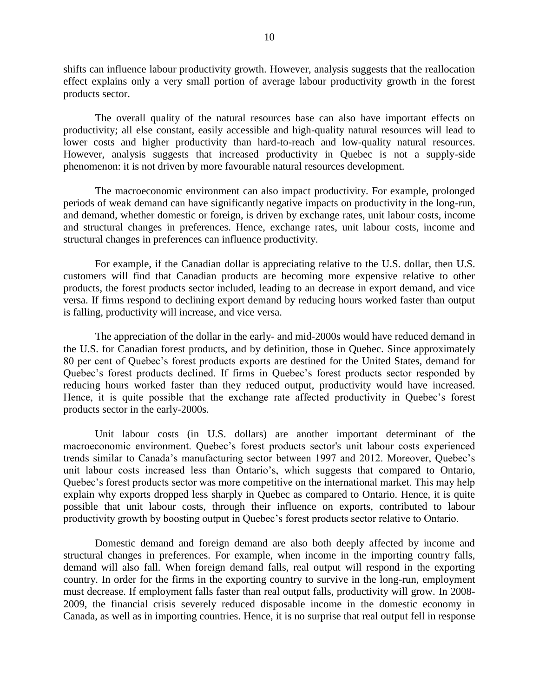shifts can influence labour productivity growth. However, analysis suggests that the reallocation effect explains only a very small portion of average labour productivity growth in the forest products sector.

The overall quality of the natural resources base can also have important effects on productivity; all else constant, easily accessible and high-quality natural resources will lead to lower costs and higher productivity than hard-to-reach and low-quality natural resources. However, analysis suggests that increased productivity in Quebec is not a supply-side phenomenon: it is not driven by more favourable natural resources development.

The macroeconomic environment can also impact productivity. For example, prolonged periods of weak demand can have significantly negative impacts on productivity in the long-run, and demand, whether domestic or foreign, is driven by exchange rates, unit labour costs, income and structural changes in preferences. Hence, exchange rates, unit labour costs, income and structural changes in preferences can influence productivity.

For example, if the Canadian dollar is appreciating relative to the U.S. dollar, then U.S. customers will find that Canadian products are becoming more expensive relative to other products, the forest products sector included, leading to an decrease in export demand, and vice versa. If firms respond to declining export demand by reducing hours worked faster than output is falling, productivity will increase, and vice versa.

The appreciation of the dollar in the early- and mid-2000s would have reduced demand in the U.S. for Canadian forest products, and by definition, those in Quebec. Since approximately 80 per cent of Quebec's forest products exports are destined for the United States, demand for Quebec's forest products declined. If firms in Quebec's forest products sector responded by reducing hours worked faster than they reduced output, productivity would have increased. Hence, it is quite possible that the exchange rate affected productivity in Quebec's forest products sector in the early-2000s.

Unit labour costs (in U.S. dollars) are another important determinant of the macroeconomic environment. Quebec's forest products sector's unit labour costs experienced trends similar to Canada's manufacturing sector between 1997 and 2012. Moreover, Quebec's unit labour costs increased less than Ontario's, which suggests that compared to Ontario, Quebec's forest products sector was more competitive on the international market. This may help explain why exports dropped less sharply in Quebec as compared to Ontario. Hence, it is quite possible that unit labour costs, through their influence on exports, contributed to labour productivity growth by boosting output in Quebec's forest products sector relative to Ontario.

Domestic demand and foreign demand are also both deeply affected by income and structural changes in preferences. For example, when income in the importing country falls, demand will also fall. When foreign demand falls, real output will respond in the exporting country. In order for the firms in the exporting country to survive in the long-run, employment must decrease. If employment falls faster than real output falls, productivity will grow. In 2008- 2009, the financial crisis severely reduced disposable income in the domestic economy in Canada, as well as in importing countries. Hence, it is no surprise that real output fell in response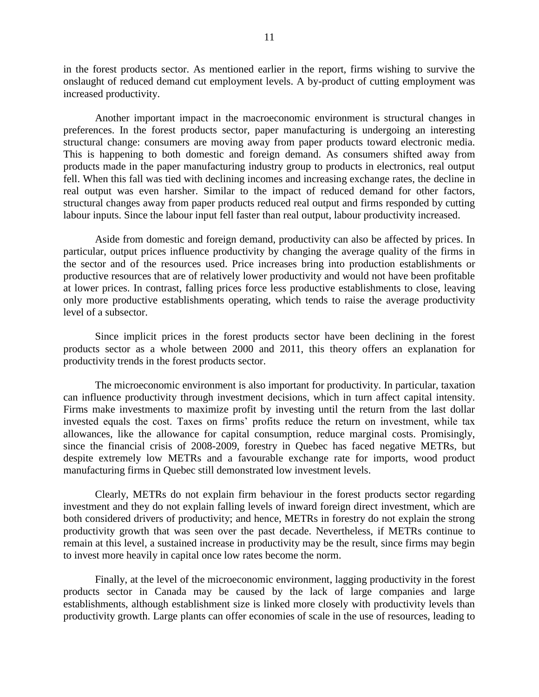in the forest products sector. As mentioned earlier in the report, firms wishing to survive the onslaught of reduced demand cut employment levels. A by-product of cutting employment was increased productivity.

Another important impact in the macroeconomic environment is structural changes in preferences. In the forest products sector, paper manufacturing is undergoing an interesting structural change: consumers are moving away from paper products toward electronic media. This is happening to both domestic and foreign demand. As consumers shifted away from products made in the paper manufacturing industry group to products in electronics, real output fell. When this fall was tied with declining incomes and increasing exchange rates, the decline in real output was even harsher. Similar to the impact of reduced demand for other factors, structural changes away from paper products reduced real output and firms responded by cutting labour inputs. Since the labour input fell faster than real output, labour productivity increased.

Aside from domestic and foreign demand, productivity can also be affected by prices. In particular, output prices influence productivity by changing the average quality of the firms in the sector and of the resources used. Price increases bring into production establishments or productive resources that are of relatively lower productivity and would not have been profitable at lower prices. In contrast, falling prices force less productive establishments to close, leaving only more productive establishments operating, which tends to raise the average productivity level of a subsector.

Since implicit prices in the forest products sector have been declining in the forest products sector as a whole between 2000 and 2011, this theory offers an explanation for productivity trends in the forest products sector.

The microeconomic environment is also important for productivity. In particular, taxation can influence productivity through investment decisions, which in turn affect capital intensity. Firms make investments to maximize profit by investing until the return from the last dollar invested equals the cost. Taxes on firms' profits reduce the return on investment, while tax allowances, like the allowance for capital consumption, reduce marginal costs. Promisingly, since the financial crisis of 2008-2009, forestry in Quebec has faced negative METRs, but despite extremely low METRs and a favourable exchange rate for imports, wood product manufacturing firms in Quebec still demonstrated low investment levels.

Clearly, METRs do not explain firm behaviour in the forest products sector regarding investment and they do not explain falling levels of inward foreign direct investment, which are both considered drivers of productivity; and hence, METRs in forestry do not explain the strong productivity growth that was seen over the past decade. Nevertheless, if METRs continue to remain at this level, a sustained increase in productivity may be the result, since firms may begin to invest more heavily in capital once low rates become the norm.

Finally, at the level of the microeconomic environment, lagging productivity in the forest products sector in Canada may be caused by the lack of large companies and large establishments, although establishment size is linked more closely with productivity levels than productivity growth. Large plants can offer economies of scale in the use of resources, leading to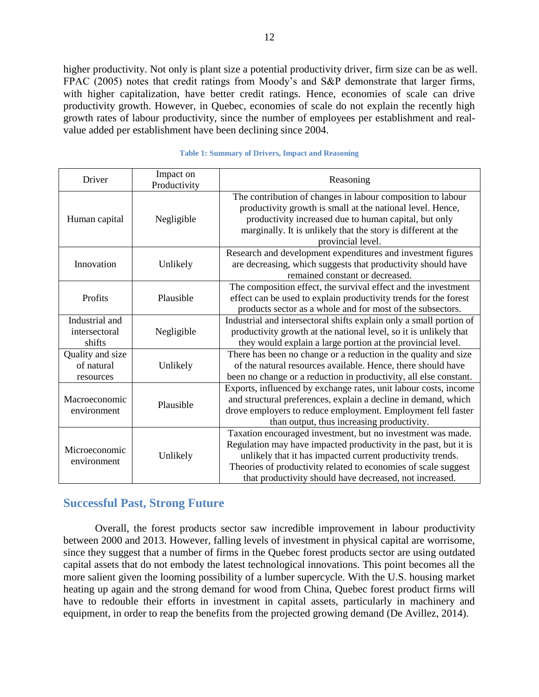higher productivity. Not only is plant size a potential productivity driver, firm size can be as well. FPAC (2005) notes that credit ratings from Moody's and S&P demonstrate that larger firms, with higher capitalization, have better credit ratings. Hence, economies of scale can drive productivity growth. However, in Quebec, economies of scale do not explain the recently high growth rates of labour productivity, since the number of employees per establishment and realvalue added per establishment have been declining since 2004.

| Driver                                      | Impact on<br>Productivity | Reasoning                                                                                                                                                                                                                                                                                                                  |
|---------------------------------------------|---------------------------|----------------------------------------------------------------------------------------------------------------------------------------------------------------------------------------------------------------------------------------------------------------------------------------------------------------------------|
| Human capital                               | Negligible                | The contribution of changes in labour composition to labour<br>productivity growth is small at the national level. Hence,<br>productivity increased due to human capital, but only<br>marginally. It is unlikely that the story is different at the<br>provincial level.                                                   |
| Innovation                                  | Unlikely                  | Research and development expenditures and investment figures<br>are decreasing, which suggests that productivity should have<br>remained constant or decreased.                                                                                                                                                            |
| Profits                                     | Plausible                 | The composition effect, the survival effect and the investment<br>effect can be used to explain productivity trends for the forest<br>products sector as a whole and for most of the subsectors.                                                                                                                           |
| Industrial and<br>intersectoral<br>shifts   | Negligible                | Industrial and intersectoral shifts explain only a small portion of<br>productivity growth at the national level, so it is unlikely that<br>they would explain a large portion at the provincial level.                                                                                                                    |
| Quality and size<br>of natural<br>resources | Unlikely                  | There has been no change or a reduction in the quality and size<br>of the natural resources available. Hence, there should have<br>been no change or a reduction in productivity, all else constant.                                                                                                                       |
| Macroeconomic<br>environment                | Plausible                 | Exports, influenced by exchange rates, unit labour costs, income<br>and structural preferences, explain a decline in demand, which<br>drove employers to reduce employment. Employment fell faster<br>than output, thus increasing productivity.                                                                           |
| Microeconomic<br>environment                | Unlikely                  | Taxation encouraged investment, but no investment was made.<br>Regulation may have impacted productivity in the past, but it is<br>unlikely that it has impacted current productivity trends.<br>Theories of productivity related to economies of scale suggest<br>that productivity should have decreased, not increased. |

#### **Table 1: Summary of Drivers, Impact and Reasoning**

#### <span id="page-11-0"></span>**Successful Past, Strong Future**

Overall, the forest products sector saw incredible improvement in labour productivity between 2000 and 2013. However, falling levels of investment in physical capital are worrisome, since they suggest that a number of firms in the Quebec forest products sector are using outdated capital assets that do not embody the latest technological innovations. This point becomes all the more salient given the looming possibility of a lumber supercycle. With the U.S. housing market heating up again and the strong demand for wood from China, Quebec forest product firms will have to redouble their efforts in investment in capital assets, particularly in machinery and equipment, in order to reap the benefits from the projected growing demand (De Avillez, 2014).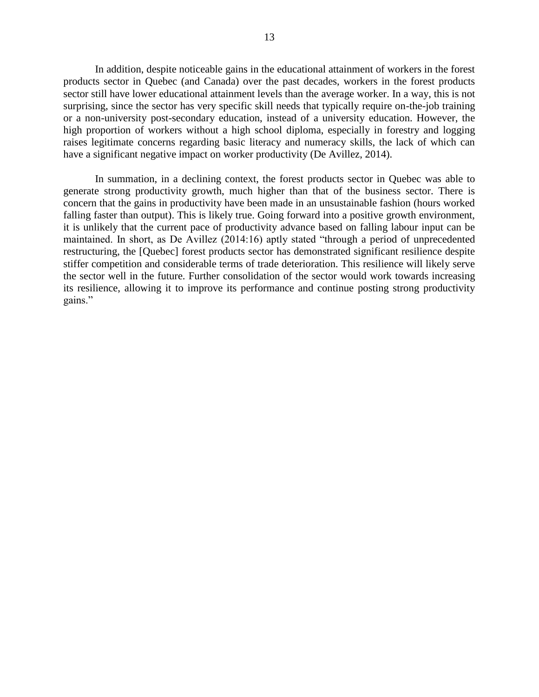In addition, despite noticeable gains in the educational attainment of workers in the forest products sector in Quebec (and Canada) over the past decades, workers in the forest products sector still have lower educational attainment levels than the average worker. In a way, this is not surprising, since the sector has very specific skill needs that typically require on-the-job training or a non-university post-secondary education, instead of a university education. However, the high proportion of workers without a high school diploma, especially in forestry and logging raises legitimate concerns regarding basic literacy and numeracy skills, the lack of which can have a significant negative impact on worker productivity (De Avillez, 2014).

In summation, in a declining context, the forest products sector in Quebec was able to generate strong productivity growth, much higher than that of the business sector. There is concern that the gains in productivity have been made in an unsustainable fashion (hours worked falling faster than output). This is likely true. Going forward into a positive growth environment, it is unlikely that the current pace of productivity advance based on falling labour input can be maintained. In short, as De Avillez (2014:16) aptly stated "through a period of unprecedented restructuring, the [Quebec] forest products sector has demonstrated significant resilience despite stiffer competition and considerable terms of trade deterioration. This resilience will likely serve the sector well in the future. Further consolidation of the sector would work towards increasing its resilience, allowing it to improve its performance and continue posting strong productivity gains."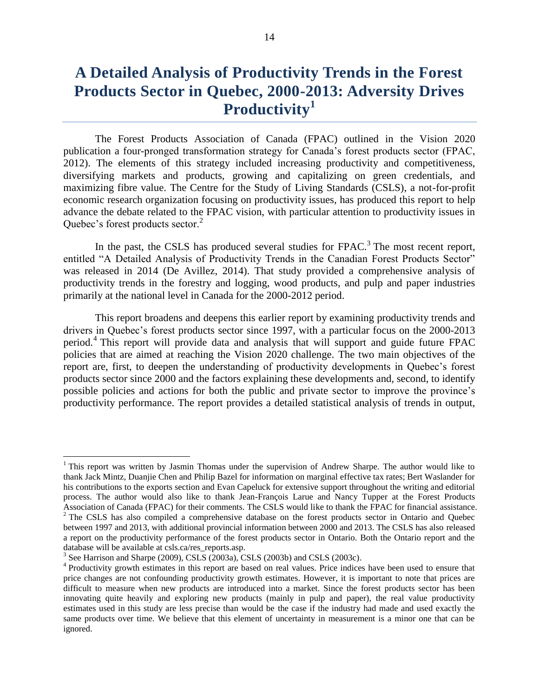# **A Detailed Analysis of Productivity Trends in the Forest Products Sector in Quebec, 2000-2013: Adversity Drives Productivity<sup>1</sup>**

The Forest Products Association of Canada (FPAC) outlined in the Vision 2020 publication a four-pronged transformation strategy for Canada's forest products sector (FPAC, 2012). The elements of this strategy included increasing productivity and competitiveness, diversifying markets and products, growing and capitalizing on green credentials, and maximizing fibre value. The Centre for the Study of Living Standards (CSLS), a not-for-profit economic research organization focusing on productivity issues, has produced this report to help advance the debate related to the FPAC vision, with particular attention to productivity issues in Quebec's forest products sector.<sup>2</sup>

In the past, the CSLS has produced several studies for  $FPAC$ <sup>3</sup>. The most recent report, entitled "A Detailed Analysis of Productivity Trends in the Canadian Forest Products Sector" was released in 2014 (De Avillez, 2014). That study provided a comprehensive analysis of productivity trends in the forestry and logging, wood products, and pulp and paper industries primarily at the national level in Canada for the 2000-2012 period.

This report broadens and deepens this earlier report by examining productivity trends and drivers in Quebec's forest products sector since 1997, with a particular focus on the 2000-2013 period.<sup>4</sup> This report will provide data and analysis that will support and guide future FPAC policies that are aimed at reaching the Vision 2020 challenge. The two main objectives of the report are, first, to deepen the understanding of productivity developments in Quebec's forest products sector since 2000 and the factors explaining these developments and, second, to identify possible policies and actions for both the public and private sector to improve the province's productivity performance. The report provides a detailed statistical analysis of trends in output,

 $\overline{a}$ 

<sup>&</sup>lt;sup>1</sup> This report was written by Jasmin Thomas under the supervision of Andrew Sharpe. The author would like to thank Jack Mintz, Duanjie Chen and Philip Bazel for information on marginal effective tax rates; Bert Waslander for his contributions to the exports section and Evan Capeluck for extensive support throughout the writing and editorial process. The author would also like to thank Jean-François Larue and Nancy Tupper at the Forest Products Association of Canada (FPAC) for their comments. The CSLS would like to thank the FPAC for financial assistance.  $2^2$  The CSLS has also compiled a comprehensive database on the forest products sector in Ontario and Quebec between 1997 and 2013, with additional provincial information between 2000 and 2013. The CSLS has also released a report on the productivity performance of the forest products sector in Ontario. Both the Ontario report and the database will be available at csls.ca/res\_reports.asp.

 $3$  See Harrison and Sharpe (2009), CSLS (2003a), CSLS (2003b) and CSLS (2003c).

<sup>&</sup>lt;sup>4</sup> Productivity growth estimates in this report are based on real values. Price indices have been used to ensure that price changes are not confounding productivity growth estimates. However, it is important to note that prices are difficult to measure when new products are introduced into a market. Since the forest products sector has been innovating quite heavily and exploring new products (mainly in pulp and paper), the real value productivity estimates used in this study are less precise than would be the case if the industry had made and used exactly the same products over time. We believe that this element of uncertainty in measurement is a minor one that can be ignored.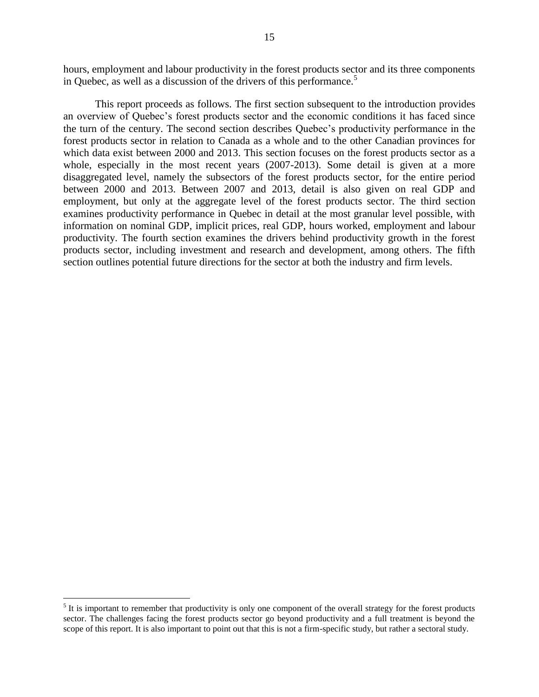hours, employment and labour productivity in the forest products sector and its three components in Quebec, as well as a discussion of the drivers of this performance.<sup>5</sup>

This report proceeds as follows. The first section subsequent to the introduction provides an overview of Quebec's forest products sector and the economic conditions it has faced since the turn of the century. The second section describes Quebec's productivity performance in the forest products sector in relation to Canada as a whole and to the other Canadian provinces for which data exist between 2000 and 2013. This section focuses on the forest products sector as a whole, especially in the most recent years (2007-2013). Some detail is given at a more disaggregated level, namely the subsectors of the forest products sector, for the entire period between 2000 and 2013. Between 2007 and 2013, detail is also given on real GDP and employment, but only at the aggregate level of the forest products sector. The third section examines productivity performance in Quebec in detail at the most granular level possible, with information on nominal GDP, implicit prices, real GDP, hours worked, employment and labour productivity. The fourth section examines the drivers behind productivity growth in the forest products sector, including investment and research and development, among others. The fifth section outlines potential future directions for the sector at both the industry and firm levels.

 $\overline{a}$ 

 $<sup>5</sup>$  It is important to remember that productivity is only one component of the overall strategy for the forest products</sup> sector. The challenges facing the forest products sector go beyond productivity and a full treatment is beyond the scope of this report. It is also important to point out that this is not a firm-specific study, but rather a sectoral study.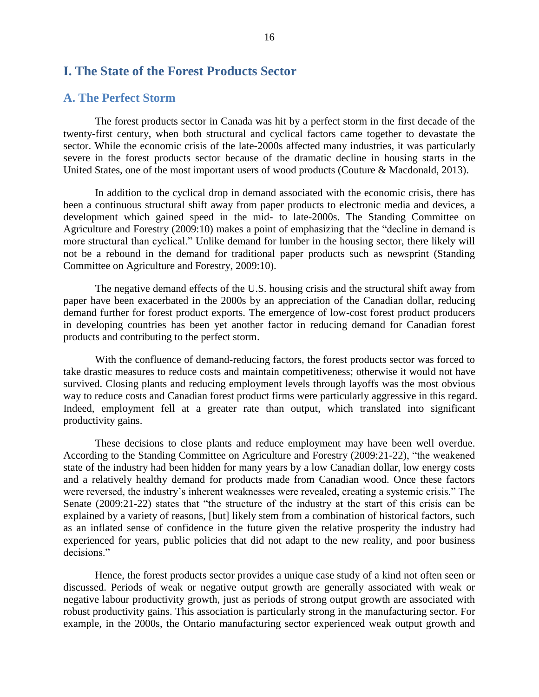### <span id="page-15-0"></span>**I. The State of the Forest Products Sector**

#### <span id="page-15-1"></span>**A. The Perfect Storm**

The forest products sector in Canada was hit by a perfect storm in the first decade of the twenty-first century, when both structural and cyclical factors came together to devastate the sector. While the economic crisis of the late-2000s affected many industries, it was particularly severe in the forest products sector because of the dramatic decline in housing starts in the United States, one of the most important users of wood products (Couture & Macdonald, 2013).

In addition to the cyclical drop in demand associated with the economic crisis, there has been a continuous structural shift away from paper products to electronic media and devices, a development which gained speed in the mid- to late-2000s. The Standing Committee on Agriculture and Forestry (2009:10) makes a point of emphasizing that the "decline in demand is more structural than cyclical." Unlike demand for lumber in the housing sector, there likely will not be a rebound in the demand for traditional paper products such as newsprint (Standing Committee on Agriculture and Forestry, 2009:10).

The negative demand effects of the U.S. housing crisis and the structural shift away from paper have been exacerbated in the 2000s by an appreciation of the Canadian dollar, reducing demand further for forest product exports. The emergence of low-cost forest product producers in developing countries has been yet another factor in reducing demand for Canadian forest products and contributing to the perfect storm.

With the confluence of demand-reducing factors, the forest products sector was forced to take drastic measures to reduce costs and maintain competitiveness; otherwise it would not have survived. Closing plants and reducing employment levels through layoffs was the most obvious way to reduce costs and Canadian forest product firms were particularly aggressive in this regard. Indeed, employment fell at a greater rate than output, which translated into significant productivity gains.

These decisions to close plants and reduce employment may have been well overdue. According to the Standing Committee on Agriculture and Forestry (2009:21-22), "the weakened state of the industry had been hidden for many years by a low Canadian dollar, low energy costs and a relatively healthy demand for products made from Canadian wood. Once these factors were reversed, the industry's inherent weaknesses were revealed, creating a systemic crisis." The Senate (2009:21-22) states that "the structure of the industry at the start of this crisis can be explained by a variety of reasons, [but] likely stem from a combination of historical factors, such as an inflated sense of confidence in the future given the relative prosperity the industry had experienced for years, public policies that did not adapt to the new reality, and poor business decisions."

Hence, the forest products sector provides a unique case study of a kind not often seen or discussed. Periods of weak or negative output growth are generally associated with weak or negative labour productivity growth, just as periods of strong output growth are associated with robust productivity gains. This association is particularly strong in the manufacturing sector. For example, in the 2000s, the Ontario manufacturing sector experienced weak output growth and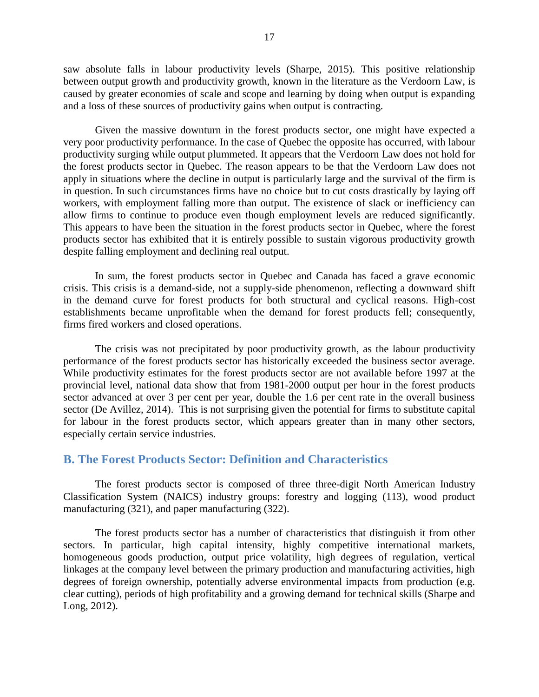saw absolute falls in labour productivity levels (Sharpe, 2015). This positive relationship between output growth and productivity growth, known in the literature as the Verdoorn Law, is caused by greater economies of scale and scope and learning by doing when output is expanding and a loss of these sources of productivity gains when output is contracting.

Given the massive downturn in the forest products sector, one might have expected a very poor productivity performance. In the case of Quebec the opposite has occurred, with labour productivity surging while output plummeted. It appears that the Verdoorn Law does not hold for the forest products sector in Quebec. The reason appears to be that the Verdoorn Law does not apply in situations where the decline in output is particularly large and the survival of the firm is in question. In such circumstances firms have no choice but to cut costs drastically by laying off workers, with employment falling more than output. The existence of slack or inefficiency can allow firms to continue to produce even though employment levels are reduced significantly. This appears to have been the situation in the forest products sector in Quebec, where the forest products sector has exhibited that it is entirely possible to sustain vigorous productivity growth despite falling employment and declining real output.

In sum, the forest products sector in Quebec and Canada has faced a grave economic crisis. This crisis is a demand-side, not a supply-side phenomenon, reflecting a downward shift in the demand curve for forest products for both structural and cyclical reasons. High-cost establishments became unprofitable when the demand for forest products fell; consequently, firms fired workers and closed operations.

The crisis was not precipitated by poor productivity growth, as the labour productivity performance of the forest products sector has historically exceeded the business sector average. While productivity estimates for the forest products sector are not available before 1997 at the provincial level, national data show that from 1981-2000 output per hour in the forest products sector advanced at over 3 per cent per year, double the 1.6 per cent rate in the overall business sector (De Avillez, 2014). This is not surprising given the potential for firms to substitute capital for labour in the forest products sector, which appears greater than in many other sectors, especially certain service industries.

### <span id="page-16-0"></span>**B. The Forest Products Sector: Definition and Characteristics**

The forest products sector is composed of three three-digit North American Industry Classification System (NAICS) industry groups: forestry and logging (113), wood product manufacturing (321), and paper manufacturing (322).

The forest products sector has a number of characteristics that distinguish it from other sectors. In particular, high capital intensity, highly competitive international markets, homogeneous goods production, output price volatility, high degrees of regulation, vertical linkages at the company level between the primary production and manufacturing activities, high degrees of foreign ownership, potentially adverse environmental impacts from production (e.g. clear cutting), periods of high profitability and a growing demand for technical skills (Sharpe and Long, 2012).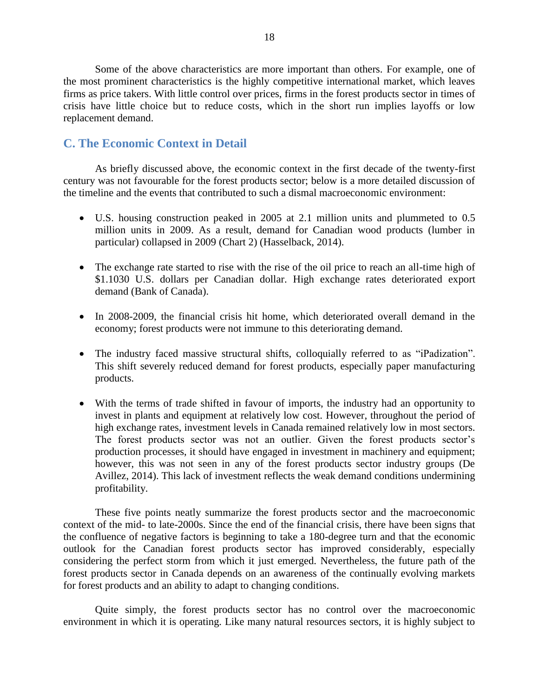Some of the above characteristics are more important than others. For example, one of the most prominent characteristics is the highly competitive international market, which leaves firms as price takers. With little control over prices, firms in the forest products sector in times of crisis have little choice but to reduce costs, which in the short run implies layoffs or low replacement demand.

## <span id="page-17-0"></span>**C. The Economic Context in Detail**

As briefly discussed above, the economic context in the first decade of the twenty-first century was not favourable for the forest products sector; below is a more detailed discussion of the timeline and the events that contributed to such a dismal macroeconomic environment:

- U.S. housing construction peaked in 2005 at 2.1 million units and plummeted to 0.5 million units in 2009. As a result, demand for Canadian wood products (lumber in particular) collapsed in 2009 [\(Chart 2\)](#page-18-1) (Hasselback, 2014).
- The exchange rate started to rise with the rise of the oil price to reach an all-time high of \$1.1030 U.S. dollars per Canadian dollar. High exchange rates deteriorated export demand (Bank of Canada).
- In 2008-2009, the financial crisis hit home, which deteriorated overall demand in the economy; forest products were not immune to this deteriorating demand.
- The industry faced massive structural shifts, colloquially referred to as "iPadization". This shift severely reduced demand for forest products, especially paper manufacturing products.
- With the terms of trade shifted in favour of imports, the industry had an opportunity to invest in plants and equipment at relatively low cost. However, throughout the period of high exchange rates, investment levels in Canada remained relatively low in most sectors. The forest products sector was not an outlier. Given the forest products sector's production processes, it should have engaged in investment in machinery and equipment; however, this was not seen in any of the forest products sector industry groups (De Avillez, 2014). This lack of investment reflects the weak demand conditions undermining profitability.

These five points neatly summarize the forest products sector and the macroeconomic context of the mid- to late-2000s. Since the end of the financial crisis, there have been signs that the confluence of negative factors is beginning to take a 180-degree turn and that the economic outlook for the Canadian forest products sector has improved considerably, especially considering the perfect storm from which it just emerged. Nevertheless, the future path of the forest products sector in Canada depends on an awareness of the continually evolving markets for forest products and an ability to adapt to changing conditions.

Quite simply, the forest products sector has no control over the macroeconomic environment in which it is operating. Like many natural resources sectors, it is highly subject to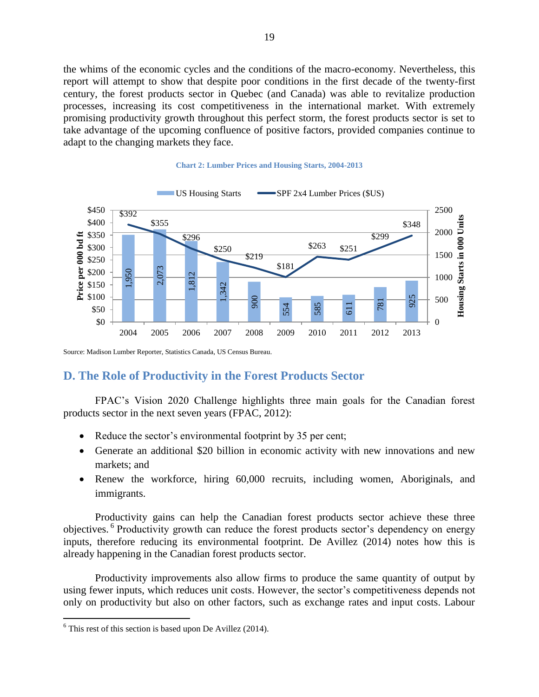the whims of the economic cycles and the conditions of the macro-economy. Nevertheless, this report will attempt to show that despite poor conditions in the first decade of the twenty-first century, the forest products sector in Quebec (and Canada) was able to revitalize production processes, increasing its cost competitiveness in the international market. With extremely promising productivity growth throughout this perfect storm, the forest products sector is set to take advantage of the upcoming confluence of positive factors, provided companies continue to adapt to the changing markets they face.

<span id="page-18-1"></span>

#### **Chart 2: Lumber Prices and Housing Starts, 2004-2013**

<span id="page-18-0"></span>Source: Madison Lumber Reporter, Statistics Canada, US Census Bureau.

#### **D. The Role of Productivity in the Forest Products Sector**

FPAC's Vision 2020 Challenge highlights three main goals for the Canadian forest products sector in the next seven years (FPAC, 2012):

- Reduce the sector's environmental footprint by 35 per cent;
- Generate an additional \$20 billion in economic activity with new innovations and new markets; and
- Renew the workforce, hiring 60,000 recruits, including women, Aboriginals, and immigrants.

Productivity gains can help the Canadian forest products sector achieve these three objectives. <sup>6</sup> Productivity growth can reduce the forest products sector's dependency on energy inputs, therefore reducing its environmental footprint. De Avillez (2014) notes how this is already happening in the Canadian forest products sector.

Productivity improvements also allow firms to produce the same quantity of output by using fewer inputs, which reduces unit costs. However, the sector's competitiveness depends not only on productivity but also on other factors, such as exchange rates and input costs. Labour

 $\overline{a}$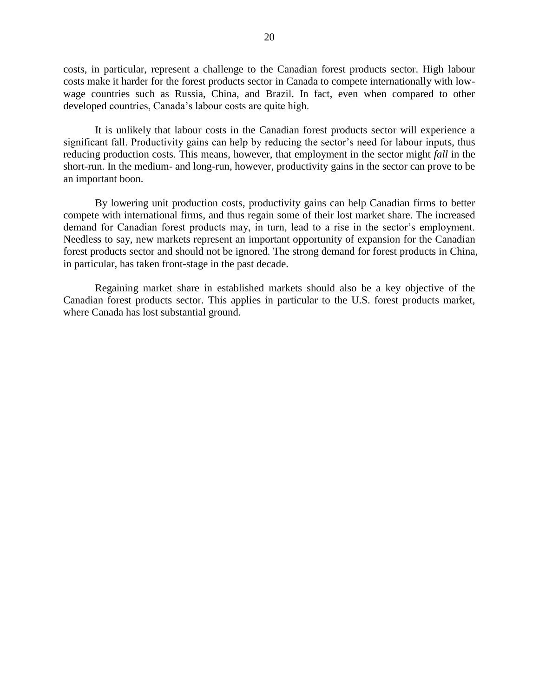costs, in particular, represent a challenge to the Canadian forest products sector. High labour costs make it harder for the forest products sector in Canada to compete internationally with lowwage countries such as Russia, China, and Brazil. In fact, even when compared to other developed countries, Canada's labour costs are quite high.

It is unlikely that labour costs in the Canadian forest products sector will experience a significant fall. Productivity gains can help by reducing the sector's need for labour inputs, thus reducing production costs. This means, however, that employment in the sector might *fall* in the short-run. In the medium- and long-run, however, productivity gains in the sector can prove to be an important boon.

By lowering unit production costs, productivity gains can help Canadian firms to better compete with international firms, and thus regain some of their lost market share. The increased demand for Canadian forest products may, in turn, lead to a rise in the sector's employment. Needless to say, new markets represent an important opportunity of expansion for the Canadian forest products sector and should not be ignored. The strong demand for forest products in China, in particular, has taken front-stage in the past decade.

Regaining market share in established markets should also be a key objective of the Canadian forest products sector. This applies in particular to the U.S. forest products market, where Canada has lost substantial ground.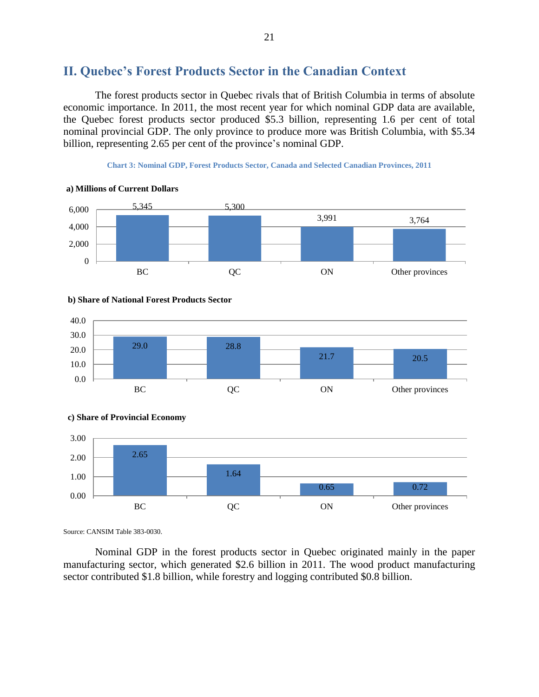## <span id="page-20-0"></span>**II. Quebec's Forest Products Sector in the Canadian Context**

The forest products sector in Quebec rivals that of British Columbia in terms of absolute economic importance. In 2011, the most recent year for which nominal GDP data are available, the Quebec forest products sector produced \$5.3 billion, representing 1.6 per cent of total nominal provincial GDP. The only province to produce more was British Columbia, with \$5.34 billion, representing 2.65 per cent of the province's nominal GDP.

**Chart 3: Nominal GDP, Forest Products Sector, Canada and Selected Canadian Provinces, 2011**









**c) Share of Provincial Economy**

Source: CANSIM Table 383-0030.

Nominal GDP in the forest products sector in Quebec originated mainly in the paper manufacturing sector, which generated \$2.6 billion in 2011. The wood product manufacturing sector contributed \$1.8 billion, while forestry and logging contributed \$0.8 billion.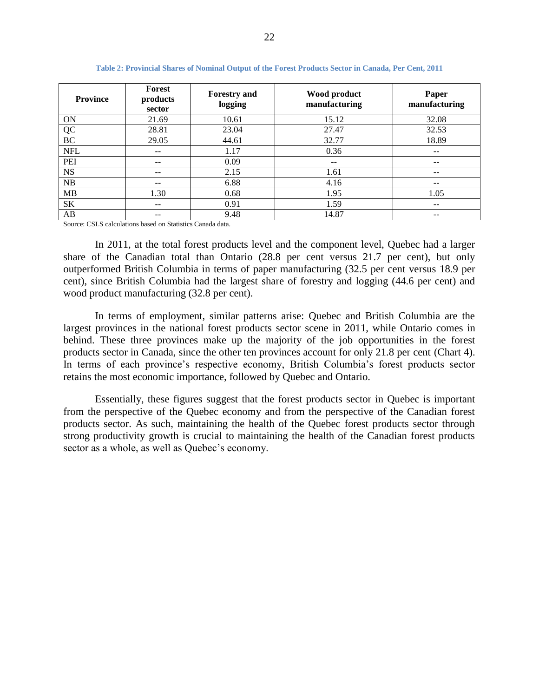| <b>Province</b> | Forest<br>products<br>sector | <b>Forestry and</b><br>logging | Wood product<br>manufacturing | Paper<br>manufacturing |
|-----------------|------------------------------|--------------------------------|-------------------------------|------------------------|
| ON              | 21.69                        | 10.61                          | 15.12                         | 32.08                  |
| QC              | 28.81                        | 23.04                          | 27.47                         | 32.53                  |
| BC              | 29.05                        | 44.61                          | 32.77                         | 18.89                  |
| <b>NFL</b>      | --                           | 1.17                           | 0.36                          | --                     |
| PEI             |                              | 0.09                           | --                            | --                     |
| <b>NS</b>       |                              | 2.15                           | 1.61                          | --                     |
| NB              | --                           | 6.88                           | 4.16                          | --                     |
| MB              | 1.30                         | 0.68                           | 1.95                          | 1.05                   |
| <b>SK</b>       | --                           | 0.91                           | 1.59                          | --                     |
| AB              |                              | 9.48                           | 14.87                         | --                     |

**Table 2: Provincial Shares of Nominal Output of the Forest Products Sector in Canada, Per Cent, 2011**

Source: CSLS calculations based on Statistics Canada data.

In 2011, at the total forest products level and the component level, Quebec had a larger share of the Canadian total than Ontario (28.8 per cent versus 21.7 per cent), but only outperformed British Columbia in terms of paper manufacturing (32.5 per cent versus 18.9 per cent), since British Columbia had the largest share of forestry and logging (44.6 per cent) and wood product manufacturing (32.8 per cent).

In terms of employment, similar patterns arise: Quebec and British Columbia are the largest provinces in the national forest products sector scene in 2011, while Ontario comes in behind. These three provinces make up the majority of the job opportunities in the forest products sector in Canada, since the other ten provinces account for only 21.8 per cent [\(Chart 4\)](#page-22-1). In terms of each province's respective economy, British Columbia's forest products sector retains the most economic importance, followed by Quebec and Ontario.

Essentially, these figures suggest that the forest products sector in Quebec is important from the perspective of the Quebec economy and from the perspective of the Canadian forest products sector. As such, maintaining the health of the Quebec forest products sector through strong productivity growth is crucial to maintaining the health of the Canadian forest products sector as a whole, as well as Quebec's economy.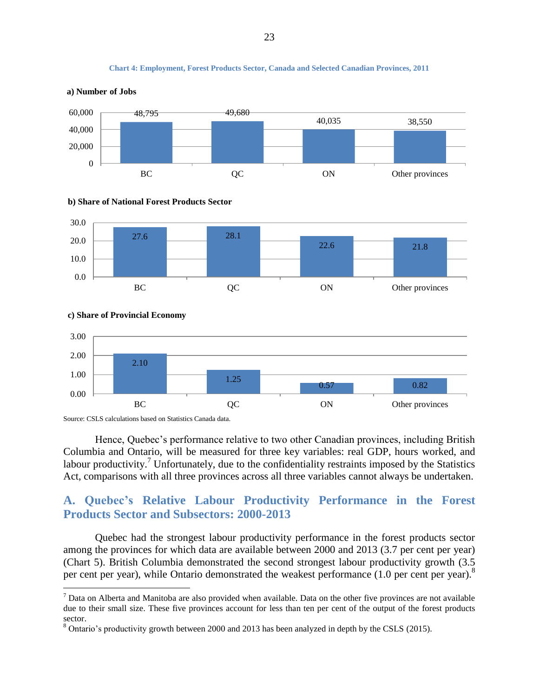

#### <span id="page-22-1"></span>**a) Number of Jobs**









 $\overline{a}$ 



<span id="page-22-0"></span>Hence, Quebec's performance relative to two other Canadian provinces, including British Columbia and Ontario, will be measured for three key variables: real GDP, hours worked, and labour productivity.<sup>7</sup> Unfortunately, due to the confidentiality restraints imposed by the Statistics Act, comparisons with all three provinces across all three variables cannot always be undertaken.

## **A. Quebec's Relative Labour Productivity Performance in the Forest Products Sector and Subsectors: 2000-2013**

Quebec had the strongest labour productivity performance in the forest products sector among the provinces for which data are available between 2000 and 2013 (3.7 per cent per year) [\(Chart 5\)](#page-24-1). British Columbia demonstrated the second strongest labour productivity growth (3.5 per cent per year), while Ontario demonstrated the weakest performance  $(1.0 \text{ per cent per year})^8$ 

**Chart 4: Employment, Forest Products Sector, Canada and Selected Canadian Provinces, 2011**

 $<sup>7</sup>$  Data on Alberta and Manitoba are also provided when available. Data on the other five provinces are not available</sup> due to their small size. These five provinces account for less than ten per cent of the output of the forest products sector.

<sup>8</sup> Ontario's productivity growth between 2000 and 2013 has been analyzed in depth by the CSLS (2015).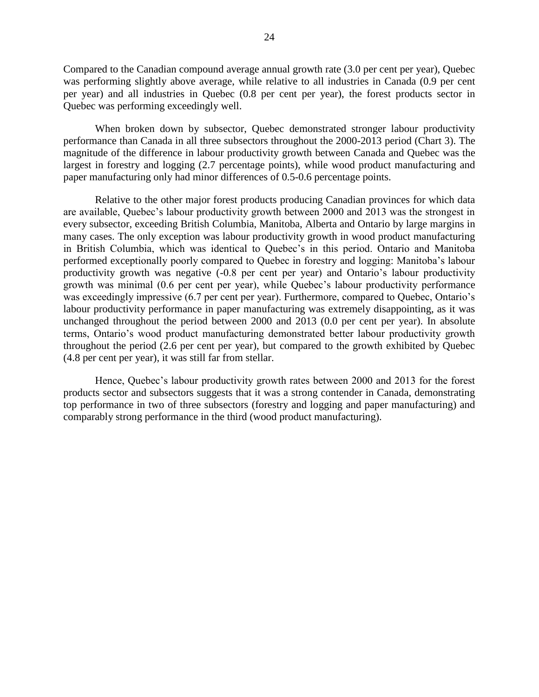Compared to the Canadian compound average annual growth rate (3.0 per cent per year), Quebec was performing slightly above average, while relative to all industries in Canada (0.9 per cent per year) and all industries in Quebec (0.8 per cent per year), the forest products sector in Quebec was performing exceedingly well.

When broken down by subsector, Quebec demonstrated stronger labour productivity performance than Canada in all three subsectors throughout the 2000-2013 period (Chart 3). The magnitude of the difference in labour productivity growth between Canada and Quebec was the largest in forestry and logging (2.7 percentage points), while wood product manufacturing and paper manufacturing only had minor differences of 0.5-0.6 percentage points.

Relative to the other major forest products producing Canadian provinces for which data are available, Quebec's labour productivity growth between 2000 and 2013 was the strongest in every subsector, exceeding British Columbia, Manitoba, Alberta and Ontario by large margins in many cases. The only exception was labour productivity growth in wood product manufacturing in British Columbia, which was identical to Quebec's in this period. Ontario and Manitoba performed exceptionally poorly compared to Quebec in forestry and logging: Manitoba's labour productivity growth was negative (-0.8 per cent per year) and Ontario's labour productivity growth was minimal (0.6 per cent per year), while Quebec's labour productivity performance was exceedingly impressive (6.7 per cent per year). Furthermore, compared to Ouebec, Ontario's labour productivity performance in paper manufacturing was extremely disappointing, as it was unchanged throughout the period between 2000 and 2013 (0.0 per cent per year). In absolute terms, Ontario's wood product manufacturing demonstrated better labour productivity growth throughout the period (2.6 per cent per year), but compared to the growth exhibited by Quebec (4.8 per cent per year), it was still far from stellar.

Hence, Quebec's labour productivity growth rates between 2000 and 2013 for the forest products sector and subsectors suggests that it was a strong contender in Canada, demonstrating top performance in two of three subsectors (forestry and logging and paper manufacturing) and comparably strong performance in the third (wood product manufacturing).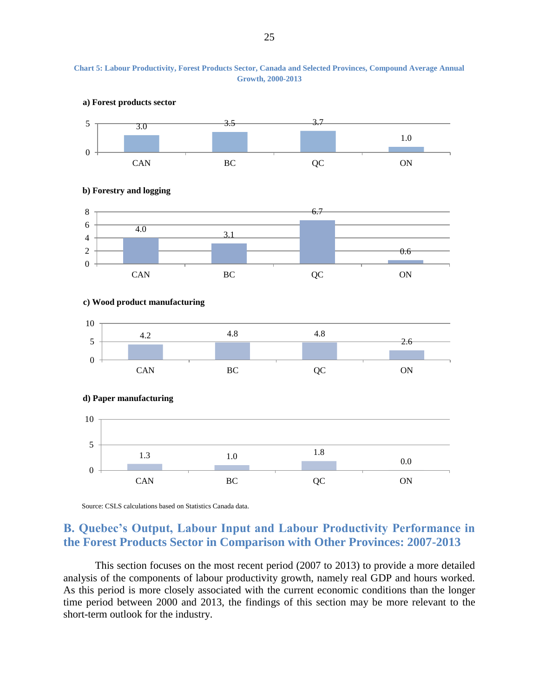<span id="page-24-1"></span>



Source: CSLS calculations based on Statistics Canada data.

## <span id="page-24-0"></span>**B. Quebec's Output, Labour Input and Labour Productivity Performance in the Forest Products Sector in Comparison with Other Provinces: 2007-2013**

This section focuses on the most recent period (2007 to 2013) to provide a more detailed analysis of the components of labour productivity growth, namely real GDP and hours worked. As this period is more closely associated with the current economic conditions than the longer time period between 2000 and 2013, the findings of this section may be more relevant to the short-term outlook for the industry.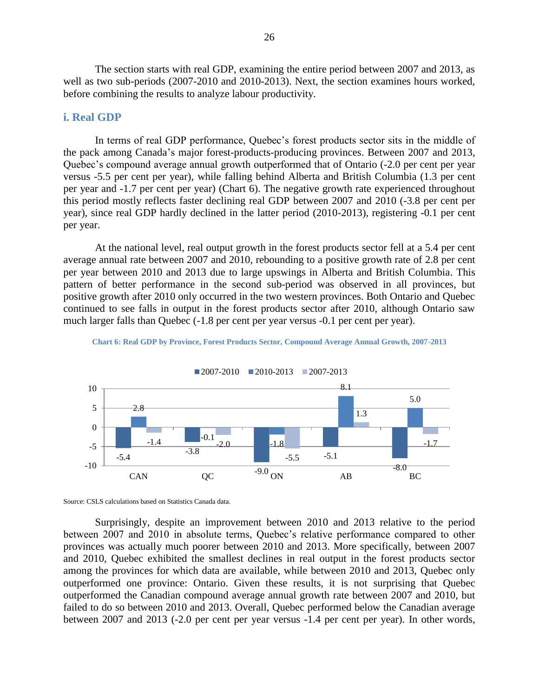The section starts with real GDP, examining the entire period between 2007 and 2013, as well as two sub-periods (2007-2010 and 2010-2013). Next, the section examines hours worked, before combining the results to analyze labour productivity.

#### <span id="page-25-0"></span>**i. Real GDP**

In terms of real GDP performance, Quebec's forest products sector sits in the middle of the pack among Canada's major forest-products-producing provinces. Between 2007 and 2013, Quebec's compound average annual growth outperformed that of Ontario (-2.0 per cent per year versus -5.5 per cent per year), while falling behind Alberta and British Columbia (1.3 per cent per year and -1.7 per cent per year) [\(Chart 6\)](#page-25-2). The negative growth rate experienced throughout this period mostly reflects faster declining real GDP between 2007 and 2010 (-3.8 per cent per year), since real GDP hardly declined in the latter period (2010-2013), registering -0.1 per cent per year.

At the national level, real output growth in the forest products sector fell at a 5.4 per cent average annual rate between 2007 and 2010, rebounding to a positive growth rate of 2.8 per cent per year between 2010 and 2013 due to large upswings in Alberta and British Columbia. This pattern of better performance in the second sub-period was observed in all provinces, but positive growth after 2010 only occurred in the two western provinces. Both Ontario and Quebec continued to see falls in output in the forest products sector after 2010, although Ontario saw much larger falls than Quebec (-1.8 per cent per year versus -0.1 per cent per year).



<span id="page-25-2"></span>

Source: CSLS calculations based on Statistics Canada data.

<span id="page-25-1"></span>Surprisingly, despite an improvement between 2010 and 2013 relative to the period between 2007 and 2010 in absolute terms, Quebec's relative performance compared to other provinces was actually much poorer between 2010 and 2013. More specifically, between 2007 and 2010, Quebec exhibited the smallest declines in real output in the forest products sector among the provinces for which data are available, while between 2010 and 2013, Quebec only outperformed one province: Ontario. Given these results, it is not surprising that Quebec outperformed the Canadian compound average annual growth rate between 2007 and 2010, but failed to do so between 2010 and 2013. Overall, Quebec performed below the Canadian average between 2007 and 2013 (-2.0 per cent per year versus -1.4 per cent per year). In other words,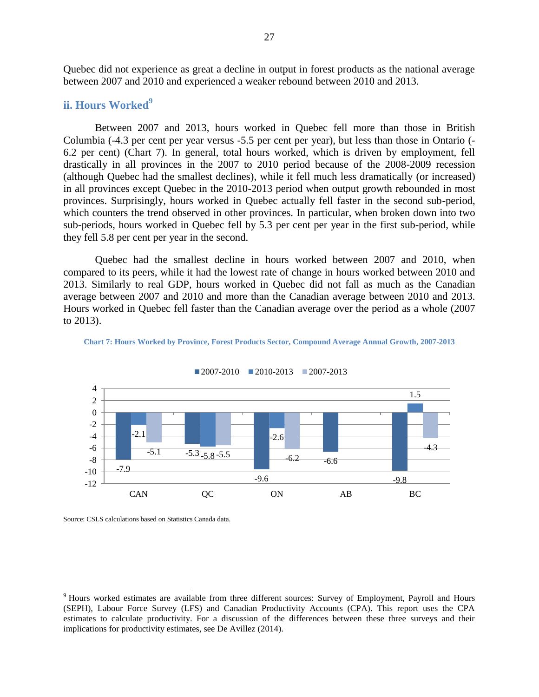Quebec did not experience as great a decline in output in forest products as the national average between 2007 and 2010 and experienced a weaker rebound between 2010 and 2013.

#### **ii. Hours Worked**<sup>9</sup>

Between 2007 and 2013, hours worked in Quebec fell more than those in British Columbia (-4.3 per cent per year versus -5.5 per cent per year), but less than those in Ontario (- 6.2 per cent) [\(Chart 7\)](#page-26-0). In general, total hours worked, which is driven by employment, fell drastically in all provinces in the 2007 to 2010 period because of the 2008-2009 recession (although Quebec had the smallest declines), while it fell much less dramatically (or increased) in all provinces except Quebec in the 2010-2013 period when output growth rebounded in most provinces. Surprisingly, hours worked in Quebec actually fell faster in the second sub-period, which counters the trend observed in other provinces. In particular, when broken down into two sub-periods, hours worked in Quebec fell by 5.3 per cent per year in the first sub-period, while they fell 5.8 per cent per year in the second.

Quebec had the smallest decline in hours worked between 2007 and 2010, when compared to its peers, while it had the lowest rate of change in hours worked between 2010 and 2013. Similarly to real GDP, hours worked in Quebec did not fall as much as the Canadian average between 2007 and 2010 and more than the Canadian average between 2010 and 2013. Hours worked in Quebec fell faster than the Canadian average over the period as a whole (2007 to 2013).



<span id="page-26-0"></span>**Chart 7: Hours Worked by Province, Forest Products Sector, Compound Average Annual Growth, 2007-2013**

Source: CSLS calculations based on Statistics Canada data.

 $\overline{a}$ 

<sup>&</sup>lt;sup>9</sup> Hours worked estimates are available from three different sources: Survey of Employment, Payroll and Hours (SEPH), Labour Force Survey (LFS) and Canadian Productivity Accounts (CPA). This report uses the CPA estimates to calculate productivity. For a discussion of the differences between these three surveys and their implications for productivity estimates, see De Avillez (2014).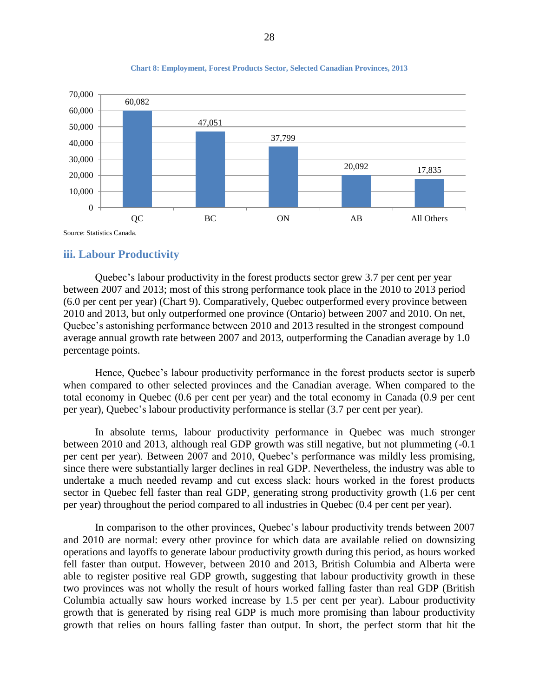

#### **Chart 8: Employment, Forest Products Sector, Selected Canadian Provinces, 2013**

#### <span id="page-27-0"></span>**iii. Labour Productivity**

Quebec's labour productivity in the forest products sector grew 3.7 per cent per year between 2007 and 2013; most of this strong performance took place in the 2010 to 2013 period (6.0 per cent per year) [\(Chart 9\)](#page-28-0). Comparatively, Quebec outperformed every province between 2010 and 2013, but only outperformed one province (Ontario) between 2007 and 2010. On net, Quebec's astonishing performance between 2010 and 2013 resulted in the strongest compound average annual growth rate between 2007 and 2013, outperforming the Canadian average by 1.0 percentage points.

Hence, Quebec's labour productivity performance in the forest products sector is superb when compared to other selected provinces and the Canadian average. When compared to the total economy in Quebec (0.6 per cent per year) and the total economy in Canada (0.9 per cent per year), Quebec's labour productivity performance is stellar (3.7 per cent per year).

In absolute terms, labour productivity performance in Quebec was much stronger between 2010 and 2013, although real GDP growth was still negative, but not plummeting (-0.1 per cent per year). Between 2007 and 2010, Quebec's performance was mildly less promising, since there were substantially larger declines in real GDP. Nevertheless, the industry was able to undertake a much needed revamp and cut excess slack: hours worked in the forest products sector in Quebec fell faster than real GDP, generating strong productivity growth (1.6 per cent per year) throughout the period compared to all industries in Quebec (0.4 per cent per year).

In comparison to the other provinces, Quebec's labour productivity trends between 2007 and 2010 are normal: every other province for which data are available relied on downsizing operations and layoffs to generate labour productivity growth during this period, as hours worked fell faster than output. However, between 2010 and 2013, British Columbia and Alberta were able to register positive real GDP growth, suggesting that labour productivity growth in these two provinces was not wholly the result of hours worked falling faster than real GDP (British Columbia actually saw hours worked increase by 1.5 per cent per year). Labour productivity growth that is generated by rising real GDP is much more promising than labour productivity growth that relies on hours falling faster than output. In short, the perfect storm that hit the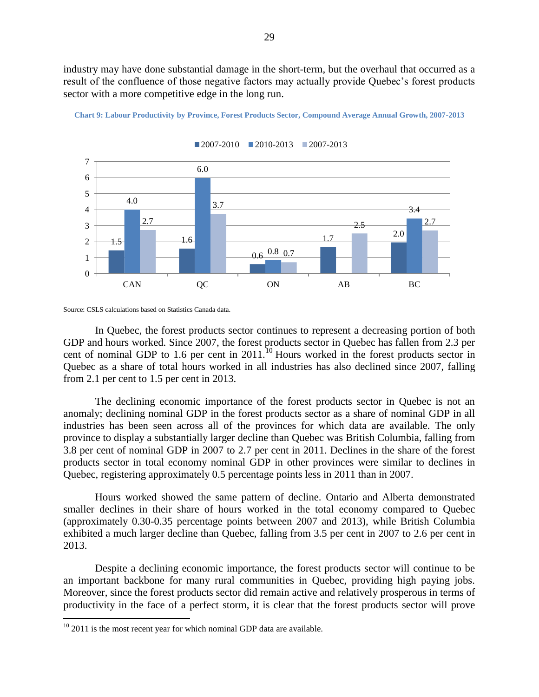industry may have done substantial damage in the short-term, but the overhaul that occurred as a result of the confluence of those negative factors may actually provide Quebec's forest products sector with a more competitive edge in the long run.



<span id="page-28-0"></span>**Chart 9: Labour Productivity by Province, Forest Products Sector, Compound Average Annual Growth, 2007-2013**

 $2007-2010$   $2010-2013$   $2007-2013$ 

In Quebec, the forest products sector continues to represent a decreasing portion of both GDP and hours worked. Since 2007, the forest products sector in Quebec has fallen from 2.3 per cent of nominal GDP to 1.6 per cent in  $2011$ .<sup>10</sup> Hours worked in the forest products sector in Quebec as a share of total hours worked in all industries has also declined since 2007, falling from 2.1 per cent to 1.5 per cent in 2013.

The declining economic importance of the forest products sector in Quebec is not an anomaly; declining nominal GDP in the forest products sector as a share of nominal GDP in all industries has been seen across all of the provinces for which data are available. The only province to display a substantially larger decline than Quebec was British Columbia, falling from 3.8 per cent of nominal GDP in 2007 to 2.7 per cent in 2011. Declines in the share of the forest products sector in total economy nominal GDP in other provinces were similar to declines in Quebec, registering approximately 0.5 percentage points less in 2011 than in 2007.

Hours worked showed the same pattern of decline. Ontario and Alberta demonstrated smaller declines in their share of hours worked in the total economy compared to Quebec (approximately 0.30-0.35 percentage points between 2007 and 2013), while British Columbia exhibited a much larger decline than Quebec, falling from 3.5 per cent in 2007 to 2.6 per cent in 2013.

Despite a declining economic importance, the forest products sector will continue to be an important backbone for many rural communities in Quebec, providing high paying jobs. Moreover, since the forest products sector did remain active and relatively prosperous in terms of productivity in the face of a perfect storm, it is clear that the forest products sector will prove

 $\overline{a}$ 

Source: CSLS calculations based on Statistics Canada data.

 $10$  2011 is the most recent year for which nominal GDP data are available.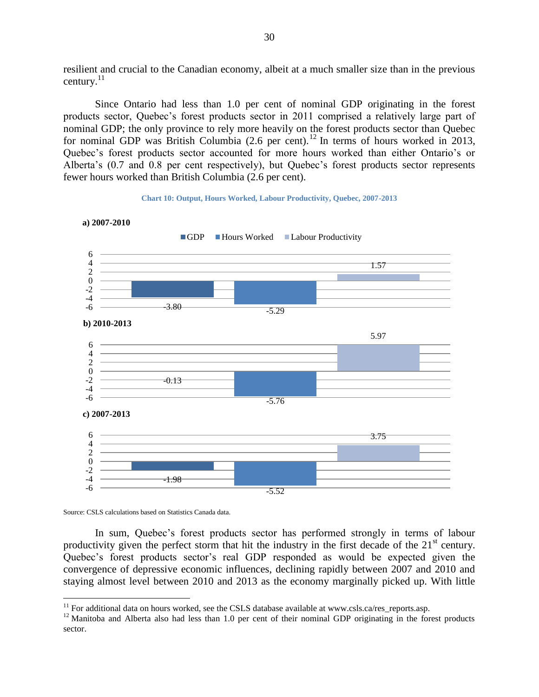resilient and crucial to the Canadian economy, albeit at a much smaller size than in the previous century. $^{11}$ 

Since Ontario had less than 1.0 per cent of nominal GDP originating in the forest products sector, Quebec's forest products sector in 2011 comprised a relatively large part of nominal GDP; the only province to rely more heavily on the forest products sector than Quebec for nominal GDP was British Columbia (2.6 per cent).<sup>12</sup> In terms of hours worked in 2013, Quebec's forest products sector accounted for more hours worked than either Ontario's or Alberta's (0.7 and 0.8 per cent respectively), but Quebec's forest products sector represents fewer hours worked than British Columbia (2.6 per cent).

#### **Chart 10: Output, Hours Worked, Labour Productivity, Quebec, 2007-2013**



**a) 2007-2010**

Source: CSLS calculations based on Statistics Canada data.

 $\overline{a}$ 

<span id="page-29-0"></span>In sum, Quebec's forest products sector has performed strongly in terms of labour productivity given the perfect storm that hit the industry in the first decade of the  $21<sup>st</sup>$  century. Quebec's forest products sector's real GDP responded as would be expected given the convergence of depressive economic influences, declining rapidly between 2007 and 2010 and staying almost level between 2010 and 2013 as the economy marginally picked up. With little

 $11$  For additional data on hours worked, see the CSLS database available at www.csls.ca/res reports.asp.

 $12$  Manitoba and Alberta also had less than 1.0 per cent of their nominal GDP originating in the forest products sector.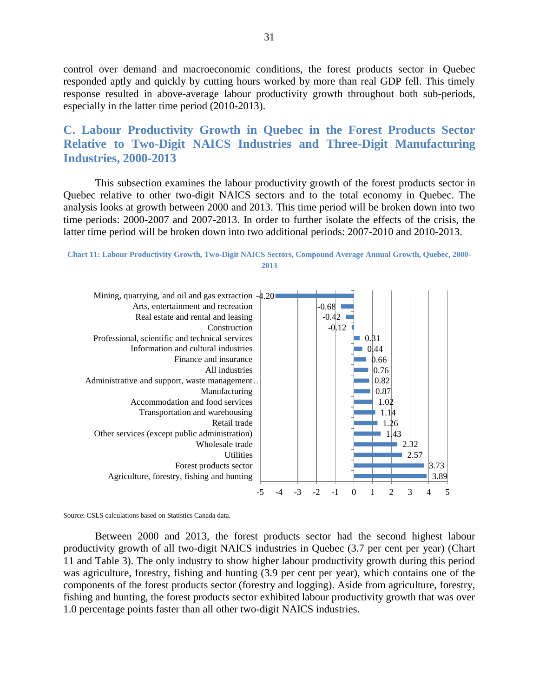control over demand and macroeconomic conditions, the forest products sector in Quebec responded aptly and quickly by cutting hours worked by more than real GDP fell. This timely response resulted in above-average labour productivity growth throughout both sub-periods, especially in the latter time period (2010-2013).

## **C. Labour Productivity Growth in Quebec in the Forest Products Sector Relative to Two-Digit NAICS Industries and Three-Digit Manufacturing Industries, 2000-2013**

This subsection examines the labour productivity growth of the forest products sector in Quebec relative to other two-digit NAICS sectors and to the total economy in Quebec. The analysis looks at growth between 2000 and 2013. This time period will be broken down into two time periods: 2000-2007 and 2007-2013. In order to further isolate the effects of the crisis, the latter time period will be broken down into two additional periods: 2007-2010 and 2010-2013.

<span id="page-30-0"></span>



Source: CSLS calculations based on Statistics Canada data.

Between 2000 and 2013, the forest products sector had the second highest labour productivity growth of all two-digit NAICS industries in Quebec (3.7 per cent per year) [\(Chart](#page-30-0)  [11](#page-30-0) and [Table 3\)](#page-31-0). The only industry to show higher labour productivity growth during this period was agriculture, forestry, fishing and hunting (3.9 per cent per year), which contains one of the components of the forest products sector (forestry and logging). Aside from agriculture, forestry, fishing and hunting, the forest products sector exhibited labour productivity growth that was over 1.0 percentage points faster than all other two-digit NAICS industries.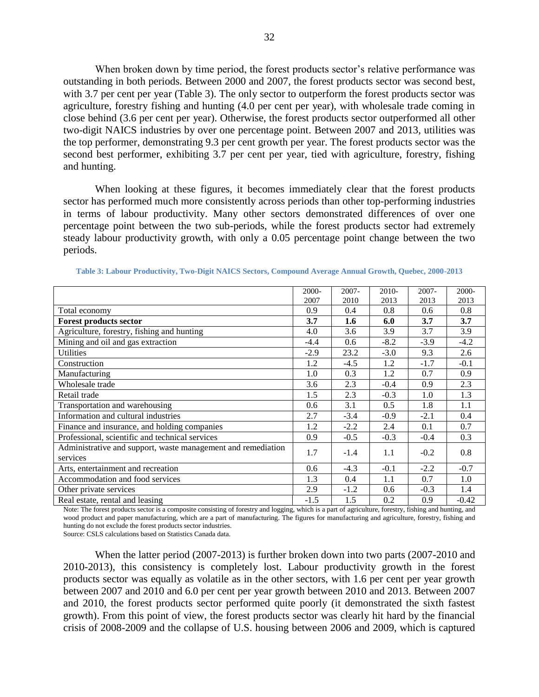When broken down by time period, the forest products sector's relative performance was outstanding in both periods. Between 2000 and 2007, the forest products sector was second best, with 3.7 per cent per year [\(Table 3\)](#page-31-0). The only sector to outperform the forest products sector was agriculture, forestry fishing and hunting (4.0 per cent per year), with wholesale trade coming in close behind (3.6 per cent per year). Otherwise, the forest products sector outperformed all other two-digit NAICS industries by over one percentage point. Between 2007 and 2013, utilities was the top performer, demonstrating 9.3 per cent growth per year. The forest products sector was the second best performer, exhibiting 3.7 per cent per year, tied with agriculture, forestry, fishing and hunting.

When looking at these figures, it becomes immediately clear that the forest products sector has performed much more consistently across periods than other top-performing industries in terms of labour productivity. Many other sectors demonstrated differences of over one percentage point between the two sub-periods, while the forest products sector had extremely steady labour productivity growth, with only a 0.05 percentage point change between the two periods.

|                                                                          | 2000-  | 2007-  | 2010-  | 2007-  | 2000-   |
|--------------------------------------------------------------------------|--------|--------|--------|--------|---------|
|                                                                          | 2007   | 2010   | 2013   | 2013   | 2013    |
| Total economy                                                            | 0.9    | 0.4    | 0.8    | 0.6    | 0.8     |
| <b>Forest products sector</b>                                            | 3.7    | 1.6    | 6.0    | 3.7    | 3.7     |
| Agriculture, forestry, fishing and hunting                               | 4.0    | 3.6    | 3.9    | 3.7    | 3.9     |
| Mining and oil and gas extraction                                        | $-4.4$ | 0.6    | $-8.2$ | $-3.9$ | $-4.2$  |
| <b>Utilities</b>                                                         | $-2.9$ | 23.2   | $-3.0$ | 9.3    | 2.6     |
| Construction                                                             | 1.2    | $-4.5$ | 1.2    | $-1.7$ | $-0.1$  |
| Manufacturing                                                            | 1.0    | 0.3    | 1.2    | 0.7    | 0.9     |
| Wholesale trade                                                          | 3.6    | 2.3    | $-0.4$ | 0.9    | 2.3     |
| Retail trade                                                             | 1.5    | 2.3    | $-0.3$ | 1.0    | 1.3     |
| Transportation and warehousing                                           | 0.6    | 3.1    | 0.5    | 1.8    | 1.1     |
| Information and cultural industries                                      | 2.7    | $-3.4$ | $-0.9$ | $-2.1$ | 0.4     |
| Finance and insurance, and holding companies                             | 1.2    | $-2.2$ | 2.4    | 0.1    | 0.7     |
| Professional, scientific and technical services                          | 0.9    | $-0.5$ | $-0.3$ | $-0.4$ | 0.3     |
| Administrative and support, waste management and remediation<br>services | 1.7    | $-1.4$ | 1.1    | $-0.2$ | 0.8     |
| Arts, entertainment and recreation                                       | 0.6    | $-4.3$ | $-0.1$ | $-2.2$ | $-0.7$  |
| Accommodation and food services                                          | 1.3    | 0.4    | 1.1    | 0.7    | 1.0     |
| Other private services                                                   | 2.9    | $-1.2$ | 0.6    | $-0.3$ | 1.4     |
| Real estate, rental and leasing                                          | $-1.5$ | 1.5    | 0.2    | 0.9    | $-0.42$ |

<span id="page-31-0"></span>**Table 3: Labour Productivity, Two-Digit NAICS Sectors, Compound Average Annual Growth, Quebec, 2000-2013**

Note: The forest products sector is a composite consisting of forestry and logging, which is a part of agriculture, forestry, fishing and hunting, and wood product and paper manufacturing, which are a part of manufacturing. The figures for manufacturing and agriculture, forestry, fishing and hunting do not exclude the forest products sector industries.

Source: CSLS calculations based on Statistics Canada data.

When the latter period (2007-2013) is further broken down into two parts (2007-2010 and 2010-2013), this consistency is completely lost. Labour productivity growth in the forest products sector was equally as volatile as in the other sectors, with 1.6 per cent per year growth between 2007 and 2010 and 6.0 per cent per year growth between 2010 and 2013. Between 2007 and 2010, the forest products sector performed quite poorly (it demonstrated the sixth fastest growth). From this point of view, the forest products sector was clearly hit hard by the financial crisis of 2008-2009 and the collapse of U.S. housing between 2006 and 2009, which is captured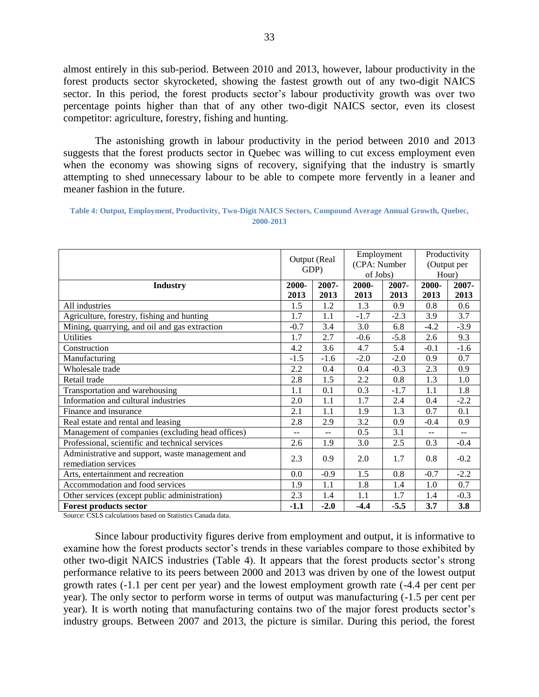almost entirely in this sub-period. Between 2010 and 2013, however, labour productivity in the forest products sector skyrocketed, showing the fastest growth out of any two-digit NAICS sector. In this period, the forest products sector's labour productivity growth was over two percentage points higher than that of any other two-digit NAICS sector, even its closest competitor: agriculture, forestry, fishing and hunting.

The astonishing growth in labour productivity in the period between 2010 and 2013 suggests that the forest products sector in Quebec was willing to cut excess employment even when the economy was showing signs of recovery, signifying that the industry is smartly attempting to shed unnecessary labour to be able to compete more fervently in a leaner and meaner fashion in the future.

<span id="page-32-0"></span>

| Table 4: Output, Employment, Productivity, Two-Digit NAICS Sectors, Compound Average Annual Growth, Quebec, |           |  |
|-------------------------------------------------------------------------------------------------------------|-----------|--|
|                                                                                                             | 2000-2013 |  |

|                                                                          | Output (Real<br>GDP) |        | Employment<br>(CPA: Number<br>of Jobs) |        | Productivity<br>(Output per<br>Hour) |        |
|--------------------------------------------------------------------------|----------------------|--------|----------------------------------------|--------|--------------------------------------|--------|
| <b>Industry</b>                                                          | 2000-                | 2007-  | 2000-                                  | 2007-  | 2000-                                | 2007-  |
|                                                                          | 2013                 | 2013   | 2013                                   | 2013   | 2013                                 | 2013   |
| All industries                                                           | 1.5                  | 1.2    | 1.3                                    | 0.9    | 0.8                                  | 0.6    |
| Agriculture, forestry, fishing and hunting                               | 1.7                  | 1.1    | $-1.7$                                 | $-2.3$ | 3.9                                  | 3.7    |
| Mining, quarrying, and oil and gas extraction                            | $-0.7$               | 3.4    | 3.0                                    | 6.8    | $-4.2$                               | $-3.9$ |
| <b>Utilities</b>                                                         | 1.7                  | 2.7    | $-0.6$                                 | $-5.8$ | 2.6                                  | 9.3    |
| Construction                                                             | 4.2                  | 3.6    | 4.7                                    | 5.4    | $-0.1$                               | $-1.6$ |
| Manufacturing                                                            | $-1.5$               | $-1.6$ | $-2.0$                                 | $-2.0$ | 0.9                                  | 0.7    |
| Wholesale trade                                                          | 2.2                  | 0.4    | 0.4                                    | $-0.3$ | 2.3                                  | 0.9    |
| Retail trade                                                             | 2.8                  | 1.5    | 2.2                                    | 0.8    | 1.3                                  | 1.0    |
| Transportation and warehousing                                           | 1.1                  | 0.1    | 0.3                                    | $-1.7$ | 1.1                                  | 1.8    |
| Information and cultural industries                                      | 2.0                  | 1.1    | 1.7                                    | 2.4    | 0.4                                  | $-2.2$ |
| Finance and insurance                                                    | 2.1                  | 1.1    | 1.9                                    | 1.3    | 0.7                                  | 0.1    |
| Real estate and rental and leasing                                       | 2.8                  | 2.9    | 3.2                                    | 0.9    | $-0.4$                               | 0.9    |
| Management of companies (excluding head offices)                         | $-$                  | $-$    | 0.5                                    | 3.1    | $-$                                  | $-$    |
| Professional, scientific and technical services                          | 2.6                  | 1.9    | 3.0                                    | 2.5    | 0.3                                  | $-0.4$ |
| Administrative and support, waste management and<br>remediation services | 2.3                  | 0.9    | 2.0                                    | 1.7    | 0.8                                  | $-0.2$ |
| Arts, entertainment and recreation                                       | 0.0                  | $-0.9$ | 1.5                                    | 0.8    | $-0.7$                               | $-2.2$ |
| Accommodation and food services                                          | 1.9                  | 1.1    | 1.8                                    | 1.4    | 1.0                                  | 0.7    |
| Other services (except public administration)                            | 2.3                  | 1.4    | 1.1                                    | 1.7    | 1.4                                  | $-0.3$ |
| <b>Forest products sector</b>                                            | $-1.1$               | $-2.0$ | $-4.4$                                 | $-5.5$ | 3.7                                  | 3.8    |

Source: CSLS calculations based on Statistics Canada data.

Since labour productivity figures derive from employment and output, it is informative to examine how the forest products sector's trends in these variables compare to those exhibited by other two-digit NAICS industries [\(Table 4\)](#page-32-0). It appears that the forest products sector's strong performance relative to its peers between 2000 and 2013 was driven by one of the lowest output growth rates (-1.1 per cent per year) and the lowest employment growth rate (-4.4 per cent per year). The only sector to perform worse in terms of output was manufacturing (-1.5 per cent per year). It is worth noting that manufacturing contains two of the major forest products sector's industry groups. Between 2007 and 2013, the picture is similar. During this period, the forest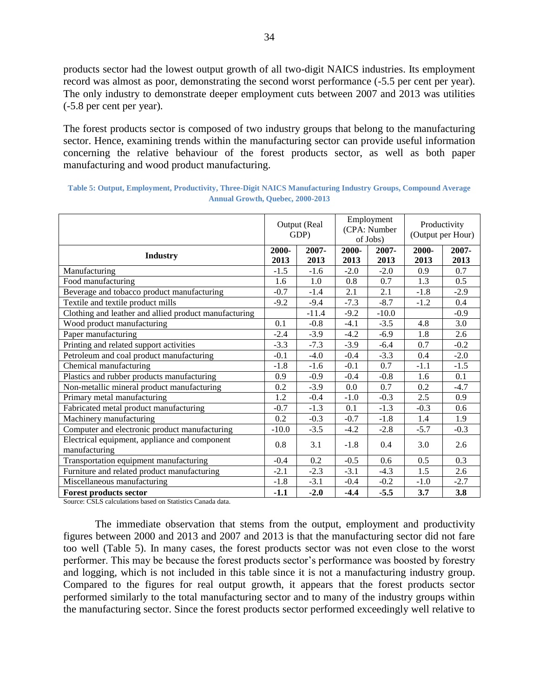products sector had the lowest output growth of all two-digit NAICS industries. Its employment record was almost as poor, demonstrating the second worst performance (-5.5 per cent per year). The only industry to demonstrate deeper employment cuts between 2007 and 2013 was utilities (-5.8 per cent per year).

The forest products sector is composed of two industry groups that belong to the manufacturing sector. Hence, examining trends within the manufacturing sector can provide useful information concerning the relative behaviour of the forest products sector, as well as both paper manufacturing and wood product manufacturing.

|                                                                | Output (Real<br>GDP) |               | Employment<br>(CPA: Number<br>of Jobs) |               | Productivity<br>(Output per Hour) |               |
|----------------------------------------------------------------|----------------------|---------------|----------------------------------------|---------------|-----------------------------------|---------------|
| <b>Industry</b>                                                | 2000-<br>2013        | 2007-<br>2013 | 2000-<br>2013                          | 2007-<br>2013 | 2000-<br>2013                     | 2007-<br>2013 |
| Manufacturing                                                  | $-1.5$               | $-1.6$        | $-2.0$                                 | $-2.0$        | 0.9                               | 0.7           |
| Food manufacturing                                             | 1.6                  | 1.0           | 0.8                                    | 0.7           | 1.3                               | 0.5           |
| Beverage and tobacco product manufacturing                     | $-0.7$               | $-1.4$        | 2.1                                    | 2.1           | $-1.8$                            | $-2.9$        |
| Textile and textile product mills                              | $-9.2$               | $-9.4$        | $-7.3$                                 | $-8.7$        | $-1.2$                            | 0.4           |
| Clothing and leather and allied product manufacturing          |                      | $-11.4$       | $-9.2$                                 | $-10.0$       |                                   | $-0.9$        |
| Wood product manufacturing                                     | 0.1                  | $-0.8$        | $-4.1$                                 | $-3.5$        | 4.8                               | 3.0           |
| Paper manufacturing                                            | $-2.4$               | $-3.9$        | $-4.2$                                 | $-6.9$        | 1.8                               | 2.6           |
| Printing and related support activities                        | $-3.3$               | $-7.3$        | $-3.9$                                 | $-6.4$        | 0.7                               | $-0.2$        |
| Petroleum and coal product manufacturing                       | $-0.1$               | $-4.0$        | $-0.4$                                 | $-3.3$        | 0.4                               | $-2.0$        |
| Chemical manufacturing                                         | $-1.8$               | $-1.6$        | $-0.1$                                 | 0.7           | $-1.1$                            | $-1.5$        |
| Plastics and rubber products manufacturing                     | 0.9                  | $-0.9$        | $-0.4$                                 | $-0.8$        | 1.6                               | 0.1           |
| Non-metallic mineral product manufacturing                     | 0.2                  | $-3.9$        | 0.0                                    | 0.7           | 0.2                               | $-4.7$        |
| Primary metal manufacturing                                    | 1.2                  | $-0.4$        | $-1.0$                                 | $-0.3$        | 2.5                               | 0.9           |
| Fabricated metal product manufacturing                         | $-0.7$               | $-1.3$        | 0.1                                    | $-1.3$        | $-0.3$                            | 0.6           |
| Machinery manufacturing                                        | 0.2                  | $-0.3$        | $-0.7$                                 | $-1.8$        | 1.4                               | 1.9           |
| Computer and electronic product manufacturing                  | $-10.0$              | $-3.5$        | $-4.2$                                 | $-2.8$        | $-5.7$                            | $-0.3$        |
| Electrical equipment, appliance and component<br>manufacturing | 0.8                  | 3.1           | $-1.8$                                 | 0.4           | 3.0                               | 2.6           |
| Transportation equipment manufacturing                         | $-0.4$               | 0.2           | $-0.5$                                 | 0.6           | 0.5                               | 0.3           |
| Furniture and related product manufacturing                    | $-2.1$               | $-2.3$        | $-3.1$                                 | $-4.3$        | 1.5                               | 2.6           |
| Miscellaneous manufacturing                                    | $-1.8$               | $-3.1$        | $-0.4$                                 | $-0.2$        | $-1.0$                            | $-2.7$        |
| <b>Forest products sector</b>                                  | $-1.1$               | $-2.0$        | $-4.4$                                 | $-5.5$        | 3.7                               | 3.8           |

<span id="page-33-0"></span>

| Table 5: Output, Employment, Productivity, Three-Digit NAICS Manufacturing Industry Groups, Compound Average |
|--------------------------------------------------------------------------------------------------------------|
| <b>Annual Growth, Quebec, 2000-2013</b>                                                                      |

Source: CSLS calculations based on Statistics Canada data.

The immediate observation that stems from the output, employment and productivity figures between 2000 and 2013 and 2007 and 2013 is that the manufacturing sector did not fare too well [\(Table 5\)](#page-33-0). In many cases, the forest products sector was not even close to the worst performer. This may be because the forest products sector's performance was boosted by forestry and logging, which is not included in this table since it is not a manufacturing industry group. Compared to the figures for real output growth, it appears that the forest products sector performed similarly to the total manufacturing sector and to many of the industry groups within the manufacturing sector. Since the forest products sector performed exceedingly well relative to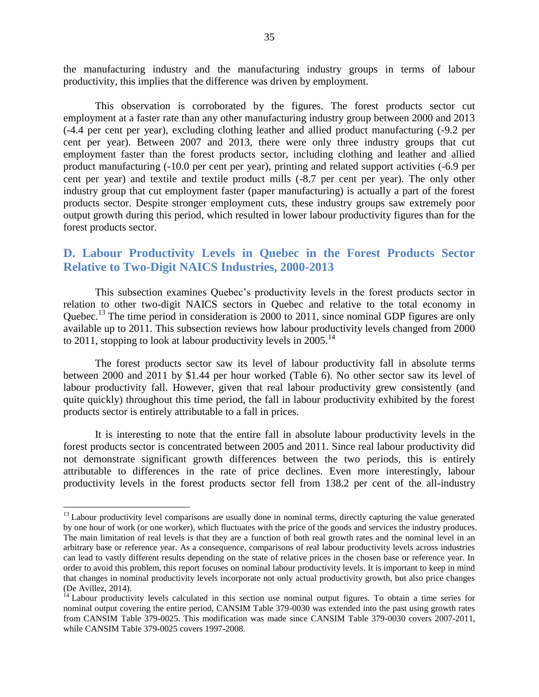the manufacturing industry and the manufacturing industry groups in terms of labour productivity, this implies that the difference was driven by employment.

This observation is corroborated by the figures. The forest products sector cut employment at a faster rate than any other manufacturing industry group between 2000 and 2013 (-4.4 per cent per year), excluding clothing leather and allied product manufacturing (-9.2 per cent per year). Between 2007 and 2013, there were only three industry groups that cut employment faster than the forest products sector, including clothing and leather and allied product manufacturing (-10.0 per cent per year), printing and related support activities (-6.9 per cent per year) and textile and textile product mills (-8.7 per cent per year). The only other industry group that cut employment faster (paper manufacturing) is actually a part of the forest products sector. Despite stronger employment cuts, these industry groups saw extremely poor output growth during this period, which resulted in lower labour productivity figures than for the forest products sector.

## <span id="page-34-0"></span>**D. Labour Productivity Levels in Quebec in the Forest Products Sector Relative to Two-Digit NAICS Industries, 2000-2013**

This subsection examines Quebec's productivity levels in the forest products sector in relation to other two-digit NAICS sectors in Quebec and relative to the total economy in Quebec.<sup>13</sup> The time period in consideration is 2000 to 2011, since nominal GDP figures are only available up to 2011. This subsection reviews how labour productivity levels changed from 2000 to 2011, stopping to look at labour productivity levels in  $2005$ .<sup>14</sup>

The forest products sector saw its level of labour productivity fall in absolute terms between 2000 and 2011 by \$1.44 per hour worked [\(Table 6\)](#page-35-0). No other sector saw its level of labour productivity fall. However, given that real labour productivity grew consistently (and quite quickly) throughout this time period, the fall in labour productivity exhibited by the forest products sector is entirely attributable to a fall in prices.

It is interesting to note that the entire fall in absolute labour productivity levels in the forest products sector is concentrated between 2005 and 2011. Since real labour productivity did not demonstrate significant growth differences between the two periods, this is entirely attributable to differences in the rate of price declines. Even more interestingly, labour productivity levels in the forest products sector fell from 138.2 per cent of the all-industry

 $\overline{a}$ 

 $<sup>13</sup>$  Labour productivity level comparisons are usually done in nominal terms, directly capturing the value generated</sup> by one hour of work (or one worker), which fluctuates with the price of the goods and services the industry produces. The main limitation of real levels is that they are a function of both real growth rates and the nominal level in an arbitrary base or reference year. As a consequence, comparisons of real labour productivity levels across industries can lead to vastly different results depending on the state of relative prices in the chosen base or reference year. In order to avoid this problem, this report focuses on nominal labour productivity levels. It is important to keep in mind that changes in nominal productivity levels incorporate not only actual productivity growth, but also price changes (De Avillez, 2014).

<sup>&</sup>lt;sup>14</sup> Labour productivity levels calculated in this section use nominal output figures. To obtain a time series for nominal output covering the entire period, CANSIM Table 379-0030 was extended into the past using growth rates from CANSIM Table 379-0025. This modification was made since CANSIM Table 379-0030 covers 2007-2011, while CANSIM Table 379-0025 covers 1997-2008.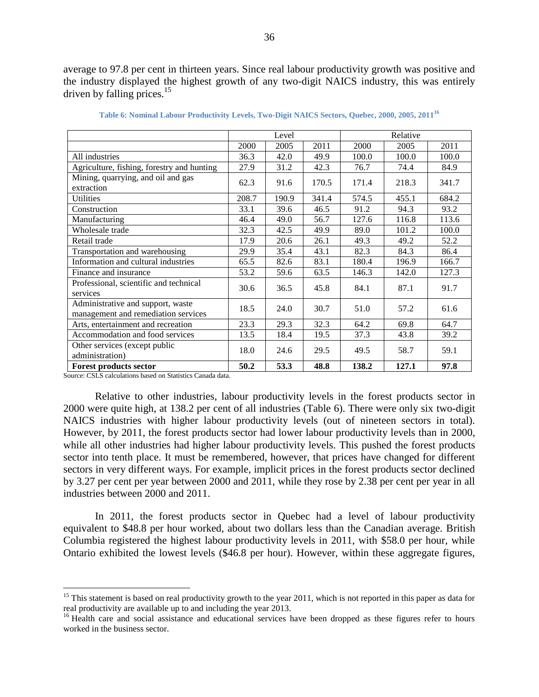average to 97.8 per cent in thirteen years. Since real labour productivity growth was positive and the industry displayed the highest growth of any two-digit NAICS industry, this was entirely driven by falling prices. $15$ 

<span id="page-35-0"></span>

|                                            | Level |       |       | Relative |       |       |
|--------------------------------------------|-------|-------|-------|----------|-------|-------|
|                                            | 2000  | 2005  | 2011  | 2000     | 2005  | 2011  |
| All industries                             | 36.3  | 42.0  | 49.9  | 100.0    | 100.0 | 100.0 |
| Agriculture, fishing, forestry and hunting | 27.9  | 31.2  | 42.3  | 76.7     | 74.4  | 84.9  |
| Mining, quarrying, and oil and gas         | 62.3  | 91.6  | 170.5 | 171.4    | 218.3 | 341.7 |
| extraction                                 |       |       |       |          |       |       |
| Utilities                                  | 208.7 | 190.9 | 341.4 | 574.5    | 455.1 | 684.2 |
| Construction                               | 33.1  | 39.6  | 46.5  | 91.2     | 94.3  | 93.2  |
| Manufacturing                              | 46.4  | 49.0  | 56.7  | 127.6    | 116.8 | 113.6 |
| Wholesale trade                            | 32.3  | 42.5  | 49.9  | 89.0     | 101.2 | 100.0 |
| Retail trade                               | 17.9  | 20.6  | 26.1  | 49.3     | 49.2  | 52.2  |
| Transportation and warehousing             | 29.9  | 35.4  | 43.1  | 82.3     | 84.3  | 86.4  |
| Information and cultural industries        | 65.5  | 82.6  | 83.1  | 180.4    | 196.9 | 166.7 |
| Finance and insurance                      | 53.2  | 59.6  | 63.5  | 146.3    | 142.0 | 127.3 |
| Professional, scientific and technical     | 30.6  | 36.5  | 45.8  | 84.1     | 87.1  | 91.7  |
| services                                   |       |       |       |          |       |       |
| Administrative and support, waste          | 18.5  | 24.0  | 30.7  | 51.0     | 57.2  | 61.6  |
| management and remediation services        |       |       |       |          |       |       |
| Arts, entertainment and recreation         | 23.3  | 29.3  | 32.3  | 64.2     | 69.8  | 64.7  |
| Accommodation and food services            | 13.5  | 18.4  | 19.5  | 37.3     | 43.8  | 39.2  |
| Other services (except public              | 18.0  | 24.6  | 29.5  | 49.5     | 58.7  | 59.1  |
| administration)                            |       |       |       |          |       |       |
| <b>Forest products sector</b>              | 50.2  | 53.3  | 48.8  | 138.2    | 127.1 | 97.8  |

**Table 6: Nominal Labour Productivity Levels, Two-Digit NAICS Sectors, Quebec, 2000, 2005, 2011<sup>16</sup>**

Source: CSLS calculations based on Statistics Canada data.

 $\overline{a}$ 

Relative to other industries, labour productivity levels in the forest products sector in 2000 were quite high, at 138.2 per cent of all industries [\(Table 6\)](#page-35-0). There were only six two-digit NAICS industries with higher labour productivity levels (out of nineteen sectors in total). However, by 2011, the forest products sector had lower labour productivity levels than in 2000, while all other industries had higher labour productivity levels. This pushed the forest products sector into tenth place. It must be remembered, however, that prices have changed for different sectors in very different ways. For example, implicit prices in the forest products sector declined by 3.27 per cent per year between 2000 and 2011, while they rose by 2.38 per cent per year in all industries between 2000 and 2011.

In 2011, the forest products sector in Quebec had a level of labour productivity equivalent to \$48.8 per hour worked, about two dollars less than the Canadian average. British Columbia registered the highest labour productivity levels in 2011, with \$58.0 per hour, while Ontario exhibited the lowest levels (\$46.8 per hour). However, within these aggregate figures,

<sup>&</sup>lt;sup>15</sup> This statement is based on real productivity growth to the year 2011, which is not reported in this paper as data for real productivity are available up to and including the year 2013.

<sup>&</sup>lt;sup>16</sup> Health care and social assistance and educational services have been dropped as these figures refer to hours worked in the business sector.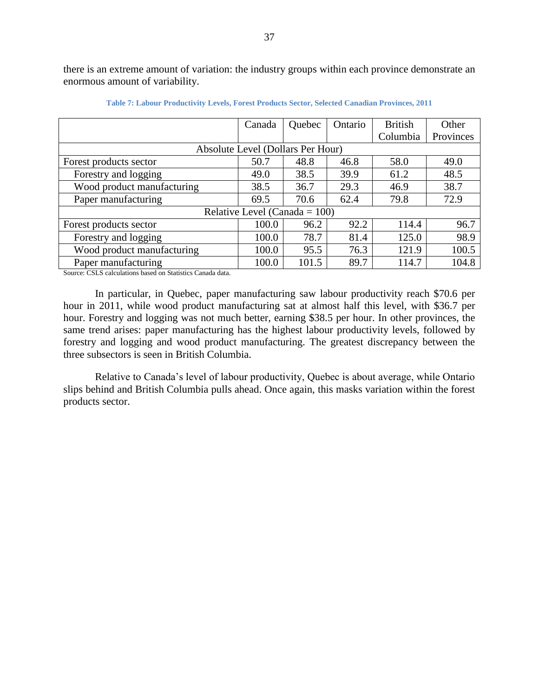there is an extreme amount of variation: the industry groups within each province demonstrate an enormous amount of variability.

|                            | Canada                            | Quebec | Ontario | <b>British</b> | Other     |
|----------------------------|-----------------------------------|--------|---------|----------------|-----------|
|                            |                                   |        |         | Columbia       | Provinces |
|                            | Absolute Level (Dollars Per Hour) |        |         |                |           |
| Forest products sector     | 50.7                              | 48.8   | 46.8    | 58.0           | 49.0      |
| Forestry and logging       | 49.0                              | 38.5   | 39.9    | 61.2           | 48.5      |
| Wood product manufacturing | 38.5                              | 36.7   | 29.3    | 46.9           | 38.7      |
| Paper manufacturing        | 69.5                              | 70.6   | 62.4    | 79.8           | 72.9      |
|                            | Relative Level (Canada = $100$ )  |        |         |                |           |
| Forest products sector     | 100.0                             | 96.2   | 92.2    | 114.4          | 96.7      |
| Forestry and logging       | 100.0                             | 78.7   | 81.4    | 125.0          | 98.9      |
| Wood product manufacturing | 100.0                             | 95.5   | 76.3    | 121.9          | 100.5     |
| Paper manufacturing        | 100.0                             | 101.5  | 89.7    | 114.7          | 104.8     |

**Table 7: Labour Productivity Levels, Forest Products Sector, Selected Canadian Provinces, 2011**

Source: CSLS calculations based on Statistics Canada data.

In particular, in Quebec, paper manufacturing saw labour productivity reach \$70.6 per hour in 2011, while wood product manufacturing sat at almost half this level, with \$36.7 per hour. Forestry and logging was not much better, earning \$38.5 per hour. In other provinces, the same trend arises: paper manufacturing has the highest labour productivity levels, followed by forestry and logging and wood product manufacturing. The greatest discrepancy between the three subsectors is seen in British Columbia.

Relative to Canada's level of labour productivity, Quebec is about average, while Ontario slips behind and British Columbia pulls ahead. Once again, this masks variation within the forest products sector.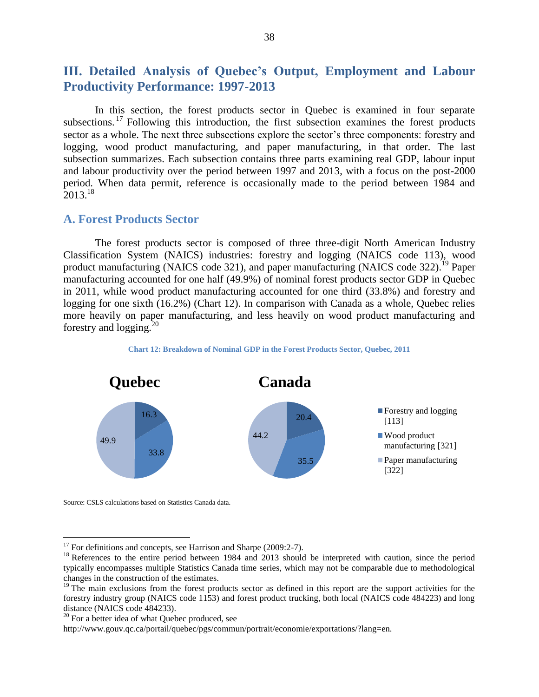# **III. Detailed Analysis of Quebec's Output, Employment and Labour Productivity Performance: 1997-2013**

In this section, the forest products sector in Quebec is examined in four separate subsections. <sup>17</sup> Following this introduction, the first subsection examines the forest products sector as a whole. The next three subsections explore the sector's three components: forestry and logging, wood product manufacturing, and paper manufacturing, in that order. The last subsection summarizes. Each subsection contains three parts examining real GDP, labour input and labour productivity over the period between 1997 and 2013, with a focus on the post-2000 period. When data permit, reference is occasionally made to the period between 1984 and  $2013^{18}$ 

# **A. Forest Products Sector**

The forest products sector is composed of three three-digit North American Industry Classification System (NAICS) industries: forestry and logging (NAICS code 113), wood product manufacturing (NAICS code 321), and paper manufacturing (NAICS code 322).<sup>19</sup> Paper manufacturing accounted for one half (49.9%) of nominal forest products sector GDP in Quebec in 2011, while wood product manufacturing accounted for one third (33.8%) and forestry and logging for one sixth (16.2%) [\(Chart 12\)](#page-37-0). In comparison with Canada as a whole, Quebec relies more heavily on paper manufacturing, and less heavily on wood product manufacturing and forestry and  $\log$ ging.<sup>20</sup>

**Chart 12: Breakdown of Nominal GDP in the Forest Products Sector, Quebec, 2011**

<span id="page-37-0"></span>

Source: CSLS calculations based on Statistics Canada data.

 $\overline{a}$ 

 $17$  For definitions and concepts, see Harrison and Sharpe (2009:2-7).

<sup>&</sup>lt;sup>18</sup> References to the entire period between 1984 and 2013 should be interpreted with caution, since the period typically encompasses multiple Statistics Canada time series, which may not be comparable due to methodological changes in the construction of the estimates.

<sup>&</sup>lt;sup>19</sup> The main exclusions from the forest products sector as defined in this report are the support activities for the forestry industry group (NAICS code 1153) and forest product trucking, both local (NAICS code 484223) and long distance (NAICS code 484233).

<sup>&</sup>lt;sup>20</sup> For a better idea of what Quebec produced, see

http://www.gouv.qc.ca/portail/quebec/pgs/commun/portrait/economie/exportations/?lang=en.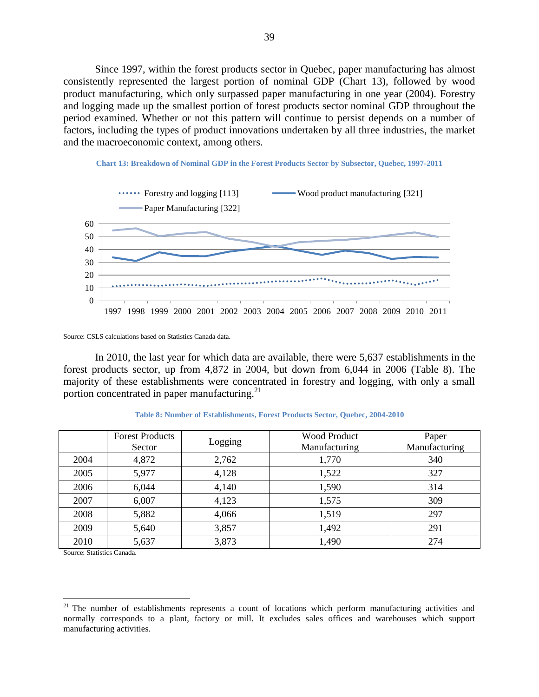Since 1997, within the forest products sector in Quebec, paper manufacturing has almost consistently represented the largest portion of nominal GDP [\(Chart 13\)](#page-38-0), followed by wood product manufacturing, which only surpassed paper manufacturing in one year (2004). Forestry and logging made up the smallest portion of forest products sector nominal GDP throughout the period examined. Whether or not this pattern will continue to persist depends on a number of factors, including the types of product innovations undertaken by all three industries, the market and the macroeconomic context, among others.



<span id="page-38-0"></span>

Source: CSLS calculations based on Statistics Canada data.

In 2010, the last year for which data are available, there were 5,637 establishments in the forest products sector, up from 4,872 in 2004, but down from 6,044 in 2006 [\(Table 8\)](#page-38-1). The majority of these establishments were concentrated in forestry and logging, with only a small portion concentrated in paper manufacturing.<sup>21</sup>

<span id="page-38-1"></span>

|      | <b>Forest Products</b><br>Sector | Logging | <b>Wood Product</b><br>Manufacturing | Paper<br>Manufacturing |
|------|----------------------------------|---------|--------------------------------------|------------------------|
| 2004 | 4,872                            | 2,762   | 1,770                                | 340                    |
| 2005 | 5,977                            | 4,128   | 1,522                                | 327                    |
| 2006 | 6,044                            | 4,140   | 1,590                                | 314                    |
| 2007 | 6,007                            | 4,123   | 1,575                                | 309                    |
| 2008 | 5,882                            | 4,066   | 1,519                                | 297                    |
| 2009 | 5,640                            | 3,857   | 1,492                                | 291                    |
| 2010 | 5,637                            | 3,873   | 1,490                                | 274                    |

**Table 8: Number of Establishments, Forest Products Sector, Quebec, 2004-2010**

Source: Statistics Canada.

 $\overline{a}$ 

<sup>&</sup>lt;sup>21</sup> The number of establishments represents a count of locations which perform manufacturing activities and normally corresponds to a plant, factory or mill. It excludes sales offices and warehouses which support manufacturing activities.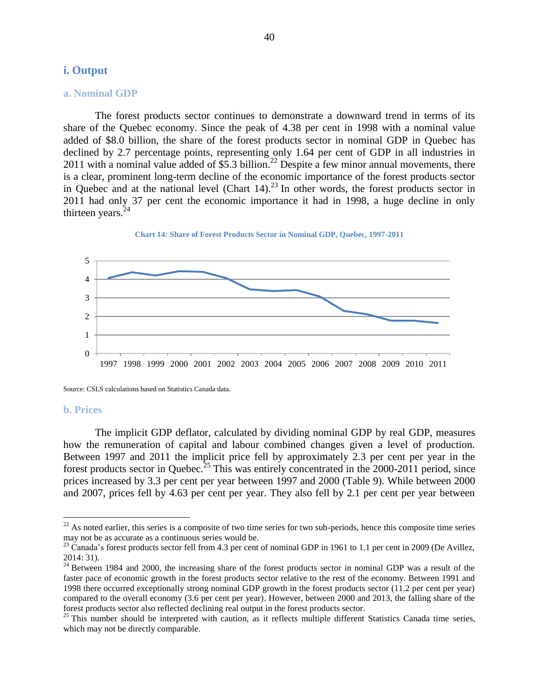## **i. Output**

#### **a. Nominal GDP**

The forest products sector continues to demonstrate a downward trend in terms of its share of the Quebec economy. Since the peak of 4.38 per cent in 1998 with a nominal value added of \$8.0 billion, the share of the forest products sector in nominal GDP in Quebec has declined by 2.7 percentage points, representing only 1.64 per cent of GDP in all industries in 2011 with a nominal value added of \$5.3 billion. <sup>22</sup> Despite a few minor annual movements, there is a clear, prominent long-term decline of the economic importance of the forest products sector in Quebec and at the national level [\(Chart 14\)](#page-39-0). <sup>23</sup> In other words, the forest products sector in 2011 had only 37 per cent the economic importance it had in 1998, a huge decline in only thirteen years. $24$ 

<span id="page-39-0"></span>



Source: CSLS calculations based on Statistics Canada data.

#### **b. Prices**

 $\overline{a}$ 

The implicit GDP deflator, calculated by dividing nominal GDP by real GDP, measures how the remuneration of capital and labour combined changes given a level of production. Between 1997 and 2011 the implicit price fell by approximately 2.3 per cent per year in the forest products sector in Quebec.<sup>25</sup> This was entirely concentrated in the 2000-2011 period, since prices increased by 3.3 per cent per year between 1997 and 2000 [\(Table 9\)](#page-40-0). While between 2000 and 2007, prices fell by 4.63 per cent per year. They also fell by 2.1 per cent per year between

 $22$  As noted earlier, this series is a composite of two time series for two sub-periods, hence this composite time series may not be as accurate as a continuous series would be.

 $^{23}$  Canada's forest products sector fell from 4.3 per cent of nominal GDP in 1961 to 1.1 per cent in 2009 (De Avillez, 2014: 31).

<sup>&</sup>lt;sup>24</sup> Between 1984 and 2000, the increasing share of the forest products sector in nominal GDP was a result of the faster pace of economic growth in the forest products sector relative to the rest of the economy. Between 1991 and 1998 there occurred exceptionally strong nominal GDP growth in the forest products sector (11.2 per cent per year) compared to the overall economy (3.6 per cent per year). However, between 2000 and 2013, the falling share of the forest products sector also reflected declining real output in the forest products sector.

<sup>&</sup>lt;sup>25</sup> This number should be interpreted with caution, as it reflects multiple different Statistics Canada time series, which may not be directly comparable.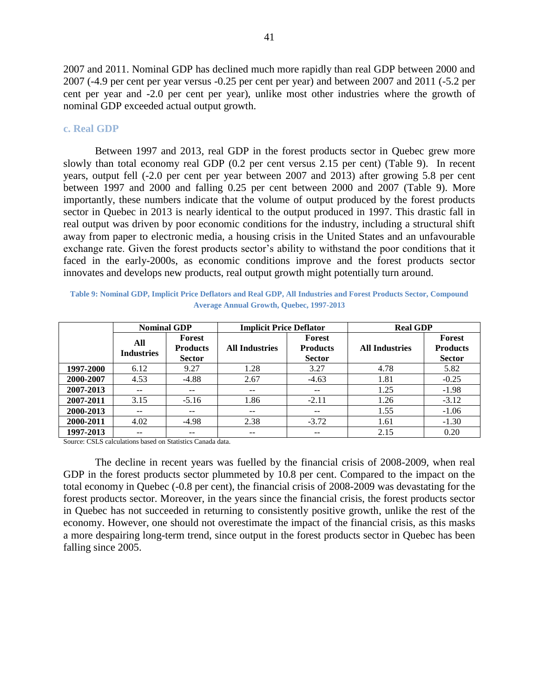2007 and 2011. Nominal GDP has declined much more rapidly than real GDP between 2000 and 2007 (-4.9 per cent per year versus -0.25 per cent per year) and between 2007 and 2011 (-5.2 per cent per year and -2.0 per cent per year), unlike most other industries where the growth of nominal GDP exceeded actual output growth.

#### **c. Real GDP**

Between 1997 and 2013, real GDP in the forest products sector in Quebec grew more slowly than total economy real GDP (0.2 per cent versus 2.15 per cent) [\(Table 9\)](#page-40-0). In recent years, output fell (-2.0 per cent per year between 2007 and 2013) after growing 5.8 per cent between 1997 and 2000 and falling 0.25 per cent between 2000 and 2007 [\(Table 9\)](#page-40-0). More importantly, these numbers indicate that the volume of output produced by the forest products sector in Quebec in 2013 is nearly identical to the output produced in 1997. This drastic fall in real output was driven by poor economic conditions for the industry, including a structural shift away from paper to electronic media, a housing crisis in the United States and an unfavourable exchange rate. Given the forest products sector's ability to withstand the poor conditions that it faced in the early-2000s, as economic conditions improve and the forest products sector innovates and develops new products, real output growth might potentially turn around.

<span id="page-40-0"></span>

| Table 9: Nominal GDP, Implicit Price Deflators and Real GDP, All Industries and Forest Products Sector, Compound |  |
|------------------------------------------------------------------------------------------------------------------|--|
| <b>Average Annual Growth, Quebec, 1997-2013</b>                                                                  |  |

|           | <b>Nominal GDP</b>       |                                            | <b>Implicit Price Deflator</b> |                                            | <b>Real GDP</b>       |                                            |
|-----------|--------------------------|--------------------------------------------|--------------------------------|--------------------------------------------|-----------------------|--------------------------------------------|
|           | All<br><b>Industries</b> | Forest<br><b>Products</b><br><b>Sector</b> | <b>All Industries</b>          | Forest<br><b>Products</b><br><b>Sector</b> | <b>All Industries</b> | Forest<br><b>Products</b><br><b>Sector</b> |
| 1997-2000 | 6.12                     | 9.27                                       | 1.28                           | 3.27                                       | 4.78                  | 5.82                                       |
| 2000-2007 | 4.53                     | $-4.88$                                    | 2.67                           | $-4.63$                                    | 1.81                  | $-0.25$                                    |
| 2007-2013 | $- -$                    | --                                         | $- -$                          | --                                         | 1.25                  | $-1.98$                                    |
| 2007-2011 | 3.15                     | $-5.16$                                    | 1.86                           | $-2.11$                                    | 1.26                  | $-3.12$                                    |
| 2000-2013 | $- -$                    | --                                         | $- -$                          | --                                         | 1.55                  | $-1.06$                                    |
| 2000-2011 | 4.02                     | $-4.98$                                    | 2.38                           | $-3.72$                                    | 1.61                  | $-1.30$                                    |
| 1997-2013 | --                       |                                            | $- -$                          |                                            | 2.15                  | 0.20                                       |

Source: CSLS calculations based on Statistics Canada data.

The decline in recent years was fuelled by the financial crisis of 2008-2009, when real GDP in the forest products sector plummeted by 10.8 per cent. Compared to the impact on the total economy in Quebec (-0.8 per cent), the financial crisis of 2008-2009 was devastating for the forest products sector. Moreover, in the years since the financial crisis, the forest products sector in Quebec has not succeeded in returning to consistently positive growth, unlike the rest of the economy. However, one should not overestimate the impact of the financial crisis, as this masks a more despairing long-term trend, since output in the forest products sector in Quebec has been falling since 2005.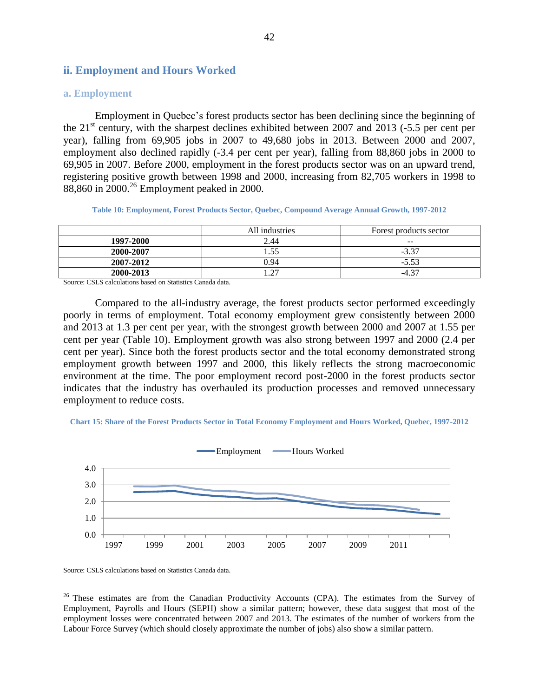# **ii. Employment and Hours Worked**

#### **a. Employment**

Employment in Quebec's forest products sector has been declining since the beginning of the  $21<sup>st</sup>$  century, with the sharpest declines exhibited between 2007 and 2013 (-5.5 per cent per year), falling from 69,905 jobs in 2007 to 49,680 jobs in 2013. Between 2000 and 2007, employment also declined rapidly (-3.4 per cent per year), falling from 88,860 jobs in 2000 to 69,905 in 2007. Before 2000, employment in the forest products sector was on an upward trend, registering positive growth between 1998 and 2000, increasing from 82,705 workers in 1998 to 88,860 in 2000.<sup>26</sup> Employment peaked in 2000.

**Table 10: Employment, Forest Products Sector, Quebec, Compound Average Annual Growth, 1997-2012**

<span id="page-41-0"></span>

|           | All industries | Forest products sector |
|-----------|----------------|------------------------|
| 1997-2000 | 2.44           | $- -$                  |
| 2000-2007 | . 55           | $-3.37$                |
| 2007-2012 | 0.94           | $-5.53$                |
| 2000-2013 | $\mathcal{L}$  | $-4.37$                |

Source: CSLS calculations based on Statistics Canada data.

Compared to the all-industry average, the forest products sector performed exceedingly poorly in terms of employment. Total economy employment grew consistently between 2000 and 2013 at 1.3 per cent per year, with the strongest growth between 2000 and 2007 at 1.55 per cent per year [\(Table 10\)](#page-41-0). Employment growth was also strong between 1997 and 2000 (2.4 per cent per year). Since both the forest products sector and the total economy demonstrated strong employment growth between 1997 and 2000, this likely reflects the strong macroeconomic environment at the time. The poor employment record post-2000 in the forest products sector indicates that the industry has overhauled its production processes and removed unnecessary employment to reduce costs.

<span id="page-41-1"></span>



Source: CSLS calculations based on Statistics Canada data.

 $\overline{a}$ 

 $26$  These estimates are from the Canadian Productivity Accounts (CPA). The estimates from the Survey of Employment, Payrolls and Hours (SEPH) show a similar pattern; however, these data suggest that most of the employment losses were concentrated between 2007 and 2013. The estimates of the number of workers from the Labour Force Survey (which should closely approximate the number of jobs) also show a similar pattern.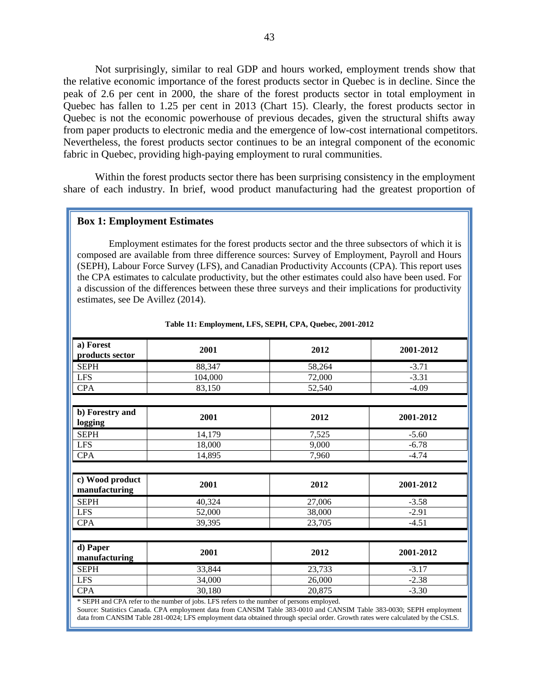Not surprisingly, similar to real GDP and hours worked, employment trends show that the relative economic importance of the forest products sector in Quebec is in decline. Since the peak of 2.6 per cent in 2000, the share of the forest products sector in total employment in Quebec has fallen to 1.25 per cent in 2013 [\(Chart 15\)](#page-41-1). Clearly, the forest products sector in Quebec is not the economic powerhouse of previous decades, given the structural shifts away from paper products to electronic media and the emergence of low-cost international competitors. Nevertheless, the forest products sector continues to be an integral component of the economic fabric in Quebec, providing high-paying employment to rural communities.

Within the forest products sector there has been surprising consistency in the employment share of each industry. In brief, wood product manufacturing had the greatest proportion of

#### **Box 1: Employment Estimates**

Employment estimates for the forest products sector and the three subsectors of which it is composed are available from three difference sources: Survey of Employment, Payroll and Hours (SEPH), Labour Force Survey (LFS), and Canadian Productivity Accounts (CPA). This report uses the CPA estimates to calculate productivity, but the other estimates could also have been used. For a discussion of the differences between these three surveys and their implications for productivity estimates, see De Avillez (2014).

| a) Forest<br>products sector     | 2001                                                                                      | 2012   | 2001-2012 |
|----------------------------------|-------------------------------------------------------------------------------------------|--------|-----------|
| <b>SEPH</b>                      | 88,347                                                                                    | 58,264 | $-3.71$   |
| <b>LFS</b>                       | 104,000                                                                                   | 72,000 | $-3.31$   |
| <b>CPA</b>                       | 83,150                                                                                    | 52,540 | $-4.09$   |
|                                  |                                                                                           |        |           |
| b) Forestry and<br>logging       | 2001                                                                                      | 2012   | 2001-2012 |
| <b>SEPH</b>                      | 14,179                                                                                    | 7,525  | $-5.60$   |
| <b>LFS</b>                       | 18,000                                                                                    | 9,000  | $-6.78$   |
| <b>CPA</b>                       | 14,895                                                                                    | 7,960  | $-4.74$   |
|                                  |                                                                                           |        |           |
| c) Wood product<br>manufacturing | 2001                                                                                      | 2012   | 2001-2012 |
| <b>SEPH</b>                      | 40,324                                                                                    | 27,006 | $-3.58$   |
| <b>LFS</b>                       | 52,000                                                                                    | 38,000 | $-2.91$   |
| <b>CPA</b>                       | 39,395                                                                                    | 23,705 | $-4.51$   |
|                                  |                                                                                           |        |           |
| d) Paper<br>manufacturing        | 2001                                                                                      | 2012   | 2001-2012 |
| <b>SEPH</b>                      | 33,844                                                                                    | 23,733 | $-3.17$   |
| <b>LFS</b>                       | 34,000                                                                                    | 26,000 | $-2.38$   |
| <b>CPA</b>                       | 30,180                                                                                    | 20,875 | $-3.30$   |
|                                  | * SEPH and CPA refer to the number of jobs. LFS refers to the number of persons employed. |        |           |

#### **Table 11: Employment, LFS, SEPH, CPA, Quebec, 2001-2012**

Source: Statistics Canada. CPA employment data from CANSIM Table 383-0010 and CANSIM Table 383-0030; SEPH employment data from CANSIM Table 281-0024; LFS employment data obtained through special order. Growth rates were calculated by the CSLS.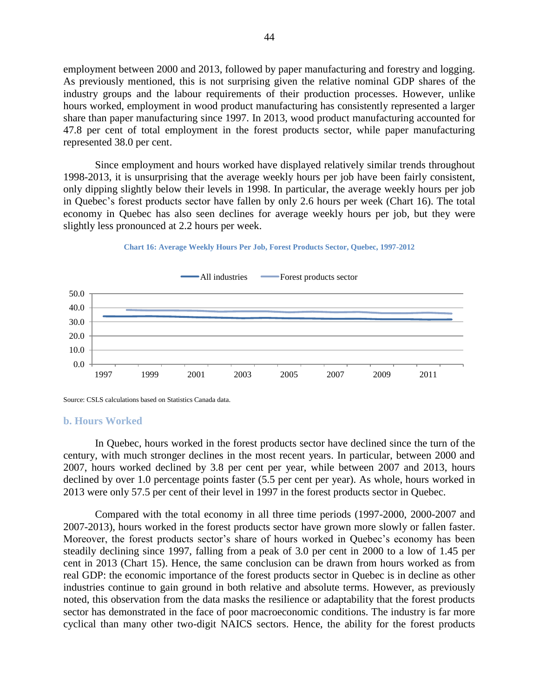employment between 2000 and 2013, followed by paper manufacturing and forestry and logging. As previously mentioned, this is not surprising given the relative nominal GDP shares of the industry groups and the labour requirements of their production processes. However, unlike hours worked, employment in wood product manufacturing has consistently represented a larger share than paper manufacturing since 1997. In 2013, wood product manufacturing accounted for 47.8 per cent of total employment in the forest products sector, while paper manufacturing represented 38.0 per cent.

Since employment and hours worked have displayed relatively similar trends throughout 1998-2013, it is unsurprising that the average weekly hours per job have been fairly consistent, only dipping slightly below their levels in 1998. In particular, the average weekly hours per job in Quebec's forest products sector have fallen by only 2.6 hours per week [\(Chart 16\)](#page-43-0). The total economy in Quebec has also seen declines for average weekly hours per job, but they were slightly less pronounced at 2.2 hours per week.



<span id="page-43-0"></span>

Source: CSLS calculations based on Statistics Canada data.

#### **b. Hours Worked**

In Quebec, hours worked in the forest products sector have declined since the turn of the century, with much stronger declines in the most recent years. In particular, between 2000 and 2007, hours worked declined by 3.8 per cent per year, while between 2007 and 2013, hours declined by over 1.0 percentage points faster (5.5 per cent per year). As whole, hours worked in 2013 were only 57.5 per cent of their level in 1997 in the forest products sector in Quebec.

Compared with the total economy in all three time periods (1997-2000, 2000-2007 and 2007-2013), hours worked in the forest products sector have grown more slowly or fallen faster. Moreover, the forest products sector's share of hours worked in Quebec's economy has been steadily declining since 1997, falling from a peak of 3.0 per cent in 2000 to a low of 1.45 per cent in 2013 [\(Chart 15\)](#page-41-1). Hence, the same conclusion can be drawn from hours worked as from real GDP: the economic importance of the forest products sector in Quebec is in decline as other industries continue to gain ground in both relative and absolute terms. However, as previously noted, this observation from the data masks the resilience or adaptability that the forest products sector has demonstrated in the face of poor macroeconomic conditions. The industry is far more cyclical than many other two-digit NAICS sectors. Hence, the ability for the forest products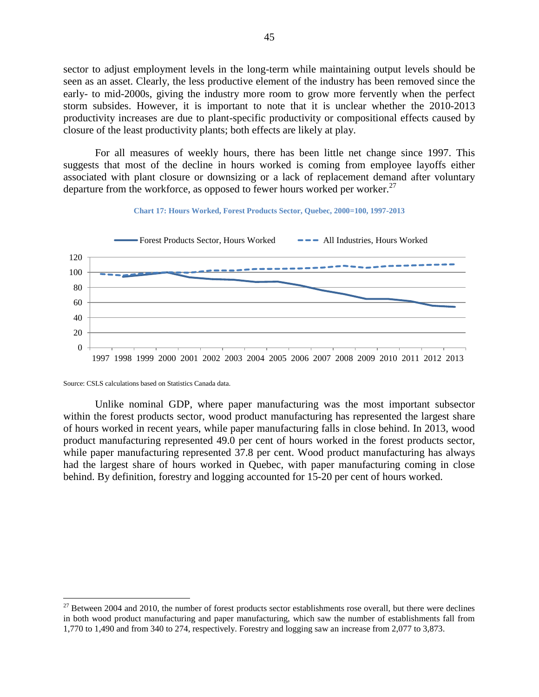sector to adjust employment levels in the long-term while maintaining output levels should be seen as an asset. Clearly, the less productive element of the industry has been removed since the early- to mid-2000s, giving the industry more room to grow more fervently when the perfect storm subsides. However, it is important to note that it is unclear whether the 2010-2013 productivity increases are due to plant-specific productivity or compositional effects caused by closure of the least productivity plants; both effects are likely at play.

For all measures of weekly hours, there has been little net change since 1997. This suggests that most of the decline in hours worked is coming from employee layoffs either associated with plant closure or downsizing or a lack of replacement demand after voluntary departure from the workforce, as opposed to fewer hours worked per worker.<sup>27</sup>



**Chart 17: Hours Worked, Forest Products Sector, Quebec, 2000=100, 1997-2013**

Source: CSLS calculations based on Statistics Canada data.

 $\overline{a}$ 

Unlike nominal GDP, where paper manufacturing was the most important subsector within the forest products sector, wood product manufacturing has represented the largest share of hours worked in recent years, while paper manufacturing falls in close behind. In 2013, wood product manufacturing represented 49.0 per cent of hours worked in the forest products sector, while paper manufacturing represented 37.8 per cent. Wood product manufacturing has always had the largest share of hours worked in Quebec, with paper manufacturing coming in close behind. By definition, forestry and logging accounted for 15-20 per cent of hours worked.

 $27$  Between 2004 and 2010, the number of forest products sector establishments rose overall, but there were declines in both wood product manufacturing and paper manufacturing, which saw the number of establishments fall from 1,770 to 1,490 and from 340 to 274, respectively. Forestry and logging saw an increase from 2,077 to 3,873.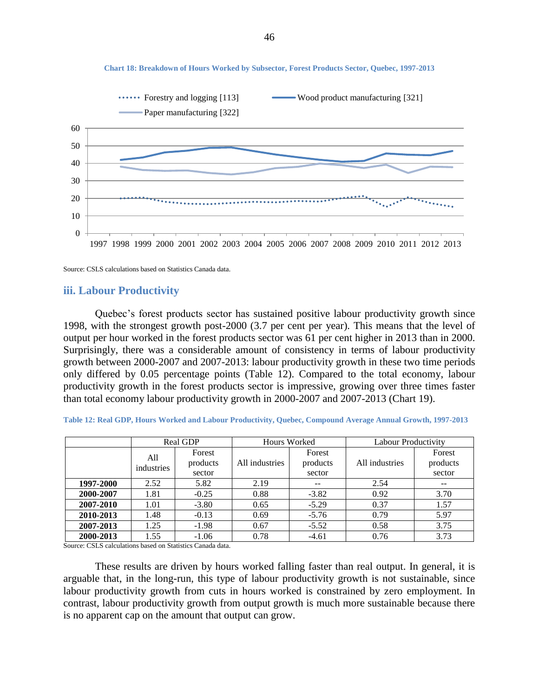

#### **Chart 18: Breakdown of Hours Worked by Subsector, Forest Products Sector, Quebec, 1997-2013**

Source: CSLS calculations based on Statistics Canada data.

## **iii. Labour Productivity**

Quebec's forest products sector has sustained positive labour productivity growth since 1998, with the strongest growth post-2000 (3.7 per cent per year). This means that the level of output per hour worked in the forest products sector was 61 per cent higher in 2013 than in 2000. Surprisingly, there was a considerable amount of consistency in terms of labour productivity growth between 2000-2007 and 2007-2013: labour productivity growth in these two time periods only differed by 0.05 percentage points [\(Table 12\)](#page-45-0). Compared to the total economy, labour productivity growth in the forest products sector is impressive, growing over three times faster than total economy labour productivity growth in 2000-2007 and 2007-2013 [\(Chart 19\)](#page-46-0).

<span id="page-45-0"></span>

| Table 12: Real GDP, Hours Worked and Labour Productivity, Quebec, Compound Average Annual Growth, 1997-2013 |  |
|-------------------------------------------------------------------------------------------------------------|--|
|-------------------------------------------------------------------------------------------------------------|--|

|           | Real GDP          |                    | Hours Worked   |                    | <b>Labour Productivity</b> |                    |
|-----------|-------------------|--------------------|----------------|--------------------|----------------------------|--------------------|
|           | All<br>industries | Forest<br>products | All industries | Forest<br>products | All industries             | Forest<br>products |
|           |                   | sector             |                | sector             |                            | sector             |
| 1997-2000 | 2.52              | 5.82               | 2.19           | $\qquad \qquad -$  | 2.54                       | $- -$              |
| 2000-2007 | 1.81              | $-0.25$            | 0.88           | $-3.82$            | 0.92                       | 3.70               |
| 2007-2010 | 1.01              | $-3.80$            | 0.65           | $-5.29$            | 0.37                       | 1.57               |
| 2010-2013 | 1.48              | $-0.13$            | 0.69           | $-5.76$            | 0.79                       | 5.97               |
| 2007-2013 | 1.25              | $-1.98$            | 0.67           | $-5.52$            | 0.58                       | 3.75               |
| 2000-2013 | 1.55              | $-1.06$            | 0.78           | $-4.61$            | 0.76                       | 3.73               |

Source: CSLS calculations based on Statistics Canada data.

These results are driven by hours worked falling faster than real output. In general, it is arguable that, in the long-run, this type of labour productivity growth is not sustainable, since labour productivity growth from cuts in hours worked is constrained by zero employment. In contrast, labour productivity growth from output growth is much more sustainable because there is no apparent cap on the amount that output can grow.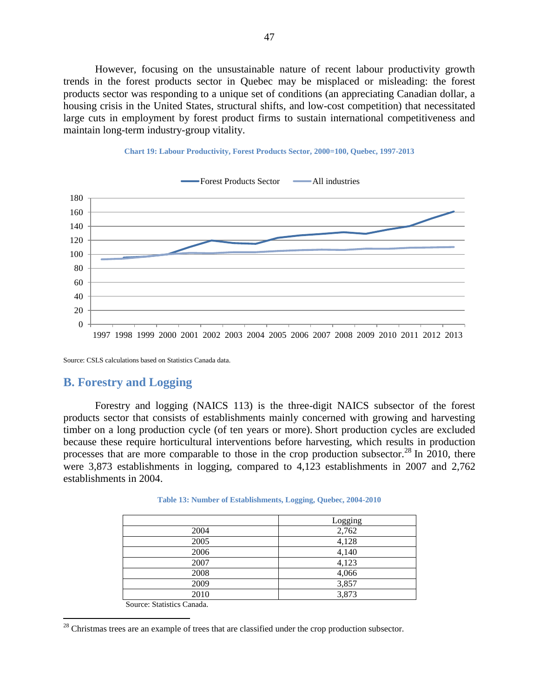However, focusing on the unsustainable nature of recent labour productivity growth trends in the forest products sector in Quebec may be misplaced or misleading: the forest products sector was responding to a unique set of conditions (an appreciating Canadian dollar, a housing crisis in the United States, structural shifts, and low-cost competition) that necessitated large cuts in employment by forest product firms to sustain international competitiveness and maintain long-term industry-group vitality.

<span id="page-46-0"></span>



Source: CSLS calculations based on Statistics Canada data.

# **B. Forestry and Logging**

Forestry and logging (NAICS 113) is the three-digit NAICS subsector of the forest products sector that consists of establishments mainly concerned with growing and harvesting timber on a long production cycle (of ten years or more). Short production cycles are excluded because these require horticultural interventions before harvesting, which results in production processes that are more comparable to those in the crop production subsector.<sup>28</sup> In 2010, there were 3,873 establishments in logging, compared to 4,123 establishments in 2007 and 2,762 establishments in 2004.

|      | Logging |
|------|---------|
| 2004 | 2,762   |
| 2005 | 4,128   |
| 2006 | 4,140   |
| 2007 | 4,123   |
| 2008 | 4,066   |
| 2009 | 3,857   |
| 2010 | 3,873   |

| Table 13: Number of Establishments, Logging, Quebec, 2004-2010 |  |  |  |
|----------------------------------------------------------------|--|--|--|
|----------------------------------------------------------------|--|--|--|

Source: Statistics Canada.

 $\overline{a}$ 

<sup>&</sup>lt;sup>28</sup> Christmas trees are an example of trees that are classified under the crop production subsector.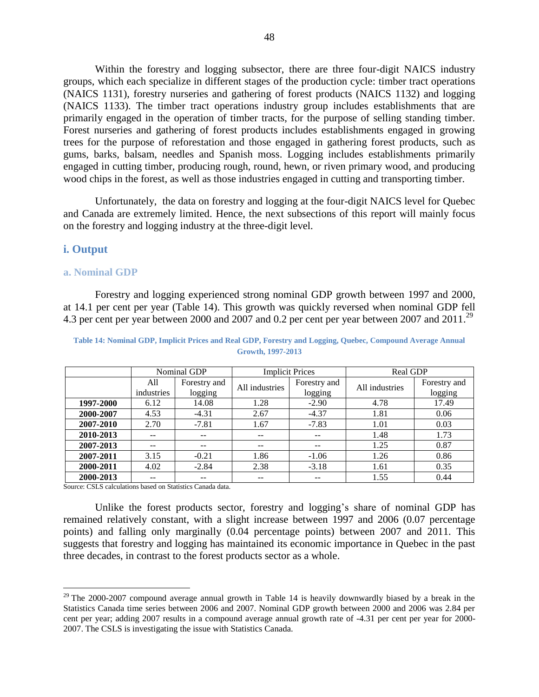Within the forestry and logging subsector, there are three four-digit NAICS industry groups, which each specialize in different stages of the production cycle: timber tract operations (NAICS 1131), forestry nurseries and gathering of forest products (NAICS 1132) and logging (NAICS 1133). The timber tract operations industry group includes establishments that are primarily engaged in the operation of timber tracts, for the purpose of selling standing timber. Forest nurseries and gathering of forest products includes establishments engaged in growing trees for the purpose of reforestation and those engaged in gathering forest products, such as gums, barks, balsam, needles and Spanish moss. Logging includes establishments primarily engaged in cutting timber, producing rough, round, hewn, or riven primary wood, and producing wood chips in the forest, as well as those industries engaged in cutting and transporting timber.

Unfortunately, the data on forestry and logging at the four-digit NAICS level for Quebec and Canada are extremely limited. Hence, the next subsections of this report will mainly focus on the forestry and logging industry at the three-digit level.

## **i. Output**

 $\overline{a}$ 

## **a. Nominal GDP**

Forestry and logging experienced strong nominal GDP growth between 1997 and 2000, at 14.1 per cent per year [\(Table 14\)](#page-47-0). This growth was quickly reversed when nominal GDP fell 4.3 per cent per year between 2000 and 2007 and 0.2 per cent per year between 2007 and 2011.<sup>29</sup>

|           |                   | Nominal GDP             | <b>Implicit Prices</b> |                          | <b>Real GDP</b> |                         |
|-----------|-------------------|-------------------------|------------------------|--------------------------|-----------------|-------------------------|
|           | All<br>industries | Forestry and<br>logging | All industries         | Forestry and<br>logging  | All industries  | Forestry and<br>logging |
| 1997-2000 | 6.12              | 14.08                   | 1.28                   | $-2.90$                  | 4.78            | 17.49                   |
| 2000-2007 | 4.53              | $-4.31$                 | 2.67                   | $-4.37$                  | 1.81            | 0.06                    |
| 2007-2010 | 2.70              | $-7.81$                 | 1.67                   | $-7.83$                  | 1.01            | 0.03                    |
| 2010-2013 | $- -$             | $- -$                   | $- -$                  | $\overline{\phantom{m}}$ | 1.48            | 1.73                    |
| 2007-2013 | --                | --                      | $- -$                  | --                       | 1.25            | 0.87                    |
| 2007-2011 | 3.15              | $-0.21$                 | 1.86                   | $-1.06$                  | 1.26            | 0.86                    |
| 2000-2011 | 4.02              | $-2.84$                 | 2.38                   | $-3.18$                  | 1.61            | 0.35                    |
| 2000-2013 | --                |                         |                        | --                       | 1.55            | 0.44                    |

<span id="page-47-0"></span>**Table 14: Nominal GDP, Implicit Prices and Real GDP, Forestry and Logging, Quebec, Compound Average Annual Growth, 1997-2013**

Source: CSLS calculations based on Statistics Canada data.

Unlike the forest products sector, forestry and logging's share of nominal GDP has remained relatively constant, with a slight increase between 1997 and 2006 (0.07 percentage points) and falling only marginally (0.04 percentage points) between 2007 and 2011. This suggests that forestry and logging has maintained its economic importance in Quebec in the past three decades, in contrast to the forest products sector as a whole.

 $29$  The 2000-2007 compound average annual growth in [Table 14](#page-47-0) is heavily downwardly biased by a break in the Statistics Canada time series between 2006 and 2007. Nominal GDP growth between 2000 and 2006 was 2.84 per cent per year; adding 2007 results in a compound average annual growth rate of -4.31 per cent per year for 2000- 2007. The CSLS is investigating the issue with Statistics Canada.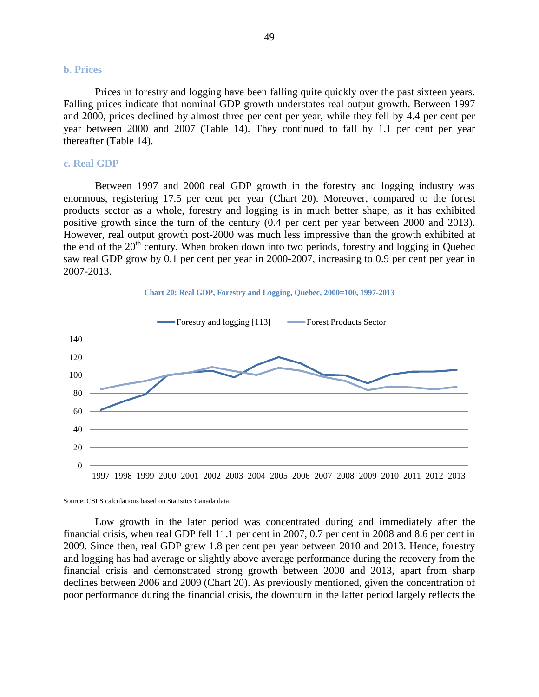## **b. Prices**

Prices in forestry and logging have been falling quite quickly over the past sixteen years. Falling prices indicate that nominal GDP growth understates real output growth. Between 1997 and 2000, prices declined by almost three per cent per year, while they fell by 4.4 per cent per year between 2000 and 2007 [\(Table 14\)](#page-47-0). They continued to fall by 1.1 per cent per year thereafter [\(Table 14\)](#page-47-0).

#### **c. Real GDP**

Between 1997 and 2000 real GDP growth in the forestry and logging industry was enormous, registering 17.5 per cent per year [\(Chart 20\)](#page-48-0). Moreover, compared to the forest products sector as a whole, forestry and logging is in much better shape, as it has exhibited positive growth since the turn of the century (0.4 per cent per year between 2000 and 2013). However, real output growth post-2000 was much less impressive than the growth exhibited at the end of the  $20<sup>th</sup>$  century. When broken down into two periods, forestry and logging in Quebec saw real GDP grow by 0.1 per cent per year in 2000-2007, increasing to 0.9 per cent per year in 2007-2013.

<span id="page-48-0"></span>



Source: CSLS calculations based on Statistics Canada data.

Low growth in the later period was concentrated during and immediately after the financial crisis, when real GDP fell 11.1 per cent in 2007, 0.7 per cent in 2008 and 8.6 per cent in 2009. Since then, real GDP grew 1.8 per cent per year between 2010 and 2013. Hence, forestry and logging has had average or slightly above average performance during the recovery from the financial crisis and demonstrated strong growth between 2000 and 2013, apart from sharp declines between 2006 and 2009 [\(Chart 20\)](#page-48-0). As previously mentioned, given the concentration of poor performance during the financial crisis, the downturn in the latter period largely reflects the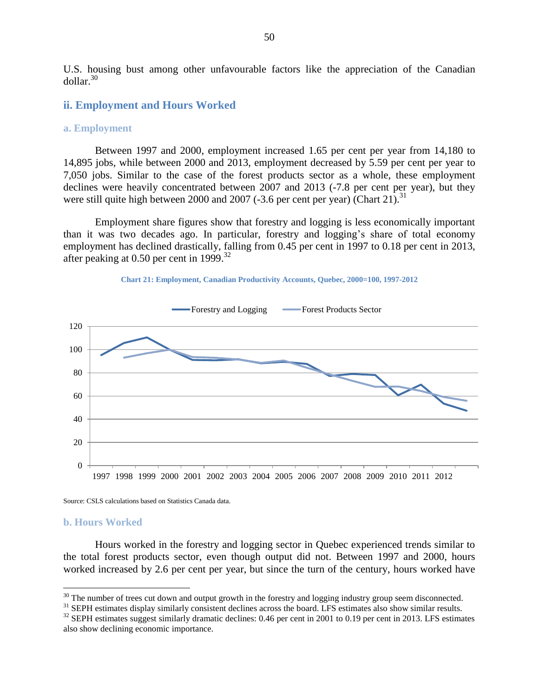U.S. housing bust among other unfavourable factors like the appreciation of the Canadian dollar. 30

#### **ii. Employment and Hours Worked**

#### **a. Employment**

Between 1997 and 2000, employment increased 1.65 per cent per year from 14,180 to 14,895 jobs, while between 2000 and 2013, employment decreased by 5.59 per cent per year to 7,050 jobs. Similar to the case of the forest products sector as a whole, these employment declines were heavily concentrated between 2007 and 2013 (-7.8 per cent per year), but they were still quite high between 2000 and 2007 (-3.6 per cent per year) [\(Chart 21\)](#page-49-0).<sup>31</sup>

Employment share figures show that forestry and logging is less economically important than it was two decades ago. In particular, forestry and logging's share of total economy employment has declined drastically, falling from 0.45 per cent in 1997 to 0.18 per cent in 2013, after peaking at 0.50 per cent in 1999.<sup>32</sup>



<span id="page-49-0"></span>

Source: CSLS calculations based on Statistics Canada data.

#### **b. Hours Worked**

 $\overline{a}$ 

Hours worked in the forestry and logging sector in Quebec experienced trends similar to the total forest products sector, even though output did not. Between 1997 and 2000, hours worked increased by 2.6 per cent per year, but since the turn of the century, hours worked have

 $30$  The number of trees cut down and output growth in the forestry and logging industry group seem disconnected.

<sup>&</sup>lt;sup>31</sup> SEPH estimates display similarly consistent declines across the board. LFS estimates also show similar results.

<sup>&</sup>lt;sup>32</sup> SEPH estimates suggest similarly dramatic declines: 0.46 per cent in 2001 to 0.19 per cent in 2013. LFS estimates also show declining economic importance.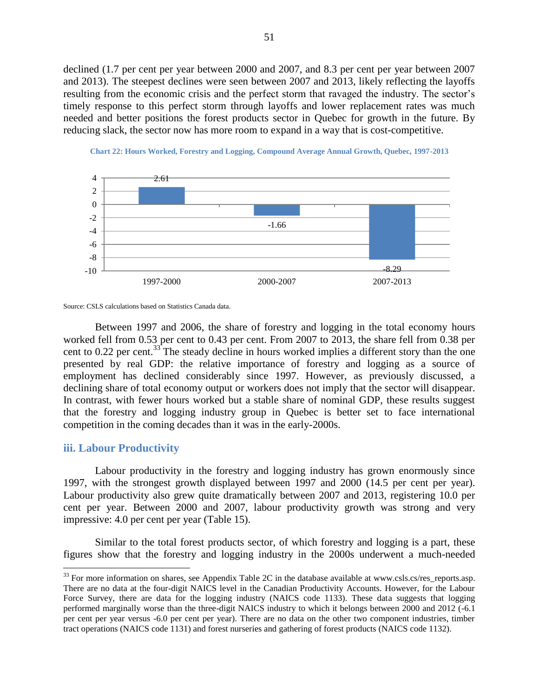declined (1.7 per cent per year between 2000 and 2007, and 8.3 per cent per year between 2007 and 2013). The steepest declines were seen between 2007 and 2013, likely reflecting the layoffs resulting from the economic crisis and the perfect storm that ravaged the industry. The sector's timely response to this perfect storm through layoffs and lower replacement rates was much needed and better positions the forest products sector in Quebec for growth in the future. By reducing slack, the sector now has more room to expand in a way that is cost-competitive.





Between 1997 and 2006, the share of forestry and logging in the total economy hours worked fell from 0.53 per cent to 0.43 per cent. From 2007 to 2013, the share fell from 0.38 per cent to 0.22 per cent.<sup>33</sup> The steady decline in hours worked implies a different story than the one presented by real GDP: the relative importance of forestry and logging as a source of employment has declined considerably since 1997. However, as previously discussed, a declining share of total economy output or workers does not imply that the sector will disappear. In contrast, with fewer hours worked but a stable share of nominal GDP, these results suggest that the forestry and logging industry group in Quebec is better set to face international competition in the coming decades than it was in the early-2000s.

#### **iii. Labour Productivity**

 $\overline{a}$ 

Labour productivity in the forestry and logging industry has grown enormously since 1997, with the strongest growth displayed between 1997 and 2000 (14.5 per cent per year). Labour productivity also grew quite dramatically between 2007 and 2013, registering 10.0 per cent per year. Between 2000 and 2007, labour productivity growth was strong and very impressive: 4.0 per cent per year [\(Table 15\)](#page-51-0).

Similar to the total forest products sector, of which forestry and logging is a part, these figures show that the forestry and logging industry in the 2000s underwent a much-needed

Source: CSLS calculations based on Statistics Canada data.

 $33$  For more information on shares, see Appendix Table 2C in the database available at www.csls.cs/res\_reports.asp. There are no data at the four-digit NAICS level in the Canadian Productivity Accounts. However, for the Labour Force Survey, there are data for the logging industry (NAICS code 1133). These data suggests that logging performed marginally worse than the three-digit NAICS industry to which it belongs between 2000 and 2012 (-6.1 per cent per year versus -6.0 per cent per year). There are no data on the other two component industries, timber tract operations (NAICS code 1131) and forest nurseries and gathering of forest products (NAICS code 1132).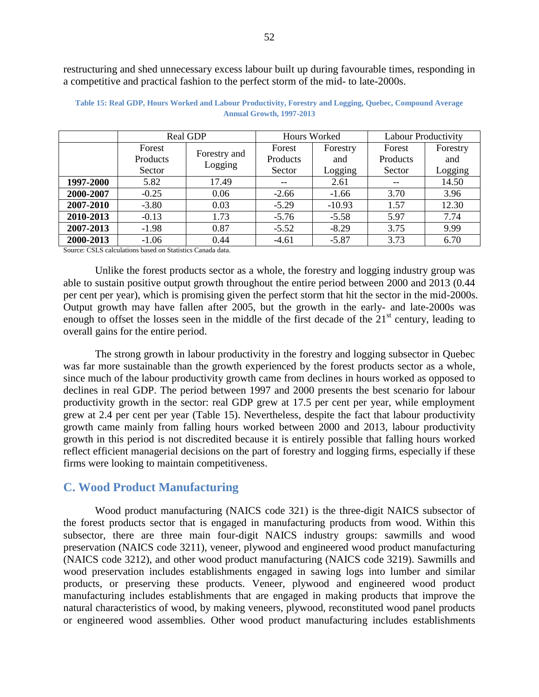restructuring and shed unnecessary excess labour built up during favourable times, responding in a competitive and practical fashion to the perfect storm of the mid- to late-2000s.

|           | Real GDP |              | Hours Worked |          | <b>Labour Productivity</b> |          |
|-----------|----------|--------------|--------------|----------|----------------------------|----------|
|           | Forest   |              | Forest       | Forestry | Forest                     | Forestry |
|           | Products | Forestry and | Products     | and      | Products                   | and      |
|           | Sector   | Logging      | Sector       | Logging  | Sector                     | Logging  |
| 1997-2000 | 5.82     | 17.49        |              | 2.61     | --                         | 14.50    |
| 2000-2007 | $-0.25$  | 0.06         | $-2.66$      | $-1.66$  | 3.70                       | 3.96     |
| 2007-2010 | $-3.80$  | 0.03         | $-5.29$      | $-10.93$ | 1.57                       | 12.30    |
| 2010-2013 | $-0.13$  | 1.73         | $-5.76$      | $-5.58$  | 5.97                       | 7.74     |
| 2007-2013 | $-1.98$  | 0.87         | $-5.52$      | $-8.29$  | 3.75                       | 9.99     |
| 2000-2013 | $-1.06$  | 0.44         | $-4.61$      | $-5.87$  | 3.73                       | 6.70     |

<span id="page-51-0"></span>**Table 15: Real GDP, Hours Worked and Labour Productivity, Forestry and Logging, Quebec, Compound Average Annual Growth, 1997-2013**

Source: CSLS calculations based on Statistics Canada data.

Unlike the forest products sector as a whole, the forestry and logging industry group was able to sustain positive output growth throughout the entire period between 2000 and 2013 (0.44 per cent per year), which is promising given the perfect storm that hit the sector in the mid-2000s. Output growth may have fallen after 2005, but the growth in the early- and late-2000s was enough to offset the losses seen in the middle of the first decade of the  $21<sup>st</sup>$  century, leading to overall gains for the entire period.

The strong growth in labour productivity in the forestry and logging subsector in Quebec was far more sustainable than the growth experienced by the forest products sector as a whole, since much of the labour productivity growth came from declines in hours worked as opposed to declines in real GDP. The period between 1997 and 2000 presents the best scenario for labour productivity growth in the sector: real GDP grew at 17.5 per cent per year, while employment grew at 2.4 per cent per year [\(Table 15\)](#page-51-0). Nevertheless, despite the fact that labour productivity growth came mainly from falling hours worked between 2000 and 2013, labour productivity growth in this period is not discredited because it is entirely possible that falling hours worked reflect efficient managerial decisions on the part of forestry and logging firms, especially if these firms were looking to maintain competitiveness.

# **C. Wood Product Manufacturing**

Wood product manufacturing (NAICS code 321) is the three-digit NAICS subsector of the forest products sector that is engaged in manufacturing products from wood. Within this subsector, there are three main four-digit NAICS industry groups: sawmills and wood preservation (NAICS code 3211), veneer, plywood and engineered wood product manufacturing (NAICS code 3212), and other wood product manufacturing (NAICS code 3219). Sawmills and wood preservation includes establishments engaged in sawing logs into lumber and similar products, or preserving these products. Veneer, plywood and engineered wood product manufacturing includes establishments that are engaged in making products that improve the natural characteristics of wood, by making veneers, plywood, reconstituted wood panel products or engineered wood assemblies. Other wood product manufacturing includes establishments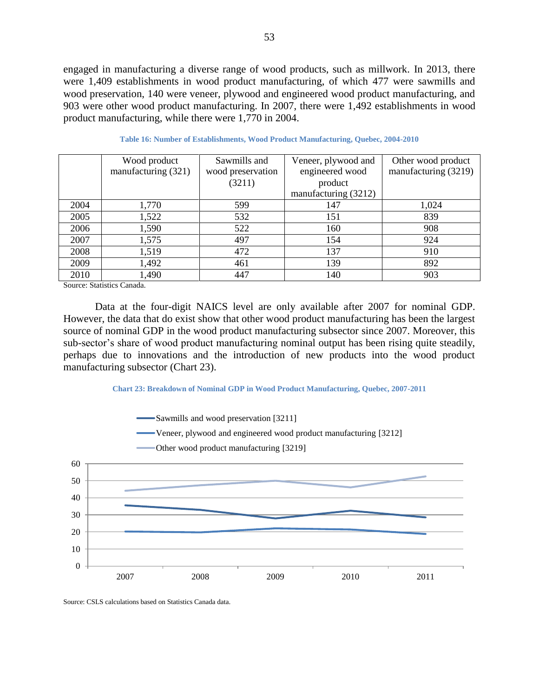engaged in manufacturing a diverse range of wood products, such as millwork. In 2013, there were 1,409 establishments in wood product manufacturing, of which 477 were sawmills and wood preservation, 140 were veneer, plywood and engineered wood product manufacturing, and 903 were other wood product manufacturing. In 2007, there were 1,492 establishments in wood product manufacturing, while there were 1,770 in 2004.

|      | Wood product        | Sawmills and      | Veneer, plywood and  | Other wood product   |  |
|------|---------------------|-------------------|----------------------|----------------------|--|
|      | manufacturing (321) | wood preservation | engineered wood      | manufacturing (3219) |  |
|      |                     | (3211)            | product              |                      |  |
|      |                     |                   | manufacturing (3212) |                      |  |
| 2004 | 1,770               | 599               | 147                  | 1,024                |  |
| 2005 | 1,522               | 532               | 151                  | 839                  |  |
| 2006 | 1,590               | 522               | 160                  | 908                  |  |
| 2007 | 1,575               | 497               | 154                  | 924                  |  |
| 2008 | 1,519               | 472               | 137                  | 910                  |  |
| 2009 | 1,492               | 461               | 139                  | 892                  |  |
| 2010 | 1,490               | 447               | 140                  | 903                  |  |

|  | Table 16: Number of Establishments, Wood Product Manufacturing, Quebec, 2004-2010 |  |  |
|--|-----------------------------------------------------------------------------------|--|--|
|  |                                                                                   |  |  |

Source: Statistics Canada.

Data at the four-digit NAICS level are only available after 2007 for nominal GDP. However, the data that do exist show that other wood product manufacturing has been the largest source of nominal GDP in the wood product manufacturing subsector since 2007. Moreover, this sub-sector's share of wood product manufacturing nominal output has been rising quite steadily, perhaps due to innovations and the introduction of new products into the wood product manufacturing subsector [\(Chart 23\)](#page-52-0).

#### **Chart 23: Breakdown of Nominal GDP in Wood Product Manufacturing, Quebec, 2007-2011**

<span id="page-52-0"></span>

Source: CSLS calculations based on Statistics Canada data.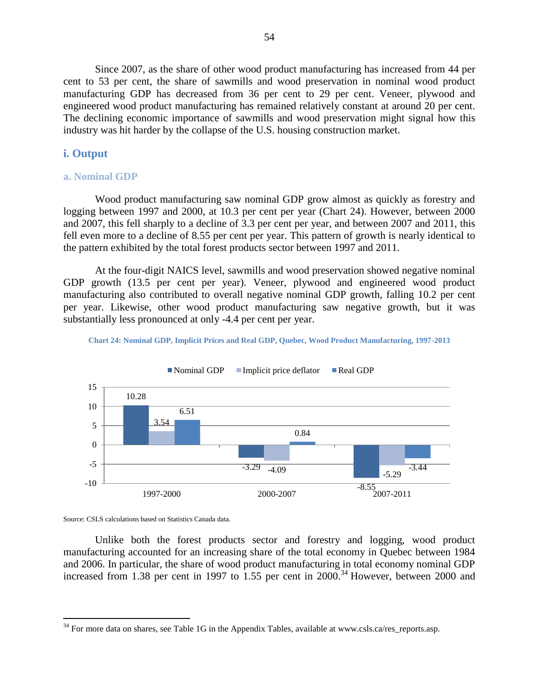Since 2007, as the share of other wood product manufacturing has increased from 44 per cent to 53 per cent, the share of sawmills and wood preservation in nominal wood product manufacturing GDP has decreased from 36 per cent to 29 per cent. Veneer, plywood and engineered wood product manufacturing has remained relatively constant at around 20 per cent. The declining economic importance of sawmills and wood preservation might signal how this industry was hit harder by the collapse of the U.S. housing construction market.

## **i. Output**

#### **a. Nominal GDP**

Wood product manufacturing saw nominal GDP grow almost as quickly as forestry and logging between 1997 and 2000, at 10.3 per cent per year [\(Chart 24\)](#page-53-0). However, between 2000 and 2007, this fell sharply to a decline of 3.3 per cent per year, and between 2007 and 2011, this fell even more to a decline of 8.55 per cent per year. This pattern of growth is nearly identical to the pattern exhibited by the total forest products sector between 1997 and 2011.

At the four-digit NAICS level, sawmills and wood preservation showed negative nominal GDP growth (13.5 per cent per year). Veneer, plywood and engineered wood product manufacturing also contributed to overall negative nominal GDP growth, falling 10.2 per cent per year. Likewise, other wood product manufacturing saw negative growth, but it was substantially less pronounced at only -4.4 per cent per year.

<span id="page-53-0"></span>





Source: CSLS calculations based on Statistics Canada data.

 $\overline{a}$ 

Unlike both the forest products sector and forestry and logging, wood product manufacturing accounted for an increasing share of the total economy in Quebec between 1984 and 2006. In particular, the share of wood product manufacturing in total economy nominal GDP increased from 1.38 per cent in 1997 to 1.55 per cent in 2000.<sup>34</sup> However, between 2000 and

<sup>&</sup>lt;sup>34</sup> For more data on shares, see Table 1G in the Appendix Tables, available at www.csls.ca/res\_reports.asp.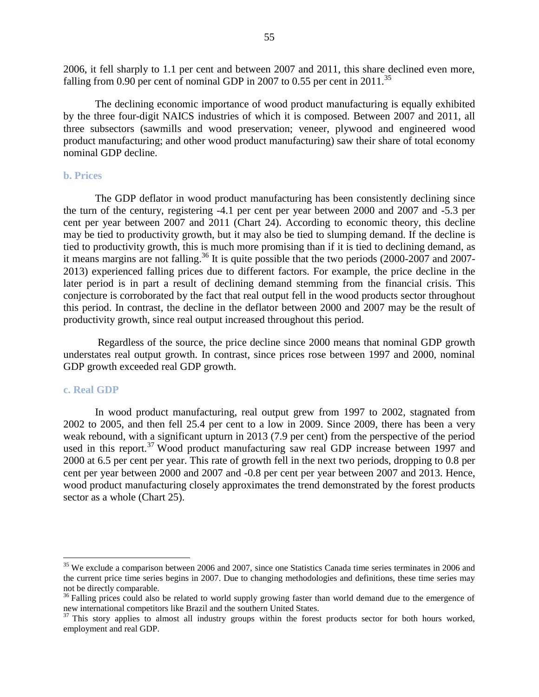2006, it fell sharply to 1.1 per cent and between 2007 and 2011, this share declined even more, falling from 0.90 per cent of nominal GDP in 2007 to 0.55 per cent in 2011.<sup>35</sup>

The declining economic importance of wood product manufacturing is equally exhibited by the three four-digit NAICS industries of which it is composed. Between 2007 and 2011, all three subsectors (sawmills and wood preservation; veneer, plywood and engineered wood product manufacturing; and other wood product manufacturing) saw their share of total economy nominal GDP decline.

#### **b. Prices**

The GDP deflator in wood product manufacturing has been consistently declining since the turn of the century, registering -4.1 per cent per year between 2000 and 2007 and -5.3 per cent per year between 2007 and 2011 [\(Chart 24\)](#page-53-0). According to economic theory, this decline may be tied to productivity growth, but it may also be tied to slumping demand. If the decline is tied to productivity growth, this is much more promising than if it is tied to declining demand, as it means margins are not falling.<sup>36</sup> It is quite possible that the two periods (2000-2007 and 2007-2013) experienced falling prices due to different factors. For example, the price decline in the later period is in part a result of declining demand stemming from the financial crisis. This conjecture is corroborated by the fact that real output fell in the wood products sector throughout this period. In contrast, the decline in the deflator between 2000 and 2007 may be the result of productivity growth, since real output increased throughout this period.

Regardless of the source, the price decline since 2000 means that nominal GDP growth understates real output growth. In contrast, since prices rose between 1997 and 2000, nominal GDP growth exceeded real GDP growth.

#### **c. Real GDP**

 $\overline{a}$ 

In wood product manufacturing, real output grew from 1997 to 2002, stagnated from 2002 to 2005, and then fell 25.4 per cent to a low in 2009. Since 2009, there has been a very weak rebound, with a significant upturn in 2013 (7.9 per cent) from the perspective of the period used in this report.<sup>37</sup> Wood product manufacturing saw real GDP increase between 1997 and 2000 at 6.5 per cent per year. This rate of growth fell in the next two periods, dropping to 0.8 per cent per year between 2000 and 2007 and -0.8 per cent per year between 2007 and 2013. Hence, wood product manufacturing closely approximates the trend demonstrated by the forest products sector as a whole [\(Chart 25\)](#page-55-0).

<sup>&</sup>lt;sup>35</sup> We exclude a comparison between 2006 and 2007, since one Statistics Canada time series terminates in 2006 and the current price time series begins in 2007. Due to changing methodologies and definitions, these time series may not be directly comparable.

<sup>&</sup>lt;sup>36</sup> Falling prices could also be related to world supply growing faster than world demand due to the emergence of new international competitors like Brazil and the southern United States.

 $37$  This story applies to almost all industry groups within the forest products sector for both hours worked, employment and real GDP.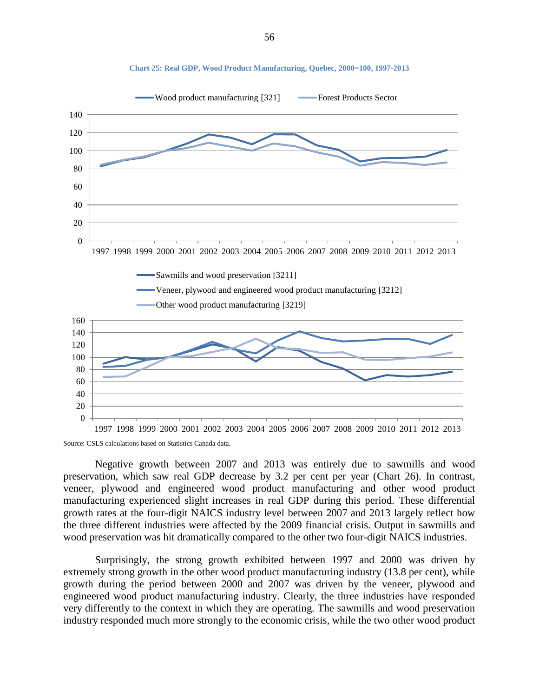<span id="page-55-0"></span>

**Chart 25: Real GDP, Wood Product Manufacturing, Quebec, 2000=100, 1997-2013**

Source: CSLS calculations based on Statistics Canada data.

Negative growth between 2007 and 2013 was entirely due to sawmills and wood preservation, which saw real GDP decrease by 3.2 per cent per year [\(Chart 26\)](#page-56-0). In contrast, veneer, plywood and engineered wood product manufacturing and other wood product manufacturing experienced slight increases in real GDP during this period. These differential growth rates at the four-digit NAICS industry level between 2007 and 2013 largely reflect how the three different industries were affected by the 2009 financial crisis. Output in sawmills and wood preservation was hit dramatically compared to the other two four-digit NAICS industries.

Surprisingly, the strong growth exhibited between 1997 and 2000 was driven by extremely strong growth in the other wood product manufacturing industry (13.8 per cent), while growth during the period between 2000 and 2007 was driven by the veneer, plywood and engineered wood product manufacturing industry. Clearly, the three industries have responded very differently to the context in which they are operating. The sawmills and wood preservation industry responded much more strongly to the economic crisis, while the two other wood product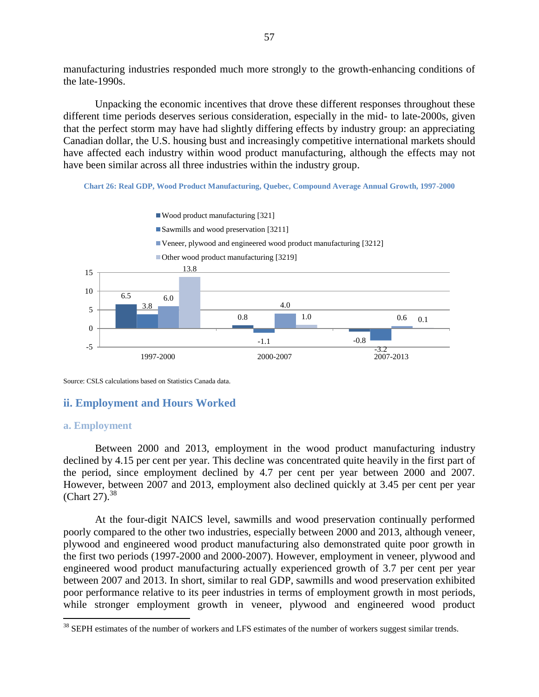manufacturing industries responded much more strongly to the growth-enhancing conditions of the late-1990s.

Unpacking the economic incentives that drove these different responses throughout these different time periods deserves serious consideration, especially in the mid- to late-2000s, given that the perfect storm may have had slightly differing effects by industry group: an appreciating Canadian dollar, the U.S. housing bust and increasingly competitive international markets should have affected each industry within wood product manufacturing, although the effects may not have been similar across all three industries within the industry group.

**Chart 26: Real GDP, Wood Product Manufacturing, Quebec, Compound Average Annual Growth, 1997-2000**

<span id="page-56-0"></span>

Source: CSLS calculations based on Statistics Canada data.

# **ii. Employment and Hours Worked**

## **a. Employment**

 $\overline{a}$ 

Between 2000 and 2013, employment in the wood product manufacturing industry declined by 4.15 per cent per year. This decline was concentrated quite heavily in the first part of the period, since employment declined by 4.7 per cent per year between 2000 and 2007. However, between 2007 and 2013, employment also declined quickly at 3.45 per cent per year [\(Chart 27\)](#page-57-0).<sup>38</sup>

At the four-digit NAICS level, sawmills and wood preservation continually performed poorly compared to the other two industries, especially between 2000 and 2013, although veneer, plywood and engineered wood product manufacturing also demonstrated quite poor growth in the first two periods (1997-2000 and 2000-2007). However, employment in veneer, plywood and engineered wood product manufacturing actually experienced growth of 3.7 per cent per year between 2007 and 2013. In short, similar to real GDP, sawmills and wood preservation exhibited poor performance relative to its peer industries in terms of employment growth in most periods, while stronger employment growth in veneer, plywood and engineered wood product

<sup>&</sup>lt;sup>38</sup> SEPH estimates of the number of workers and LFS estimates of the number of workers suggest similar trends.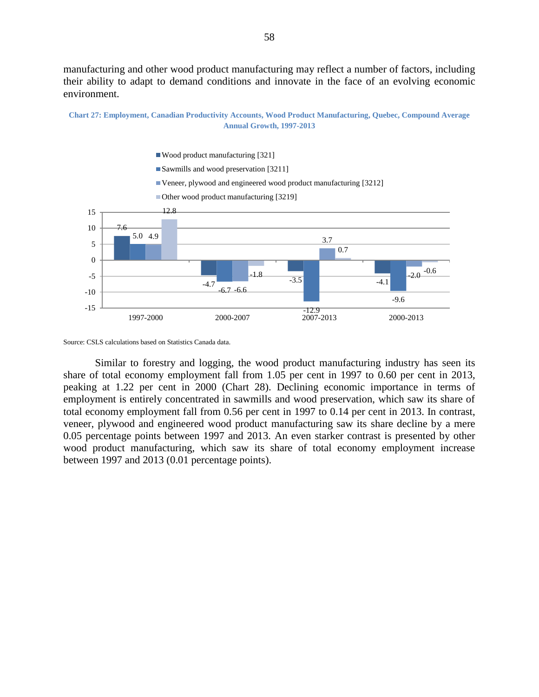manufacturing and other wood product manufacturing may reflect a number of factors, including their ability to adapt to demand conditions and innovate in the face of an evolving economic environment.

<span id="page-57-0"></span>



Source: CSLS calculations based on Statistics Canada data.

Similar to forestry and logging, the wood product manufacturing industry has seen its share of total economy employment fall from 1.05 per cent in 1997 to 0.60 per cent in 2013, peaking at 1.22 per cent in 2000 [\(Chart 28\)](#page-58-0). Declining economic importance in terms of employment is entirely concentrated in sawmills and wood preservation, which saw its share of total economy employment fall from 0.56 per cent in 1997 to 0.14 per cent in 2013. In contrast, veneer, plywood and engineered wood product manufacturing saw its share decline by a mere 0.05 percentage points between 1997 and 2013. An even starker contrast is presented by other wood product manufacturing, which saw its share of total economy employment increase between 1997 and 2013 (0.01 percentage points).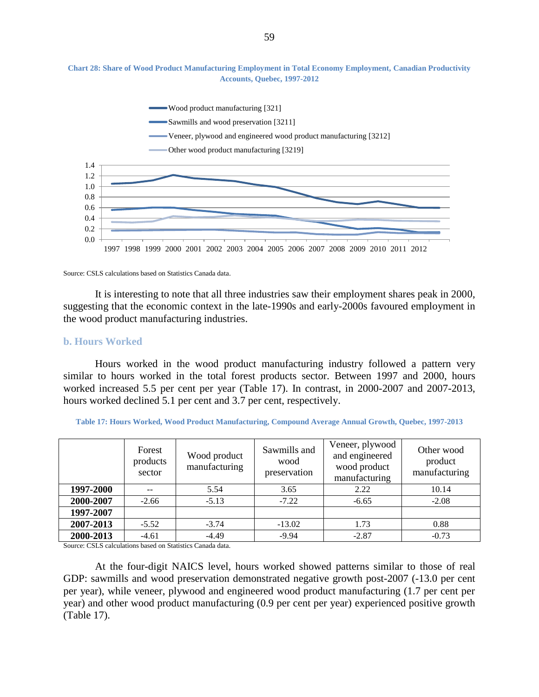

<span id="page-58-0"></span>**Chart 28: Share of Wood Product Manufacturing Employment in Total Economy Employment, Canadian Productivity Accounts, Quebec, 1997-2012**

Source: CSLS calculations based on Statistics Canada data.

It is interesting to note that all three industries saw their employment shares peak in 2000, suggesting that the economic context in the late-1990s and early-2000s favoured employment in the wood product manufacturing industries.

#### **b. Hours Worked**

Hours worked in the wood product manufacturing industry followed a pattern very similar to hours worked in the total forest products sector. Between 1997 and 2000, hours worked increased 5.5 per cent per year (Table 17). In contrast, in 2000-2007 and 2007-2013, hours worked declined 5.1 per cent and 3.7 per cent, respectively.

|           | Forest<br>products<br>sector | Wood product<br>manufacturing | Sawmills and<br>wood<br>preservation | Veneer, plywood<br>and engineered<br>wood product<br>manufacturing | Other wood<br>product<br>manufacturing |  |
|-----------|------------------------------|-------------------------------|--------------------------------------|--------------------------------------------------------------------|----------------------------------------|--|
| 1997-2000 |                              | 5.54                          | 3.65                                 | 2.22                                                               | 10.14                                  |  |
| 2000-2007 | $-2.66$                      | $-5.13$                       | $-7.22$                              | $-6.65$                                                            | $-2.08$                                |  |
| 1997-2007 |                              |                               |                                      |                                                                    |                                        |  |
| 2007-2013 | $-5.52$                      | $-3.74$                       | $-13.02$                             | 1.73                                                               | 0.88                                   |  |
| 2000-2013 | $-4.61$                      | $-4.49$                       | $-9.94$                              | $-2.87$                                                            | $-0.73$                                |  |

<span id="page-58-1"></span>**Table 17: Hours Worked, Wood Product Manufacturing, Compound Average Annual Growth, Quebec, 1997-2013**

Source: CSLS calculations based on Statistics Canada data.

At the four-digit NAICS level, hours worked showed patterns similar to those of real GDP: sawmills and wood preservation demonstrated negative growth post-2007 (-13.0 per cent per year), while veneer, plywood and engineered wood product manufacturing (1.7 per cent per year) and other wood product manufacturing (0.9 per cent per year) experienced positive growth [\(Table 17\)](#page-58-1).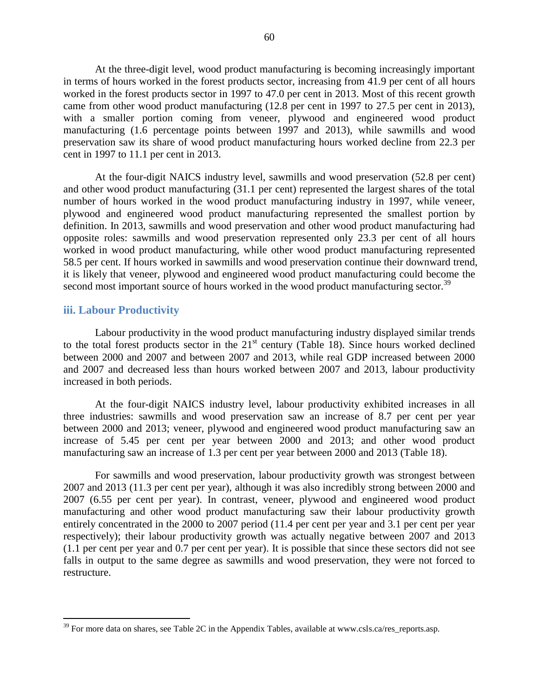At the three-digit level, wood product manufacturing is becoming increasingly important in terms of hours worked in the forest products sector, increasing from 41.9 per cent of all hours worked in the forest products sector in 1997 to 47.0 per cent in 2013. Most of this recent growth came from other wood product manufacturing (12.8 per cent in 1997 to 27.5 per cent in 2013), with a smaller portion coming from veneer, plywood and engineered wood product manufacturing (1.6 percentage points between 1997 and 2013), while sawmills and wood preservation saw its share of wood product manufacturing hours worked decline from 22.3 per cent in 1997 to 11.1 per cent in 2013.

At the four-digit NAICS industry level, sawmills and wood preservation (52.8 per cent) and other wood product manufacturing (31.1 per cent) represented the largest shares of the total number of hours worked in the wood product manufacturing industry in 1997, while veneer, plywood and engineered wood product manufacturing represented the smallest portion by definition. In 2013, sawmills and wood preservation and other wood product manufacturing had opposite roles: sawmills and wood preservation represented only 23.3 per cent of all hours worked in wood product manufacturing, while other wood product manufacturing represented 58.5 per cent. If hours worked in sawmills and wood preservation continue their downward trend, it is likely that veneer, plywood and engineered wood product manufacturing could become the second most important source of hours worked in the wood product manufacturing sector.<sup>39</sup>

## **iii. Labour Productivity**

 $\overline{a}$ 

Labour productivity in the wood product manufacturing industry displayed similar trends to the total forest products sector in the  $21<sup>st</sup>$  century [\(Table 18\)](#page-60-0). Since hours worked declined between 2000 and 2007 and between 2007 and 2013, while real GDP increased between 2000 and 2007 and decreased less than hours worked between 2007 and 2013, labour productivity increased in both periods.

At the four-digit NAICS industry level, labour productivity exhibited increases in all three industries: sawmills and wood preservation saw an increase of 8.7 per cent per year between 2000 and 2013; veneer, plywood and engineered wood product manufacturing saw an increase of 5.45 per cent per year between 2000 and 2013; and other wood product manufacturing saw an increase of 1.3 per cent per year between 2000 and 2013 [\(Table 18\)](#page-60-0).

For sawmills and wood preservation, labour productivity growth was strongest between 2007 and 2013 (11.3 per cent per year), although it was also incredibly strong between 2000 and 2007 (6.55 per cent per year). In contrast, veneer, plywood and engineered wood product manufacturing and other wood product manufacturing saw their labour productivity growth entirely concentrated in the 2000 to 2007 period (11.4 per cent per year and 3.1 per cent per year respectively); their labour productivity growth was actually negative between 2007 and 2013 (1.1 per cent per year and 0.7 per cent per year). It is possible that since these sectors did not see falls in output to the same degree as sawmills and wood preservation, they were not forced to restructure.

 $39$  For more data on shares, see Table 2C in the Appendix Tables, available at www.csls.ca/res\_reports.asp.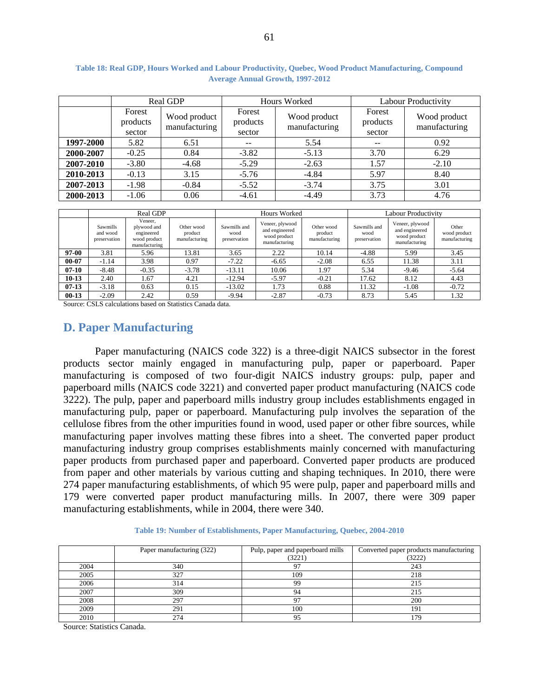|           |                                                               | <b>Real GDP</b> |                              | Hours Worked                  | <b>Labour Productivity</b>   |                               |  |  |  |
|-----------|---------------------------------------------------------------|-----------------|------------------------------|-------------------------------|------------------------------|-------------------------------|--|--|--|
|           | Forest<br>Wood product<br>products<br>manufacturing<br>sector |                 | Forest<br>products<br>sector | Wood product<br>manufacturing | Forest<br>products<br>sector | Wood product<br>manufacturing |  |  |  |
| 1997-2000 | 5.82                                                          | 6.51            | --                           | 5.54                          | $- -$                        | 0.92                          |  |  |  |
| 2000-2007 | $-0.25$                                                       | 0.84            | $-3.82$                      | $-5.13$                       | 3.70                         | 6.29                          |  |  |  |
| 2007-2010 | $-3.80$                                                       | $-4.68$         | $-5.29$                      | $-2.63$                       | 1.57                         | $-2.10$                       |  |  |  |
| 2010-2013 | $-0.13$                                                       | 3.15            | $-5.76$                      | $-4.84$                       | 5.97                         | 8.40                          |  |  |  |
| 2007-2013 | $-1.98$                                                       | $-0.84$         | $-5.52$                      | $-3.74$                       | 3.75                         | 3.01                          |  |  |  |
| 2000-2013 | $-1.06$                                                       | 0.06            | $-4.61$                      | $-4.49$                       | 3.73                         | 4.76                          |  |  |  |

<span id="page-60-0"></span>**Table 18: Real GDP, Hours Worked and Labour Productivity, Quebec, Wood Product Manufacturing, Compound Average Annual Growth, 1997-2012**

|           |                                      | Real GDP                                                              |                                        | Hours Worked                         |                                                                    |                                        | Labour Productivitv                  |                                                                    |                                        |
|-----------|--------------------------------------|-----------------------------------------------------------------------|----------------------------------------|--------------------------------------|--------------------------------------------------------------------|----------------------------------------|--------------------------------------|--------------------------------------------------------------------|----------------------------------------|
|           | Sawmills<br>and wood<br>preservation | Veneer,<br>plywood and<br>engineered<br>wood product<br>manufacturing | Other wood<br>product<br>manufacturing | Sawmills and<br>wood<br>preservation | Veneer, plywood<br>and engineered<br>wood product<br>manufacturing | Other wood<br>product<br>manufacturing | Sawmills and<br>wood<br>preservation | Veneer, plywood<br>and engineered<br>wood product<br>manufacturing | Other<br>wood product<br>manufacturing |
| 97-00     | 3.81                                 | 5.96                                                                  | 13.81                                  | 3.65                                 | 2.22                                                               | 10.14                                  | $-4.88$                              | 5.99                                                               | 3.45                                   |
| $00 - 07$ | $-1.14$                              | 3.98                                                                  | 0.97                                   | $-7.22$                              | $-6.65$                                                            | $-2.08$                                | 6.55                                 | 11.38                                                              | 3.11                                   |
| $07-10$   | $-8.48$                              | $-0.35$                                                               | $-3.78$                                | $-13.11$                             | 10.06                                                              | 97ء                                    | 5.34                                 | $-9.46$                                                            | $-5.64$                                |
| $10-13$   | 2.40                                 | 1.67                                                                  | 4.21                                   | $-12.94$                             | $-5.97$                                                            | $-0.21$                                | 17.62                                | 8.12                                                               | 4.43                                   |
| $07-13$   | $-3.18$                              | 0.63                                                                  | 0.15                                   | $-13.02$                             | 1.73                                                               | 0.88                                   | 11.32                                | $-1.08$                                                            | $-0.72$                                |
| $00-13$   | $-2.09$                              | 2.42                                                                  | 0.59                                   | $-9.94$                              | $-2.87$                                                            | $-0.73$                                | 8.73                                 | 5.45                                                               | 1.32                                   |

Source: CSLS calculations based on Statistics Canada data.

# **D. Paper Manufacturing**

Paper manufacturing (NAICS code 322) is a three-digit NAICS subsector in the forest products sector mainly engaged in manufacturing pulp, paper or paperboard. Paper manufacturing is composed of two four-digit NAICS industry groups: pulp, paper and paperboard mills (NAICS code 3221) and converted paper product manufacturing (NAICS code 3222). The pulp, paper and paperboard mills industry group includes establishments engaged in manufacturing pulp, paper or paperboard. Manufacturing pulp involves the separation of the cellulose fibres from the other impurities found in wood, used paper or other fibre sources, while manufacturing paper involves matting these fibres into a sheet. The converted paper product manufacturing industry group comprises establishments mainly concerned with manufacturing paper products from purchased paper and paperboard. Converted paper products are produced from paper and other materials by various cutting and shaping techniques. In 2010, there were 274 paper manufacturing establishments, of which 95 were pulp, paper and paperboard mills and 179 were converted paper product manufacturing mills. In 2007, there were 309 paper manufacturing establishments, while in 2004, there were 340.

#### **Table 19: Number of Establishments, Paper Manufacturing, Quebec, 2004-2010**

|      | Paper manufacturing (322) | Pulp, paper and paperboard mills<br>(3221) | Converted paper products manufacturing<br>(3222) |  |
|------|---------------------------|--------------------------------------------|--------------------------------------------------|--|
| 2004 | 340                       | 97                                         | 243                                              |  |
| 2005 | 327                       | 109                                        | 218                                              |  |
| 2006 | 314                       | 99                                         | 215                                              |  |
| 2007 | 309                       | 94                                         | 215                                              |  |
| 2008 | 297                       | 97                                         | 200                                              |  |
| 2009 | 291                       | 100                                        | 191                                              |  |
| 2010 | 274                       | 95                                         | 179                                              |  |

Source: Statistics Canada.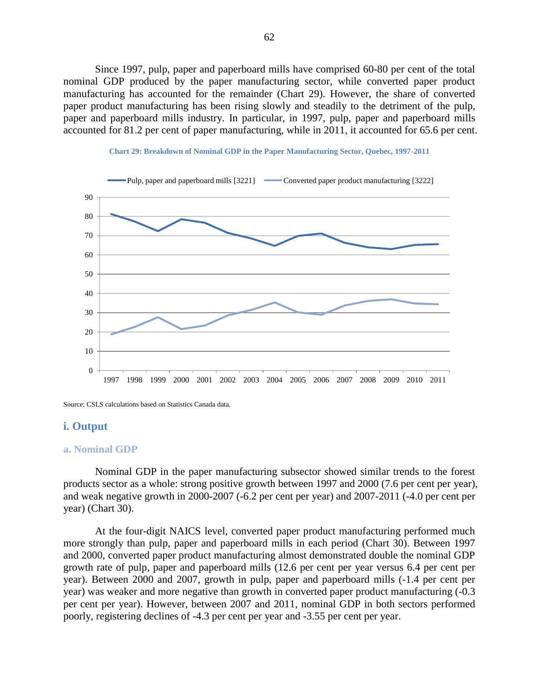Since 1997, pulp, paper and paperboard mills have comprised 60-80 per cent of the total nominal GDP produced by the paper manufacturing sector, while converted paper product manufacturing has accounted for the remainder [\(Chart 29\)](#page-61-0). However, the share of converted paper product manufacturing has been rising slowly and steadily to the detriment of the pulp, paper and paperboard mills industry. In particular, in 1997, pulp, paper and paperboard mills accounted for 81.2 per cent of paper manufacturing, while in 2011, it accounted for 65.6 per cent.

<span id="page-61-0"></span>



Source: CSLS calculations based on Statistics Canada data.

## **i. Output**

#### **a. Nominal GDP**

Nominal GDP in the paper manufacturing subsector showed similar trends to the forest products sector as a whole: strong positive growth between 1997 and 2000 (7.6 per cent per year), and weak negative growth in 2000-2007 (-6.2 per cent per year) and 2007-2011 (-4.0 per cent per year) [\(Chart 30\)](#page-62-0).

At the four-digit NAICS level, converted paper product manufacturing performed much more strongly than pulp, paper and paperboard mills in each period (Chart 30). Between 1997 and 2000, converted paper product manufacturing almost demonstrated double the nominal GDP growth rate of pulp, paper and paperboard mills (12.6 per cent per year versus 6.4 per cent per year). Between 2000 and 2007, growth in pulp, paper and paperboard mills (-1.4 per cent per year) was weaker and more negative than growth in converted paper product manufacturing (-0.3 per cent per year). However, between 2007 and 2011, nominal GDP in both sectors performed poorly, registering declines of -4.3 per cent per year and -3.55 per cent per year.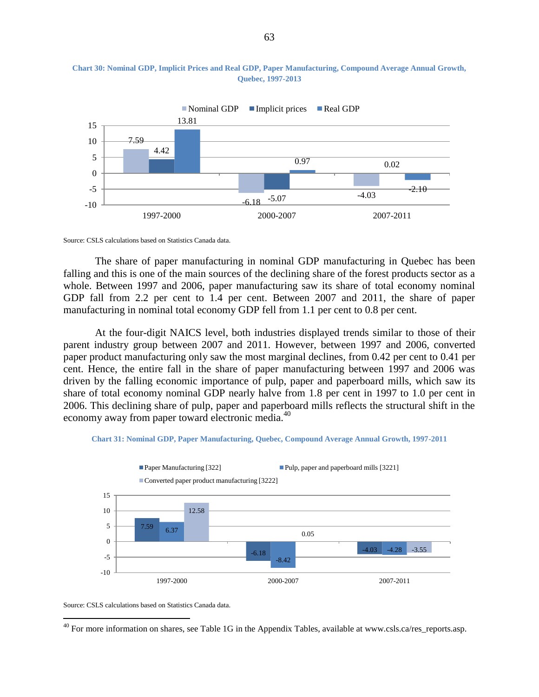

#### <span id="page-62-0"></span>**Chart 30: Nominal GDP, Implicit Prices and Real GDP, Paper Manufacturing, Compound Average Annual Growth, Quebec, 1997-2013**

Source: CSLS calculations based on Statistics Canada data.

The share of paper manufacturing in nominal GDP manufacturing in Quebec has been falling and this is one of the main sources of the declining share of the forest products sector as a whole. Between 1997 and 2006, paper manufacturing saw its share of total economy nominal GDP fall from 2.2 per cent to 1.4 per cent. Between 2007 and 2011, the share of paper manufacturing in nominal total economy GDP fell from 1.1 per cent to 0.8 per cent.

At the four-digit NAICS level, both industries displayed trends similar to those of their parent industry group between 2007 and 2011. However, between 1997 and 2006, converted paper product manufacturing only saw the most marginal declines, from 0.42 per cent to 0.41 per cent. Hence, the entire fall in the share of paper manufacturing between 1997 and 2006 was driven by the falling economic importance of pulp, paper and paperboard mills, which saw its share of total economy nominal GDP nearly halve from 1.8 per cent in 1997 to 1.0 per cent in 2006. This declining share of pulp, paper and paperboard mills reflects the structural shift in the economy away from paper toward electronic media.<sup>40</sup>





Source: CSLS calculations based on Statistics Canada data.

 $\overline{a}$ 

 $40$  For more information on shares, see Table 1G in the Appendix Tables, available at www.csls.ca/res\_reports.asp.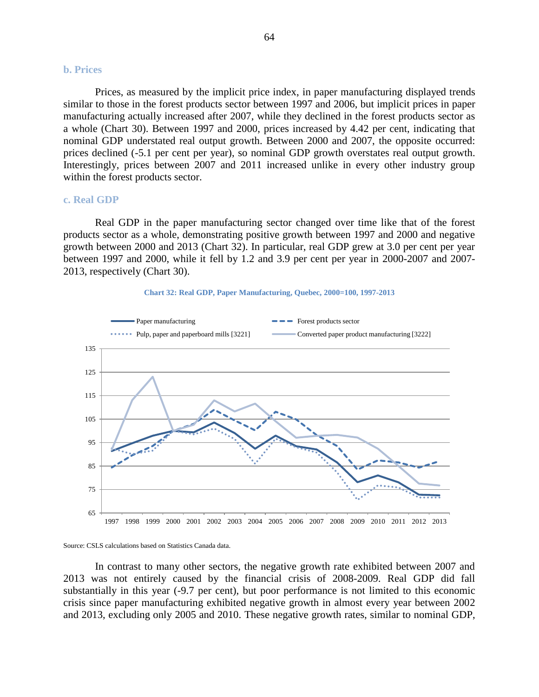#### **b. Prices**

Prices, as measured by the implicit price index, in paper manufacturing displayed trends similar to those in the forest products sector between 1997 and 2006, but implicit prices in paper manufacturing actually increased after 2007, while they declined in the forest products sector as a whole [\(Chart 30\)](#page-62-0). Between 1997 and 2000, prices increased by 4.42 per cent, indicating that nominal GDP understated real output growth. Between 2000 and 2007, the opposite occurred: prices declined (-5.1 per cent per year), so nominal GDP growth overstates real output growth. Interestingly, prices between 2007 and 2011 increased unlike in every other industry group within the forest products sector.

#### **c. Real GDP**

Real GDP in the paper manufacturing sector changed over time like that of the forest products sector as a whole, demonstrating positive growth between 1997 and 2000 and negative growth between 2000 and 2013 [\(Chart 32\)](#page-63-0). In particular, real GDP grew at 3.0 per cent per year between 1997 and 2000, while it fell by 1.2 and 3.9 per cent per year in 2000-2007 and 2007- 2013, respectively [\(Chart 30\)](#page-62-0).

<span id="page-63-0"></span>





In contrast to many other sectors, the negative growth rate exhibited between 2007 and 2013 was not entirely caused by the financial crisis of 2008-2009. Real GDP did fall substantially in this year (-9.7 per cent), but poor performance is not limited to this economic crisis since paper manufacturing exhibited negative growth in almost every year between 2002 and 2013, excluding only 2005 and 2010. These negative growth rates, similar to nominal GDP,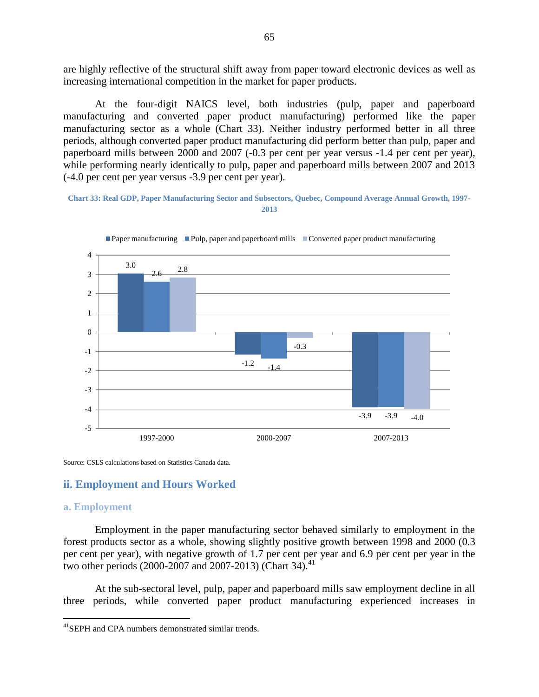are highly reflective of the structural shift away from paper toward electronic devices as well as increasing international competition in the market for paper products.

At the four-digit NAICS level, both industries (pulp, paper and paperboard manufacturing and converted paper product manufacturing) performed like the paper manufacturing sector as a whole [\(Chart 33\)](#page-64-0). Neither industry performed better in all three periods, although converted paper product manufacturing did perform better than pulp, paper and paperboard mills between 2000 and 2007 (-0.3 per cent per year versus -1.4 per cent per year), while performing nearly identically to pulp, paper and paperboard mills between 2007 and 2013 (-4.0 per cent per year versus -3.9 per cent per year).

#### <span id="page-64-0"></span>**Chart 33: Real GDP, Paper Manufacturing Sector and Subsectors, Quebec, Compound Average Annual Growth, 1997- 2013**



Paper manufacturing Pulp, paper and paperboard mills Converted paper product manufacturing

Source: CSLS calculations based on Statistics Canada data.

#### **ii. Employment and Hours Worked**

#### **a. Employment**

 $\overline{a}$ 

Employment in the paper manufacturing sector behaved similarly to employment in the forest products sector as a whole, showing slightly positive growth between 1998 and 2000 (0.3 per cent per year), with negative growth of 1.7 per cent per year and 6.9 per cent per year in the two other periods (2000-2007 and 2007-2013) [\(Chart 34\)](#page-65-0).<sup>41</sup>

At the sub-sectoral level, pulp, paper and paperboard mills saw employment decline in all three periods, while converted paper product manufacturing experienced increases in

<sup>&</sup>lt;sup>41</sup>SEPH and CPA numbers demonstrated similar trends.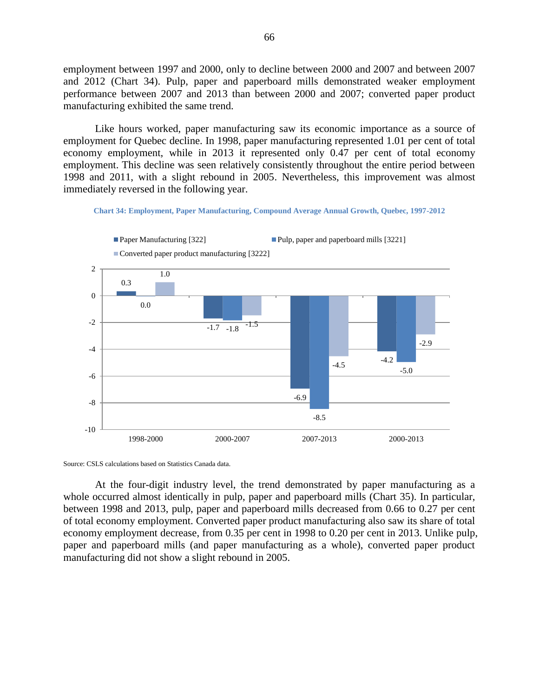employment between 1997 and 2000, only to decline between 2000 and 2007 and between 2007 and 2012 [\(Chart 34\)](#page-65-0). Pulp, paper and paperboard mills demonstrated weaker employment performance between 2007 and 2013 than between 2000 and 2007; converted paper product manufacturing exhibited the same trend.

Like hours worked, paper manufacturing saw its economic importance as a source of employment for Quebec decline. In 1998, paper manufacturing represented 1.01 per cent of total economy employment, while in 2013 it represented only 0.47 per cent of total economy employment. This decline was seen relatively consistently throughout the entire period between 1998 and 2011, with a slight rebound in 2005. Nevertheless, this improvement was almost immediately reversed in the following year.

**Chart 34: Employment, Paper Manufacturing, Compound Average Annual Growth, Quebec, 1997-2012**

<span id="page-65-0"></span>

Source: CSLS calculations based on Statistics Canada data.

At the four-digit industry level, the trend demonstrated by paper manufacturing as a whole occurred almost identically in pulp, paper and paperboard mills [\(Chart](#page-66-0) 35). In particular, between 1998 and 2013, pulp, paper and paperboard mills decreased from 0.66 to 0.27 per cent of total economy employment. Converted paper product manufacturing also saw its share of total economy employment decrease, from 0.35 per cent in 1998 to 0.20 per cent in 2013. Unlike pulp, paper and paperboard mills (and paper manufacturing as a whole), converted paper product manufacturing did not show a slight rebound in 2005.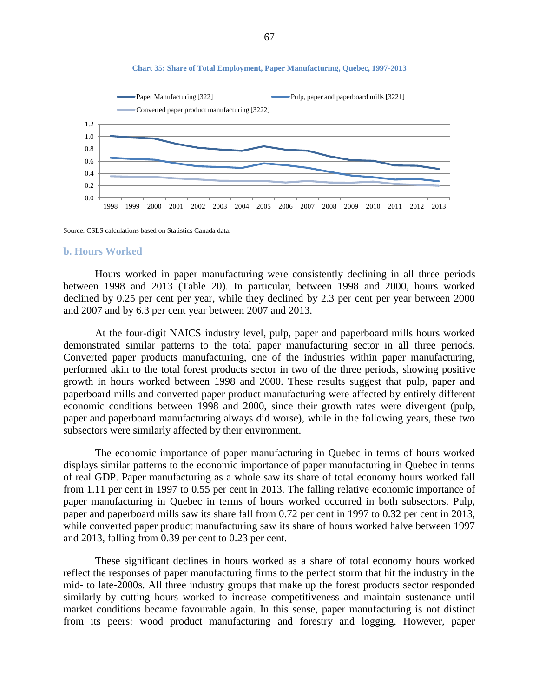<span id="page-66-0"></span>

#### **Chart 35: Share of Total Employment, Paper Manufacturing, Quebec, 1997-2013**

Source: CSLS calculations based on Statistics Canada data.

#### **b. Hours Worked**

Hours worked in paper manufacturing were consistently declining in all three periods between 1998 and 2013 (Table 20). In particular, between 1998 and 2000, hours worked declined by 0.25 per cent per year, while they declined by 2.3 per cent per year between 2000 and 2007 and by 6.3 per cent year between 2007 and 2013.

At the four-digit NAICS industry level, pulp, paper and paperboard mills hours worked demonstrated similar patterns to the total paper manufacturing sector in all three periods. Converted paper products manufacturing, one of the industries within paper manufacturing, performed akin to the total forest products sector in two of the three periods, showing positive growth in hours worked between 1998 and 2000. These results suggest that pulp, paper and paperboard mills and converted paper product manufacturing were affected by entirely different economic conditions between 1998 and 2000, since their growth rates were divergent (pulp, paper and paperboard manufacturing always did worse), while in the following years, these two subsectors were similarly affected by their environment.

The economic importance of paper manufacturing in Quebec in terms of hours worked displays similar patterns to the economic importance of paper manufacturing in Quebec in terms of real GDP. Paper manufacturing as a whole saw its share of total economy hours worked fall from 1.11 per cent in 1997 to 0.55 per cent in 2013. The falling relative economic importance of paper manufacturing in Quebec in terms of hours worked occurred in both subsectors. Pulp, paper and paperboard mills saw its share fall from 0.72 per cent in 1997 to 0.32 per cent in 2013, while converted paper product manufacturing saw its share of hours worked halve between 1997 and 2013, falling from 0.39 per cent to 0.23 per cent.

These significant declines in hours worked as a share of total economy hours worked reflect the responses of paper manufacturing firms to the perfect storm that hit the industry in the mid- to late-2000s. All three industry groups that make up the forest products sector responded similarly by cutting hours worked to increase competitiveness and maintain sustenance until market conditions became favourable again. In this sense, paper manufacturing is not distinct from its peers: wood product manufacturing and forestry and logging. However, paper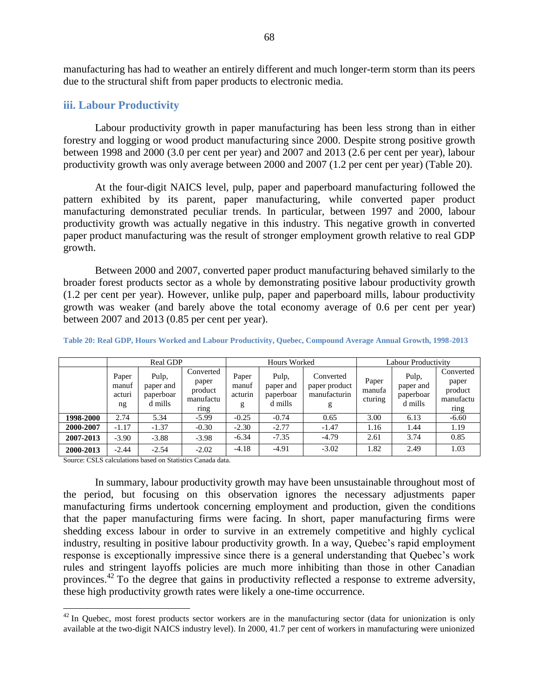manufacturing has had to weather an entirely different and much longer-term storm than its peers due to the structural shift from paper products to electronic media.

## **iii. Labour Productivity**

Labour productivity growth in paper manufacturing has been less strong than in either forestry and logging or wood product manufacturing since 2000. Despite strong positive growth between 1998 and 2000 (3.0 per cent per year) and 2007 and 2013 (2.6 per cent per year), labour productivity growth was only average between 2000 and 2007 (1.2 per cent per year) [\(Table 20\)](#page-67-0).

At the four-digit NAICS level, pulp, paper and paperboard manufacturing followed the pattern exhibited by its parent, paper manufacturing, while converted paper product manufacturing demonstrated peculiar trends. In particular, between 1997 and 2000, labour productivity growth was actually negative in this industry. This negative growth in converted paper product manufacturing was the result of stronger employment growth relative to real GDP growth.

Between 2000 and 2007, converted paper product manufacturing behaved similarly to the broader forest products sector as a whole by demonstrating positive labour productivity growth (1.2 per cent per year). However, unlike pulp, paper and paperboard mills, labour productivity growth was weaker (and barely above the total economy average of 0.6 per cent per year) between 2007 and 2013 (0.85 per cent per year).

|           | Real GDP                       |                                            |                                                    | Hours Worked                   |                                            |                                                 | Labour Productivity        |                                            |                                                    |
|-----------|--------------------------------|--------------------------------------------|----------------------------------------------------|--------------------------------|--------------------------------------------|-------------------------------------------------|----------------------------|--------------------------------------------|----------------------------------------------------|
|           | Paper<br>manuf<br>acturi<br>ng | Pulp,<br>paper and<br>paperboar<br>d mills | Converted<br>paper<br>product<br>manufactu<br>ring | Paper<br>manuf<br>acturin<br>g | Pulp.<br>paper and<br>paperboar<br>d mills | Converted<br>paper product<br>manufacturin<br>g | Paper<br>manufa<br>cturing | Pulp,<br>paper and<br>paperboar<br>d mills | Converted<br>paper<br>product<br>manufactu<br>ring |
| 1998-2000 | 2.74                           | 5.34                                       | $-5.99$                                            | $-0.25$                        | $-0.74$                                    | 0.65                                            | 3.00                       | 6.13                                       | $-6.60$                                            |
| 2000-2007 | $-1.17$                        | $-1.37$                                    | $-0.30$                                            | $-2.30$                        | $-2.77$                                    | $-1.47$                                         | 1.16                       | 1.44                                       | 1.19                                               |
| 2007-2013 | $-3.90$                        | $-3.88$                                    | $-3.98$                                            | $-6.34$                        | $-7.35$                                    | $-4.79$                                         | 2.61                       | 3.74                                       | 0.85                                               |
| 2000-2013 | $-2.44$                        | $-2.54$                                    | $-2.02$                                            | $-4.18$                        | $-4.91$                                    | $-3.02$                                         | 1.82                       | 2.49                                       | 1.03                                               |

<span id="page-67-0"></span>**Table 20: Real GDP, Hours Worked and Labour Productivity, Quebec, Compound Average Annual Growth, 1998-2013**

Source: CSLS calculations based on Statistics Canada data.

 $\overline{a}$ 

In summary, labour productivity growth may have been unsustainable throughout most of the period, but focusing on this observation ignores the necessary adjustments paper manufacturing firms undertook concerning employment and production, given the conditions that the paper manufacturing firms were facing. In short, paper manufacturing firms were shedding excess labour in order to survive in an extremely competitive and highly cyclical industry, resulting in positive labour productivity growth. In a way, Quebec's rapid employment response is exceptionally impressive since there is a general understanding that Quebec's work rules and stringent layoffs policies are much more inhibiting than those in other Canadian provinces.<sup>42</sup> To the degree that gains in productivity reflected a response to extreme adversity, these high productivity growth rates were likely a one-time occurrence.

 $42$  In Quebec, most forest products sector workers are in the manufacturing sector (data for unionization is only available at the two-digit NAICS industry level). In 2000, 41.7 per cent of workers in manufacturing were unionized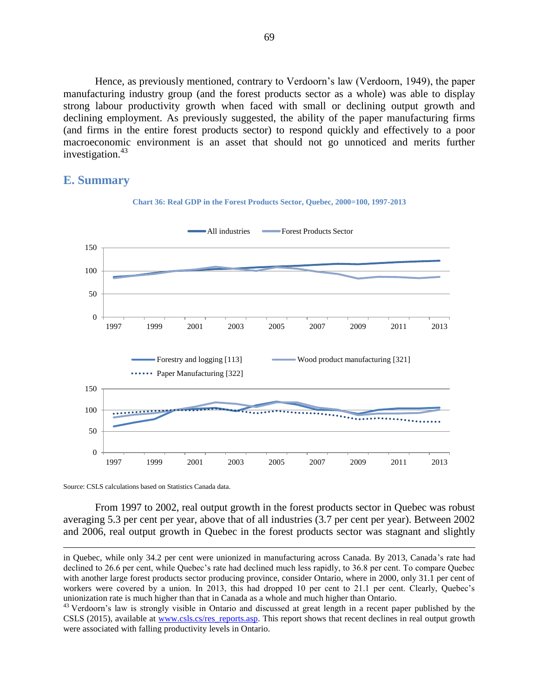Hence, as previously mentioned, contrary to Verdoorn's law (Verdoorn, 1949), the paper manufacturing industry group (and the forest products sector as a whole) was able to display strong labour productivity growth when faced with small or declining output growth and declining employment. As previously suggested, the ability of the paper manufacturing firms (and firms in the entire forest products sector) to respond quickly and effectively to a poor macroeconomic environment is an asset that should not go unnoticed and merits further investigation. $43$ 

# **E. Summary**



**Chart 36: Real GDP in the Forest Products Sector, Quebec, 2000=100, 1997-2013**

Source: CSLS calculations based on Statistics Canada data.

 $\overline{a}$ 

From 1997 to 2002, real output growth in the forest products sector in Quebec was robust averaging 5.3 per cent per year, above that of all industries (3.7 per cent per year). Between 2002 and 2006, real output growth in Quebec in the forest products sector was stagnant and slightly

in Quebec, while only 34.2 per cent were unionized in manufacturing across Canada. By 2013, Canada's rate had declined to 26.6 per cent, while Quebec's rate had declined much less rapidly, to 36.8 per cent. To compare Quebec with another large forest products sector producing province, consider Ontario, where in 2000, only 31.1 per cent of workers were covered by a union. In 2013, this had dropped 10 per cent to 21.1 per cent. Clearly, Ouebec's unionization rate is much higher than that in Canada as a whole and much higher than Ontario.

<sup>&</sup>lt;sup>43</sup> Verdoorn's law is strongly visible in Ontario and discussed at great length in a recent paper published by the CSLS (2015), available at [www.csls.cs/res\\_reports.asp.](http://www.csls.cs/res_reports.asp) This report shows that recent declines in real output growth were associated with falling productivity levels in Ontario.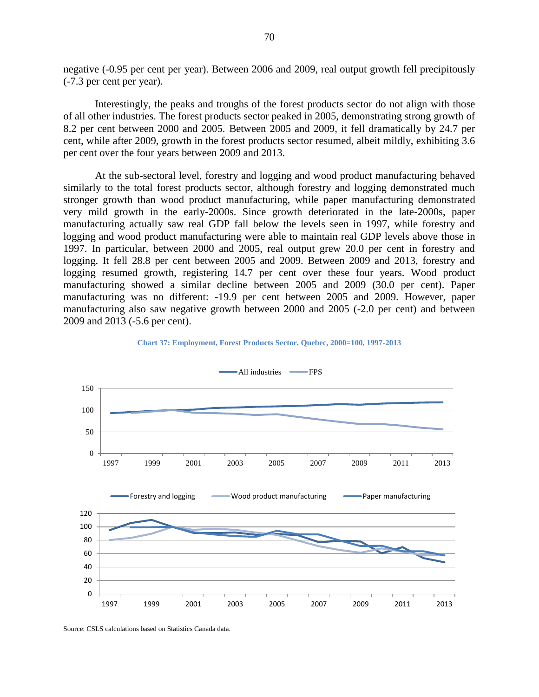negative (-0.95 per cent per year). Between 2006 and 2009, real output growth fell precipitously (-7.3 per cent per year).

Interestingly, the peaks and troughs of the forest products sector do not align with those of all other industries. The forest products sector peaked in 2005, demonstrating strong growth of 8.2 per cent between 2000 and 2005. Between 2005 and 2009, it fell dramatically by 24.7 per cent, while after 2009, growth in the forest products sector resumed, albeit mildly, exhibiting 3.6 per cent over the four years between 2009 and 2013.

At the sub-sectoral level, forestry and logging and wood product manufacturing behaved similarly to the total forest products sector, although forestry and logging demonstrated much stronger growth than wood product manufacturing, while paper manufacturing demonstrated very mild growth in the early-2000s. Since growth deteriorated in the late-2000s, paper manufacturing actually saw real GDP fall below the levels seen in 1997, while forestry and logging and wood product manufacturing were able to maintain real GDP levels above those in 1997. In particular, between 2000 and 2005, real output grew 20.0 per cent in forestry and logging. It fell 28.8 per cent between 2005 and 2009. Between 2009 and 2013, forestry and logging resumed growth, registering 14.7 per cent over these four years. Wood product manufacturing showed a similar decline between 2005 and 2009 (30.0 per cent). Paper manufacturing was no different: -19.9 per cent between 2005 and 2009. However, paper manufacturing also saw negative growth between 2000 and 2005 (-2.0 per cent) and between 2009 and 2013 (-5.6 per cent).





Source: CSLS calculations based on Statistics Canada data.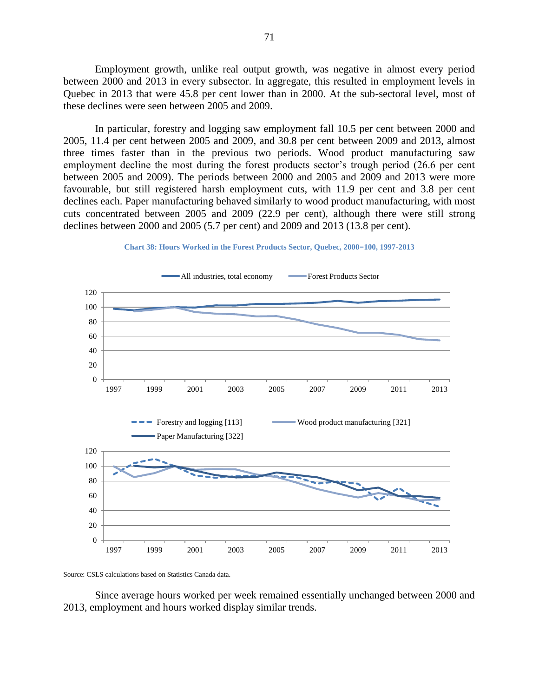Employment growth, unlike real output growth, was negative in almost every period between 2000 and 2013 in every subsector. In aggregate, this resulted in employment levels in Quebec in 2013 that were 45.8 per cent lower than in 2000. At the sub-sectoral level, most of these declines were seen between 2005 and 2009.

In particular, forestry and logging saw employment fall 10.5 per cent between 2000 and 2005, 11.4 per cent between 2005 and 2009, and 30.8 per cent between 2009 and 2013, almost three times faster than in the previous two periods. Wood product manufacturing saw employment decline the most during the forest products sector's trough period (26.6 per cent between 2005 and 2009). The periods between 2000 and 2005 and 2009 and 2013 were more favourable, but still registered harsh employment cuts, with 11.9 per cent and 3.8 per cent declines each. Paper manufacturing behaved similarly to wood product manufacturing, with most cuts concentrated between 2005 and 2009 (22.9 per cent), although there were still strong declines between 2000 and 2005 (5.7 per cent) and 2009 and 2013 (13.8 per cent).





Source: CSLS calculations based on Statistics Canada data.

Since average hours worked per week remained essentially unchanged between 2000 and 2013, employment and hours worked display similar trends.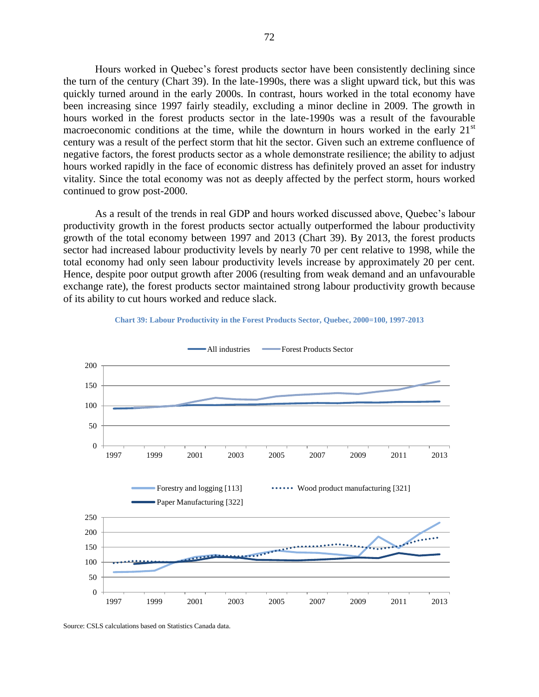Hours worked in Quebec's forest products sector have been consistently declining since the turn of the century (Chart 39). In the late-1990s, there was a slight upward tick, but this was quickly turned around in the early 2000s. In contrast, hours worked in the total economy have been increasing since 1997 fairly steadily, excluding a minor decline in 2009. The growth in hours worked in the forest products sector in the late-1990s was a result of the favourable macroeconomic conditions at the time, while the downturn in hours worked in the early  $21<sup>st</sup>$ century was a result of the perfect storm that hit the sector. Given such an extreme confluence of negative factors, the forest products sector as a whole demonstrate resilience; the ability to adjust hours worked rapidly in the face of economic distress has definitely proved an asset for industry vitality. Since the total economy was not as deeply affected by the perfect storm, hours worked continued to grow post-2000.

As a result of the trends in real GDP and hours worked discussed above, Quebec's labour productivity growth in the forest products sector actually outperformed the labour productivity growth of the total economy between 1997 and 2013 [\(Chart 39\)](#page-71-0). By 2013, the forest products sector had increased labour productivity levels by nearly 70 per cent relative to 1998, while the total economy had only seen labour productivity levels increase by approximately 20 per cent. Hence, despite poor output growth after 2006 (resulting from weak demand and an unfavourable exchange rate), the forest products sector maintained strong labour productivity growth because of its ability to cut hours worked and reduce slack.

<span id="page-71-0"></span>

**Chart 39: Labour Productivity in the Forest Products Sector, Quebec, 2000=100, 1997-2013**

Source: CSLS calculations based on Statistics Canada data.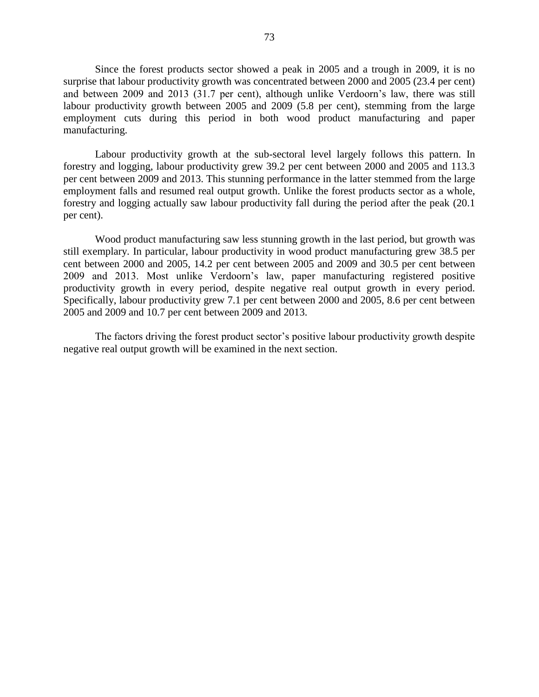Since the forest products sector showed a peak in 2005 and a trough in 2009, it is no surprise that labour productivity growth was concentrated between 2000 and 2005 (23.4 per cent) and between 2009 and 2013 (31.7 per cent), although unlike Verdoorn's law, there was still labour productivity growth between 2005 and 2009 (5.8 per cent), stemming from the large employment cuts during this period in both wood product manufacturing and paper manufacturing.

Labour productivity growth at the sub-sectoral level largely follows this pattern. In forestry and logging, labour productivity grew 39.2 per cent between 2000 and 2005 and 113.3 per cent between 2009 and 2013. This stunning performance in the latter stemmed from the large employment falls and resumed real output growth. Unlike the forest products sector as a whole, forestry and logging actually saw labour productivity fall during the period after the peak (20.1 per cent).

Wood product manufacturing saw less stunning growth in the last period, but growth was still exemplary. In particular, labour productivity in wood product manufacturing grew 38.5 per cent between 2000 and 2005, 14.2 per cent between 2005 and 2009 and 30.5 per cent between 2009 and 2013. Most unlike Verdoorn's law, paper manufacturing registered positive productivity growth in every period, despite negative real output growth in every period. Specifically, labour productivity grew 7.1 per cent between 2000 and 2005, 8.6 per cent between 2005 and 2009 and 10.7 per cent between 2009 and 2013.

The factors driving the forest product sector's positive labour productivity growth despite negative real output growth will be examined in the next section.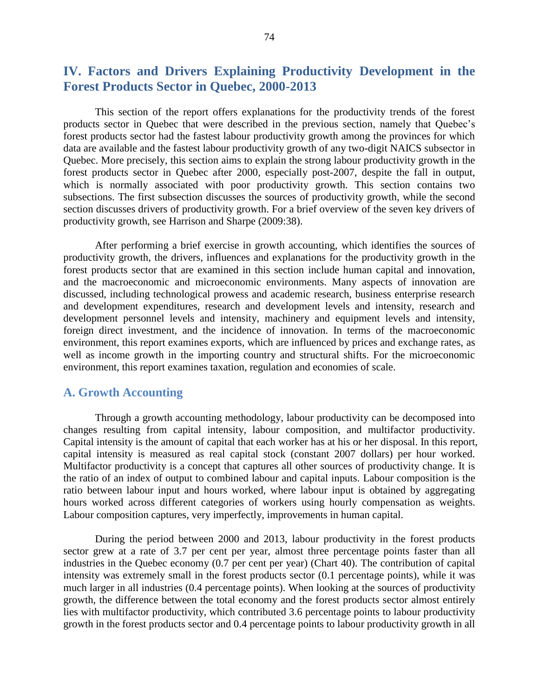# **IV. Factors and Drivers Explaining Productivity Development in the Forest Products Sector in Quebec, 2000-2013**

This section of the report offers explanations for the productivity trends of the forest products sector in Quebec that were described in the previous section, namely that Quebec's forest products sector had the fastest labour productivity growth among the provinces for which data are available and the fastest labour productivity growth of any two-digit NAICS subsector in Quebec. More precisely, this section aims to explain the strong labour productivity growth in the forest products sector in Quebec after 2000, especially post-2007, despite the fall in output, which is normally associated with poor productivity growth. This section contains two subsections. The first subsection discusses the sources of productivity growth, while the second section discusses drivers of productivity growth. For a brief overview of the seven key drivers of productivity growth, see Harrison and Sharpe (2009:38).

After performing a brief exercise in growth accounting, which identifies the sources of productivity growth, the drivers, influences and explanations for the productivity growth in the forest products sector that are examined in this section include human capital and innovation, and the macroeconomic and microeconomic environments. Many aspects of innovation are discussed, including technological prowess and academic research, business enterprise research and development expenditures, research and development levels and intensity, research and development personnel levels and intensity, machinery and equipment levels and intensity, foreign direct investment, and the incidence of innovation. In terms of the macroeconomic environment, this report examines exports, which are influenced by prices and exchange rates, as well as income growth in the importing country and structural shifts. For the microeconomic environment, this report examines taxation, regulation and economies of scale.

## **A. Growth Accounting**

Through a growth accounting methodology, labour productivity can be decomposed into changes resulting from capital intensity, labour composition, and multifactor productivity. Capital intensity is the amount of capital that each worker has at his or her disposal. In this report, capital intensity is measured as real capital stock (constant 2007 dollars) per hour worked. Multifactor productivity is a concept that captures all other sources of productivity change. It is the ratio of an index of output to combined labour and capital inputs. Labour composition is the ratio between labour input and hours worked, where labour input is obtained by aggregating hours worked across different categories of workers using hourly compensation as weights. Labour composition captures, very imperfectly, improvements in human capital.

During the period between 2000 and 2013, labour productivity in the forest products sector grew at a rate of 3.7 per cent per year, almost three percentage points faster than all industries in the Quebec economy (0.7 per cent per year) [\(Chart 40\)](#page-75-0). The contribution of capital intensity was extremely small in the forest products sector (0.1 percentage points), while it was much larger in all industries (0.4 percentage points). When looking at the sources of productivity growth, the difference between the total economy and the forest products sector almost entirely lies with multifactor productivity, which contributed 3.6 percentage points to labour productivity growth in the forest products sector and 0.4 percentage points to labour productivity growth in all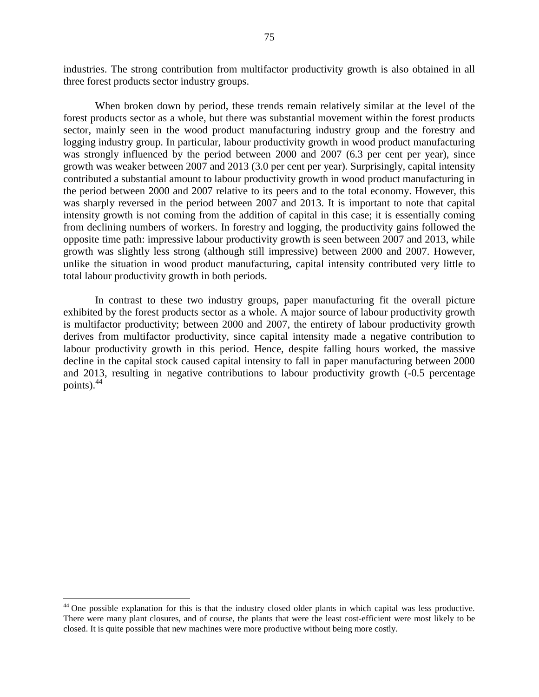industries. The strong contribution from multifactor productivity growth is also obtained in all three forest products sector industry groups.

When broken down by period, these trends remain relatively similar at the level of the forest products sector as a whole, but there was substantial movement within the forest products sector, mainly seen in the wood product manufacturing industry group and the forestry and logging industry group. In particular, labour productivity growth in wood product manufacturing was strongly influenced by the period between 2000 and 2007 (6.3 per cent per year), since growth was weaker between 2007 and 2013 (3.0 per cent per year). Surprisingly, capital intensity contributed a substantial amount to labour productivity growth in wood product manufacturing in the period between 2000 and 2007 relative to its peers and to the total economy. However, this was sharply reversed in the period between 2007 and 2013. It is important to note that capital intensity growth is not coming from the addition of capital in this case; it is essentially coming from declining numbers of workers. In forestry and logging, the productivity gains followed the opposite time path: impressive labour productivity growth is seen between 2007 and 2013, while growth was slightly less strong (although still impressive) between 2000 and 2007. However, unlike the situation in wood product manufacturing, capital intensity contributed very little to total labour productivity growth in both periods.

In contrast to these two industry groups, paper manufacturing fit the overall picture exhibited by the forest products sector as a whole. A major source of labour productivity growth is multifactor productivity; between 2000 and 2007, the entirety of labour productivity growth derives from multifactor productivity, since capital intensity made a negative contribution to labour productivity growth in this period. Hence, despite falling hours worked, the massive decline in the capital stock caused capital intensity to fall in paper manufacturing between 2000 and 2013, resulting in negative contributions to labour productivity growth (-0.5 percentage points). $44$ 

<sup>&</sup>lt;sup>44</sup> One possible explanation for this is that the industry closed older plants in which capital was less productive. There were many plant closures, and of course, the plants that were the least cost-efficient were most likely to be closed. It is quite possible that new machines were more productive without being more costly.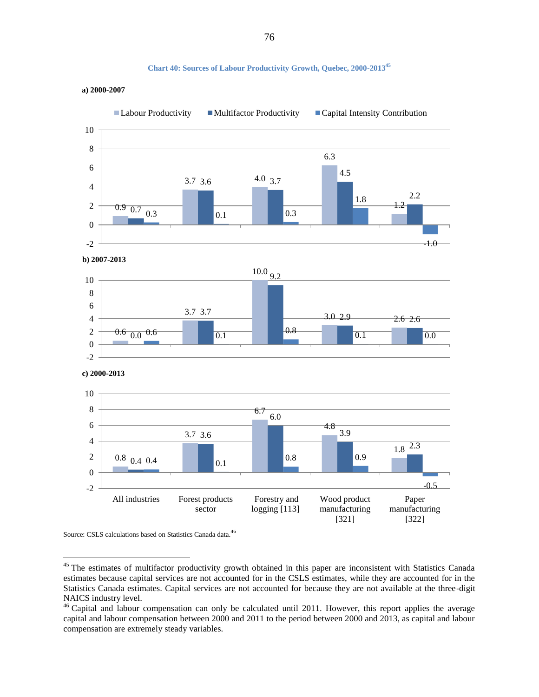#### **Chart 40: Sources of Labour Productivity Growth, Quebec, 2000-2013 45**

<span id="page-75-0"></span>



Source: CSLS calculations based on Statistics Canada data.<sup>46</sup>

 $45$  The estimates of multifactor productivity growth obtained in this paper are inconsistent with Statistics Canada estimates because capital services are not accounted for in the CSLS estimates, while they are accounted for in the Statistics Canada estimates. Capital services are not accounted for because they are not available at the three-digit NAICS industry level.

<sup>&</sup>lt;sup>46</sup> Capital and labour compensation can only be calculated until 2011. However, this report applies the average capital and labour compensation between 2000 and 2011 to the period between 2000 and 2013, as capital and labour compensation are extremely steady variables.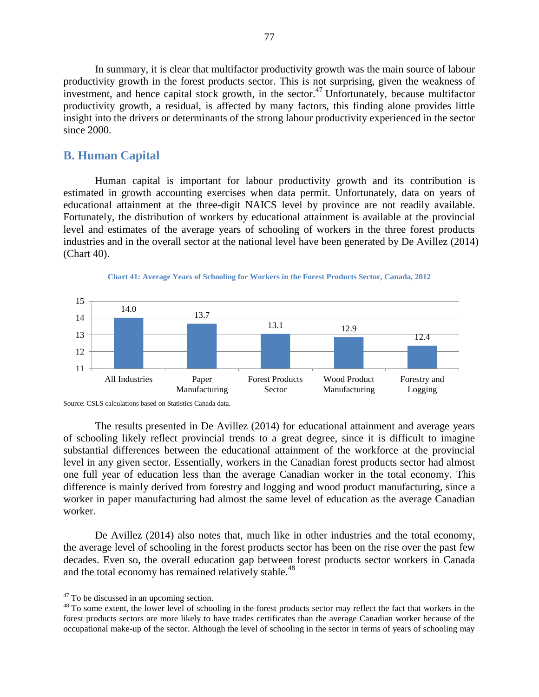In summary, it is clear that multifactor productivity growth was the main source of labour productivity growth in the forest products sector. This is not surprising, given the weakness of investment, and hence capital stock growth, in the sector.<sup>47</sup> Unfortunately, because multifactor productivity growth, a residual, is affected by many factors, this finding alone provides little insight into the drivers or determinants of the strong labour productivity experienced in the sector since 2000.

## **B. Human Capital**

Human capital is important for labour productivity growth and its contribution is estimated in growth accounting exercises when data permit. Unfortunately, data on years of educational attainment at the three-digit NAICS level by province are not readily available. Fortunately, the distribution of workers by educational attainment is available at the provincial level and estimates of the average years of schooling of workers in the three forest products industries and in the overall sector at the national level have been generated by De Avillez (2014) (Chart 40).





The results presented in De Avillez (2014) for educational attainment and average years of schooling likely reflect provincial trends to a great degree, since it is difficult to imagine substantial differences between the educational attainment of the workforce at the provincial level in any given sector. Essentially, workers in the Canadian forest products sector had almost one full year of education less than the average Canadian worker in the total economy. This difference is mainly derived from forestry and logging and wood product manufacturing, since a worker in paper manufacturing had almost the same level of education as the average Canadian worker.

De Avillez (2014) also notes that, much like in other industries and the total economy, the average level of schooling in the forest products sector has been on the rise over the past few decades. Even so, the overall education gap between forest products sector workers in Canada and the total economy has remained relatively stable.<sup>48</sup>

Source: CSLS calculations based on Statistics Canada data.

<sup>&</sup>lt;sup>47</sup> To be discussed in an upcoming section.

<sup>&</sup>lt;sup>48</sup> To some extent, the lower level of schooling in the forest products sector may reflect the fact that workers in the forest products sectors are more likely to have trades certificates than the average Canadian worker because of the occupational make-up of the sector. Although the level of schooling in the sector in terms of years of schooling may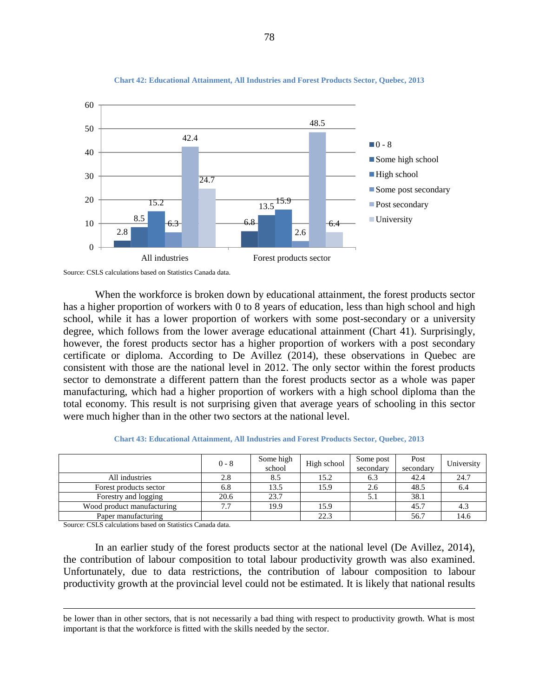

#### **Chart 42: Educational Attainment, All Industries and Forest Products Sector, Quebec, 2013**



When the workforce is broken down by educational attainment, the forest products sector has a higher proportion of workers with 0 to 8 years of education, less than high school and high school, while it has a lower proportion of workers with some post-secondary or a university degree, which follows from the lower average educational attainment (Chart 41). Surprisingly, however, the forest products sector has a higher proportion of workers with a post secondary certificate or diploma. According to De Avillez (2014), these observations in Quebec are consistent with those are the national level in 2012. The only sector within the forest products sector to demonstrate a different pattern than the forest products sector as a whole was paper manufacturing, which had a higher proportion of workers with a high school diploma than the total economy. This result is not surprising given that average years of schooling in this sector were much higher than in the other two sectors at the national level.

| <b>Chart 43: Educational Attainment, All Industries and Forest Products Sector, Quebec, 2013</b> |  |  |  |  |
|--------------------------------------------------------------------------------------------------|--|--|--|--|
|--------------------------------------------------------------------------------------------------|--|--|--|--|

|                            | $0 - 8$ | Some high<br>school | High school | Some post<br>secondary | Post<br>secondary | University |
|----------------------------|---------|---------------------|-------------|------------------------|-------------------|------------|
| All industries             | 2.8     | 8.5                 | 15.2        | 0.3                    | 42.4              | 24.7       |
| Forest products sector     | 6.8     | 13.5                | 15.9        | 2.6                    | 48.5              | 6.4        |
| Forestry and logging       | 20.6    | 23.7                |             | J.I                    | 38.1              |            |
| Wood product manufacturing | 7.7     | 19.9                | 15.9        |                        | 45.7              |            |
| Paper manufacturing        |         |                     | 22.3        |                        | 56.7              | 14.6       |

Source: CSLS calculations based on Statistics Canada data.

 $\overline{a}$ 

In an earlier study of the forest products sector at the national level (De Avillez, 2014), the contribution of labour composition to total labour productivity growth was also examined. Unfortunately, due to data restrictions, the contribution of labour composition to labour productivity growth at the provincial level could not be estimated. It is likely that national results

be lower than in other sectors, that is not necessarily a bad thing with respect to productivity growth. What is most important is that the workforce is fitted with the skills needed by the sector.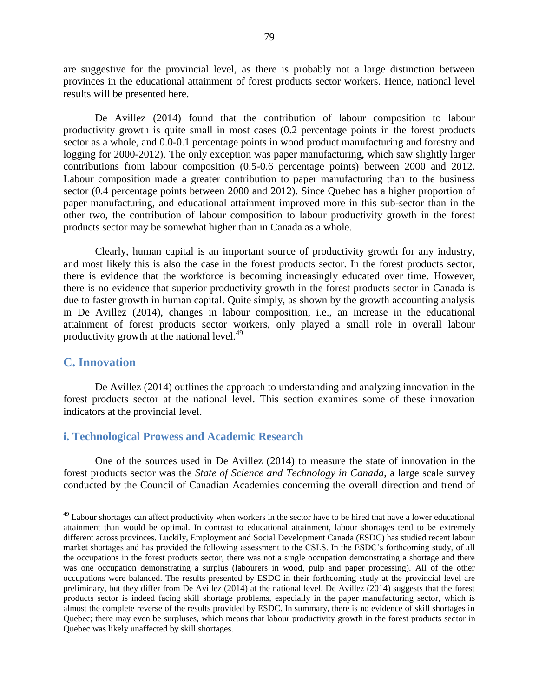are suggestive for the provincial level, as there is probably not a large distinction between provinces in the educational attainment of forest products sector workers. Hence, national level results will be presented here.

De Avillez (2014) found that the contribution of labour composition to labour productivity growth is quite small in most cases (0.2 percentage points in the forest products sector as a whole, and 0.0-0.1 percentage points in wood product manufacturing and forestry and logging for 2000-2012). The only exception was paper manufacturing, which saw slightly larger contributions from labour composition (0.5-0.6 percentage points) between 2000 and 2012. Labour composition made a greater contribution to paper manufacturing than to the business sector (0.4 percentage points between 2000 and 2012). Since Quebec has a higher proportion of paper manufacturing, and educational attainment improved more in this sub-sector than in the other two, the contribution of labour composition to labour productivity growth in the forest products sector may be somewhat higher than in Canada as a whole.

Clearly, human capital is an important source of productivity growth for any industry, and most likely this is also the case in the forest products sector. In the forest products sector, there is evidence that the workforce is becoming increasingly educated over time. However, there is no evidence that superior productivity growth in the forest products sector in Canada is due to faster growth in human capital. Quite simply, as shown by the growth accounting analysis in De Avillez (2014), changes in labour composition, i.e., an increase in the educational attainment of forest products sector workers, only played a small role in overall labour productivity growth at the national level. $49$ 

# **C. Innovation**

 $\overline{a}$ 

De Avillez (2014) outlines the approach to understanding and analyzing innovation in the forest products sector at the national level. This section examines some of these innovation indicators at the provincial level.

# **i. Technological Prowess and Academic Research**

One of the sources used in De Avillez (2014) to measure the state of innovation in the forest products sector was the *State of Science and Technology in Canada*, a large scale survey conducted by the Council of Canadian Academies concerning the overall direction and trend of

 $49$  Labour shortages can affect productivity when workers in the sector have to be hired that have a lower educational attainment than would be optimal. In contrast to educational attainment, labour shortages tend to be extremely different across provinces. Luckily, Employment and Social Development Canada (ESDC) has studied recent labour market shortages and has provided the following assessment to the CSLS. In the ESDC's forthcoming study, of all the occupations in the forest products sector, there was not a single occupation demonstrating a shortage and there was one occupation demonstrating a surplus (labourers in wood, pulp and paper processing). All of the other occupations were balanced. The results presented by ESDC in their forthcoming study at the provincial level are preliminary, but they differ from De Avillez (2014) at the national level. De Avillez (2014) suggests that the forest products sector is indeed facing skill shortage problems, especially in the paper manufacturing sector, which is almost the complete reverse of the results provided by ESDC. In summary, there is no evidence of skill shortages in Quebec; there may even be surpluses, which means that labour productivity growth in the forest products sector in Quebec was likely unaffected by skill shortages.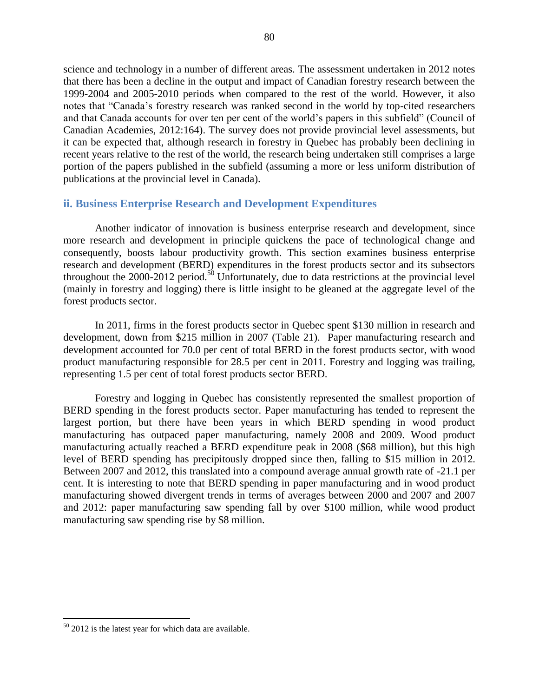science and technology in a number of different areas. The assessment undertaken in 2012 notes that there has been a decline in the output and impact of Canadian forestry research between the 1999-2004 and 2005-2010 periods when compared to the rest of the world. However, it also notes that "Canada's forestry research was ranked second in the world by top-cited researchers and that Canada accounts for over ten per cent of the world's papers in this subfield" (Council of Canadian Academies, 2012:164). The survey does not provide provincial level assessments, but it can be expected that, although research in forestry in Quebec has probably been declining in recent years relative to the rest of the world, the research being undertaken still comprises a large portion of the papers published in the subfield (assuming a more or less uniform distribution of publications at the provincial level in Canada).

# **ii. Business Enterprise Research and Development Expenditures**

Another indicator of innovation is business enterprise research and development, since more research and development in principle quickens the pace of technological change and consequently, boosts labour productivity growth. This section examines business enterprise research and development (BERD) expenditures in the forest products sector and its subsectors throughout the  $2000-2012$  period.<sup>50</sup> Unfortunately, due to data restrictions at the provincial level (mainly in forestry and logging) there is little insight to be gleaned at the aggregate level of the forest products sector.

In 2011, firms in the forest products sector in Quebec spent \$130 million in research and development, down from \$215 million in 2007 [\(Table 21\)](#page-80-0). Paper manufacturing research and development accounted for 70.0 per cent of total BERD in the forest products sector, with wood product manufacturing responsible for 28.5 per cent in 2011. Forestry and logging was trailing, representing 1.5 per cent of total forest products sector BERD.

Forestry and logging in Quebec has consistently represented the smallest proportion of BERD spending in the forest products sector. Paper manufacturing has tended to represent the largest portion, but there have been years in which BERD spending in wood product manufacturing has outpaced paper manufacturing, namely 2008 and 2009. Wood product manufacturing actually reached a BERD expenditure peak in 2008 (\$68 million), but this high level of BERD spending has precipitously dropped since then, falling to \$15 million in 2012. Between 2007 and 2012, this translated into a compound average annual growth rate of -21.1 per cent. It is interesting to note that BERD spending in paper manufacturing and in wood product manufacturing showed divergent trends in terms of averages between 2000 and 2007 and 2007 and 2012: paper manufacturing saw spending fall by over \$100 million, while wood product manufacturing saw spending rise by \$8 million.

 $50$  2012 is the latest year for which data are available.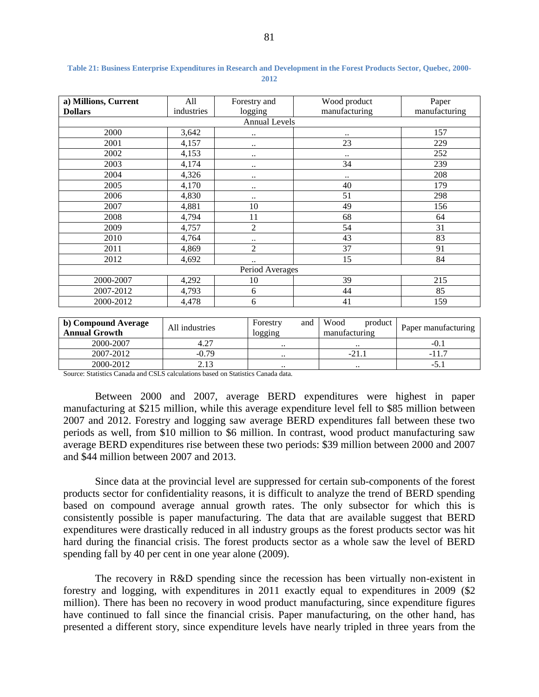| a) Millions, Current | All        | Forestry and           | Wood product  | Paper         |
|----------------------|------------|------------------------|---------------|---------------|
| <b>Dollars</b>       | industries | logging                | manufacturing | manufacturing |
|                      |            | <b>Annual Levels</b>   |               |               |
| 2000                 | 3,642      |                        | $\cdot$ .     | 157           |
| 2001                 | 4,157      | $\ddot{\phantom{1}}$ . | 23            | 229           |
| 2002                 | 4,153      | $\ddot{\phantom{1}}$ . | $\cdot$ .     | 252           |
| 2003                 | 4,174      | $\ddotsc$              | 34            | 239           |
| 2004                 | 4,326      | $\ddotsc$              | $\cdot$ .     | 208           |
| 2005                 | 4,170      | $\ddotsc$              | 40            | 179           |
| 2006                 | 4,830      | $\ddot{\phantom{1}}$   | 51            | 298           |
| 2007                 | 4,881      | 10                     | 49            | 156           |
| 2008                 | 4,794      | 11                     | 68            | 64            |
| 2009                 | 4,757      | $\overline{2}$         | 54            | 31            |
| 2010                 | 4,764      | $\ddot{\phantom{1}}$   | 43            | 83            |
| 2011                 | 4,869      | $\overline{2}$         | 37            | 91            |
| 2012                 | 4,692      | $\ddotsc$              | 15            | 84            |
|                      |            | Period Averages        |               |               |
| 2000-2007            | 4,292      | 10                     | 39            | 215           |
| 2007-2012            | 4,793      | 6                      | 44            | 85            |
| 2000-2012            | 4,478      | 6                      | 41            | 159           |

<span id="page-80-0"></span>**Table 21: Business Enterprise Expenditures in Research and Development in the Forest Products Sector, Quebec, 2000- 2012**

| b) Compound Average<br><b>Annual Growth</b> | All industries | Forestry<br>and<br>logging | Wood<br>product<br>manufacturing | Paper manufacturing |
|---------------------------------------------|----------------|----------------------------|----------------------------------|---------------------|
| 2000-2007                                   | 4.27           | $\cdot\cdot$               | $\cdot \cdot$                    |                     |
| 2007-2012                                   | $-0.79$        | $\cdot\cdot$               | $-21.$                           |                     |
| 2000-2012                                   |                | $\cdot\cdot$               | $\cdot \cdot$                    | -9.                 |

Source: Statistics Canada and CSLS calculations based on Statistics Canada data.

Between 2000 and 2007, average BERD expenditures were highest in paper manufacturing at \$215 million, while this average expenditure level fell to \$85 million between 2007 and 2012. Forestry and logging saw average BERD expenditures fall between these two periods as well, from \$10 million to \$6 million. In contrast, wood product manufacturing saw average BERD expenditures rise between these two periods: \$39 million between 2000 and 2007 and \$44 million between 2007 and 2013.

Since data at the provincial level are suppressed for certain sub-components of the forest products sector for confidentiality reasons, it is difficult to analyze the trend of BERD spending based on compound average annual growth rates. The only subsector for which this is consistently possible is paper manufacturing. The data that are available suggest that BERD expenditures were drastically reduced in all industry groups as the forest products sector was hit hard during the financial crisis. The forest products sector as a whole saw the level of BERD spending fall by 40 per cent in one year alone (2009).

The recovery in R&D spending since the recession has been virtually non-existent in forestry and logging, with expenditures in 2011 exactly equal to expenditures in 2009 (\$2 million). There has been no recovery in wood product manufacturing, since expenditure figures have continued to fall since the financial crisis. Paper manufacturing, on the other hand, has presented a different story, since expenditure levels have nearly tripled in three years from the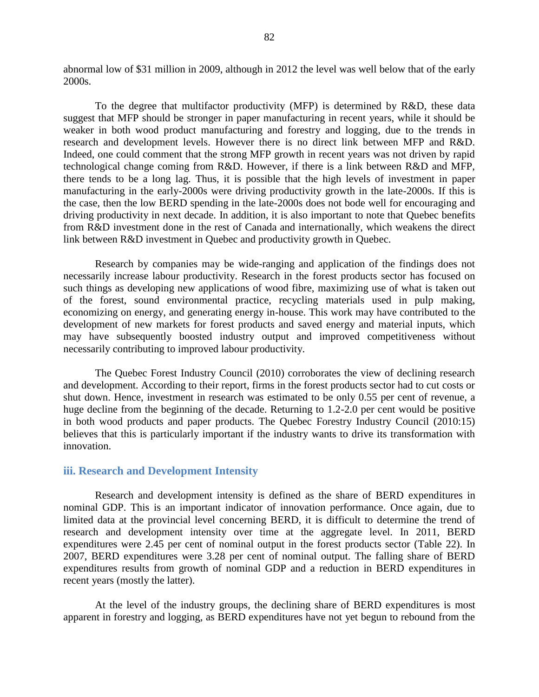abnormal low of \$31 million in 2009, although in 2012 the level was well below that of the early 2000s.

To the degree that multifactor productivity (MFP) is determined by R&D, these data suggest that MFP should be stronger in paper manufacturing in recent years, while it should be weaker in both wood product manufacturing and forestry and logging, due to the trends in research and development levels. However there is no direct link between MFP and R&D. Indeed, one could comment that the strong MFP growth in recent years was not driven by rapid technological change coming from R&D. However, if there is a link between R&D and MFP, there tends to be a long lag. Thus, it is possible that the high levels of investment in paper manufacturing in the early-2000s were driving productivity growth in the late-2000s. If this is the case, then the low BERD spending in the late-2000s does not bode well for encouraging and driving productivity in next decade. In addition, it is also important to note that Quebec benefits from R&D investment done in the rest of Canada and internationally, which weakens the direct link between R&D investment in Quebec and productivity growth in Quebec.

Research by companies may be wide-ranging and application of the findings does not necessarily increase labour productivity. Research in the forest products sector has focused on such things as developing new applications of wood fibre, maximizing use of what is taken out of the forest, sound environmental practice, recycling materials used in pulp making, economizing on energy, and generating energy in-house. This work may have contributed to the development of new markets for forest products and saved energy and material inputs, which may have subsequently boosted industry output and improved competitiveness without necessarily contributing to improved labour productivity.

The Quebec Forest Industry Council (2010) corroborates the view of declining research and development. According to their report, firms in the forest products sector had to cut costs or shut down. Hence, investment in research was estimated to be only 0.55 per cent of revenue, a huge decline from the beginning of the decade. Returning to 1.2-2.0 per cent would be positive in both wood products and paper products. The Quebec Forestry Industry Council (2010:15) believes that this is particularly important if the industry wants to drive its transformation with innovation.

### **iii. Research and Development Intensity**

Research and development intensity is defined as the share of BERD expenditures in nominal GDP. This is an important indicator of innovation performance. Once again, due to limited data at the provincial level concerning BERD, it is difficult to determine the trend of research and development intensity over time at the aggregate level. In 2011, BERD expenditures were 2.45 per cent of nominal output in the forest products sector [\(Table 22\)](#page-82-0). In 2007, BERD expenditures were 3.28 per cent of nominal output. The falling share of BERD expenditures results from growth of nominal GDP and a reduction in BERD expenditures in recent years (mostly the latter).

At the level of the industry groups, the declining share of BERD expenditures is most apparent in forestry and logging, as BERD expenditures have not yet begun to rebound from the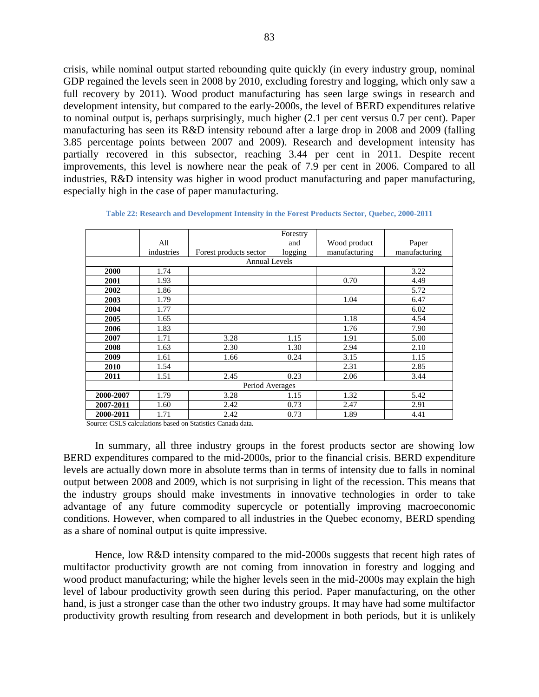crisis, while nominal output started rebounding quite quickly (in every industry group, nominal GDP regained the levels seen in 2008 by 2010, excluding forestry and logging, which only saw a full recovery by 2011). Wood product manufacturing has seen large swings in research and development intensity, but compared to the early-2000s, the level of BERD expenditures relative to nominal output is, perhaps surprisingly, much higher (2.1 per cent versus 0.7 per cent). Paper manufacturing has seen its R&D intensity rebound after a large drop in 2008 and 2009 (falling 3.85 percentage points between 2007 and 2009). Research and development intensity has partially recovered in this subsector, reaching 3.44 per cent in 2011. Despite recent improvements, this level is nowhere near the peak of 7.9 per cent in 2006. Compared to all industries, R&D intensity was higher in wood product manufacturing and paper manufacturing, especially high in the case of paper manufacturing.

<span id="page-82-0"></span>

|           |            |                        | Forestry |               |               |
|-----------|------------|------------------------|----------|---------------|---------------|
|           | All        |                        | and      | Wood product  | Paper         |
|           | industries | Forest products sector | logging  | manufacturing | manufacturing |
|           |            | <b>Annual Levels</b>   |          |               |               |
| 2000      | 1.74       |                        |          |               | 3.22          |
| 2001      | 1.93       |                        |          | 0.70          | 4.49          |
| 2002      | 1.86       |                        |          |               | 5.72          |
| 2003      | 1.79       |                        |          | 1.04          | 6.47          |
| 2004      | 1.77       |                        |          |               | 6.02          |
| 2005      | 1.65       |                        |          | 1.18          | 4.54          |
| 2006      | 1.83       |                        |          | 1.76          | 7.90          |
| 2007      | 1.71       | 3.28                   | 1.15     | 1.91          | 5.00          |
| 2008      | 1.63       | 2.30                   | 1.30     | 2.94          | 2.10          |
| 2009      | 1.61       | 1.66                   | 0.24     | 3.15          | 1.15          |
| 2010      | 1.54       |                        |          | 2.31          | 2.85          |
| 2011      | 1.51       | 2.45                   | 0.23     | 2.06          | 3.44          |
|           |            | Period Averages        |          |               |               |
| 2000-2007 | 1.79       | 3.28                   | 1.15     | 1.32          | 5.42          |
| 2007-2011 | 1.60       | 2.42                   | 0.73     | 2.47          | 2.91          |
| 2000-2011 | 1.71       | 2.42                   | 0.73     | 1.89          | 4.41          |

**Table 22: Research and Development Intensity in the Forest Products Sector, Quebec, 2000-2011**

Source: CSLS calculations based on Statistics Canada data.

In summary, all three industry groups in the forest products sector are showing low BERD expenditures compared to the mid-2000s, prior to the financial crisis. BERD expenditure levels are actually down more in absolute terms than in terms of intensity due to falls in nominal output between 2008 and 2009, which is not surprising in light of the recession. This means that the industry groups should make investments in innovative technologies in order to take advantage of any future commodity supercycle or potentially improving macroeconomic conditions. However, when compared to all industries in the Quebec economy, BERD spending as a share of nominal output is quite impressive.

Hence, low R&D intensity compared to the mid-2000s suggests that recent high rates of multifactor productivity growth are not coming from innovation in forestry and logging and wood product manufacturing; while the higher levels seen in the mid-2000s may explain the high level of labour productivity growth seen during this period. Paper manufacturing, on the other hand, is just a stronger case than the other two industry groups. It may have had some multifactor productivity growth resulting from research and development in both periods, but it is unlikely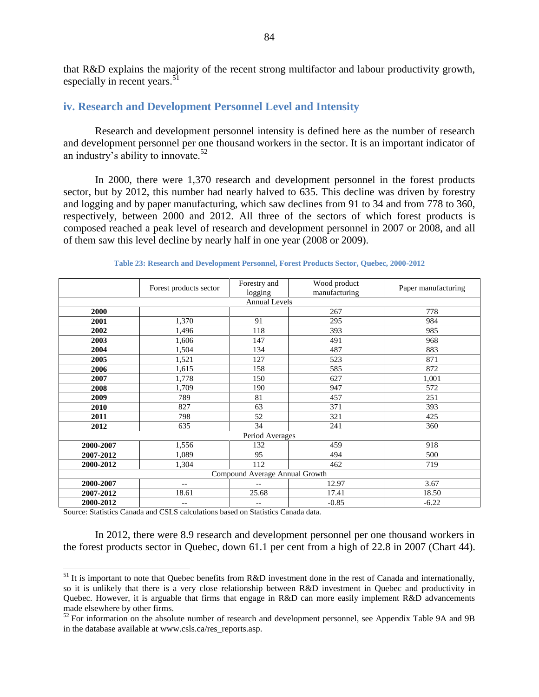that R&D explains the majority of the recent strong multifactor and labour productivity growth, especially in recent years. $51$ 

## **iv. Research and Development Personnel Level and Intensity**

Research and development personnel intensity is defined here as the number of research and development personnel per one thousand workers in the sector. It is an important indicator of an industry's ability to innovate.<sup>52</sup>

In 2000, there were 1,370 research and development personnel in the forest products sector, but by 2012, this number had nearly halved to 635. This decline was driven by forestry and logging and by paper manufacturing, which saw declines from 91 to 34 and from 778 to 360, respectively, between 2000 and 2012. All three of the sectors of which forest products is composed reached a peak level of research and development personnel in 2007 or 2008, and all of them saw this level decline by nearly half in one year (2008 or 2009).

|           | Forest products sector | Forestry and                   | Wood product  | Paper manufacturing |
|-----------|------------------------|--------------------------------|---------------|---------------------|
|           |                        | logging                        | manufacturing |                     |
|           |                        | <b>Annual Levels</b>           |               |                     |
| 2000      |                        |                                | 267           | 778                 |
| 2001      | 1,370                  | 91                             | 295           | 984                 |
| 2002      | 1,496                  | 118                            | 393           | 985                 |
| 2003      | 1,606                  | 147                            | 491           | 968                 |
| 2004      | 1,504                  | 134                            | 487           | 883                 |
| 2005      | 1,521                  | 127                            | 523           | 871                 |
| 2006      | 1,615                  | 158                            | 585           | 872                 |
| 2007      | 1,778                  | 150                            | 627           | 1,001               |
| 2008      | 1,709                  | 190                            | 947           | 572                 |
| 2009      | 789                    | 81                             | 457           | 251                 |
| 2010      | 827                    | 63                             | 371           | 393                 |
| 2011      | 798                    | 52                             | 321           | 425                 |
| 2012      | 635                    | 34                             | 241           | 360                 |
|           |                        | Period Averages                |               |                     |
| 2000-2007 | 1,556                  | 132                            | 459           | 918                 |
| 2007-2012 | 1,089                  | 95                             | 494           | 500                 |
| 2000-2012 | 1,304                  | 112                            | 462           | 719                 |
|           |                        | Compound Average Annual Growth |               |                     |
| 2000-2007 | $-\,-$                 | $\overline{\phantom{a}}$       | 12.97         | 3.67                |
| 2007-2012 | 18.61                  | 25.68                          | 17.41         | 18.50               |
| 2000-2012 | $\qquad \qquad -$      | $-$                            | $-0.85$       | $-6.22$             |

**Table 23: Research and Development Personnel, Forest Products Sector, Quebec, 2000-2012**

Source: Statistics Canada and CSLS calculations based on Statistics Canada data.

 $\overline{a}$ 

In 2012, there were 8.9 research and development personnel per one thousand workers in the forest products sector in Quebec, down 61.1 per cent from a high of 22.8 in 2007 [\(Chart 44\)](#page-84-0).

 $51$  It is important to note that Quebec benefits from R&D investment done in the rest of Canada and internationally, so it is unlikely that there is a very close relationship between R&D investment in Quebec and productivity in Quebec. However, it is arguable that firms that engage in R&D can more easily implement R&D advancements made elsewhere by other firms.

<sup>&</sup>lt;sup>52</sup> For information on the absolute number of research and development personnel, see Appendix Table 9A and 9B in the database available at www.csls.ca/res\_reports.asp.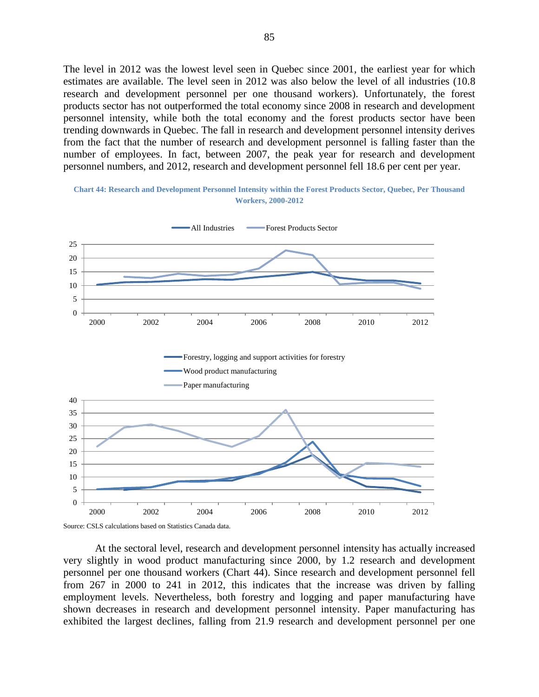The level in 2012 was the lowest level seen in Quebec since 2001, the earliest year for which estimates are available. The level seen in 2012 was also below the level of all industries (10.8 research and development personnel per one thousand workers). Unfortunately, the forest products sector has not outperformed the total economy since 2008 in research and development personnel intensity, while both the total economy and the forest products sector have been trending downwards in Quebec. The fall in research and development personnel intensity derives from the fact that the number of research and development personnel is falling faster than the number of employees. In fact, between 2007, the peak year for research and development personnel numbers, and 2012, research and development personnel fell 18.6 per cent per year.

<span id="page-84-0"></span>**Chart 44: Research and Development Personnel Intensity within the Forest Products Sector, Quebec, Per Thousand Workers, 2000-2012**



Source: CSLS calculations based on Statistics Canada data.

At the sectoral level, research and development personnel intensity has actually increased very slightly in wood product manufacturing since 2000, by 1.2 research and development personnel per one thousand workers [\(Chart 44\)](#page-84-0). Since research and development personnel fell from 267 in 2000 to 241 in 2012, this indicates that the increase was driven by falling employment levels. Nevertheless, both forestry and logging and paper manufacturing have shown decreases in research and development personnel intensity. Paper manufacturing has exhibited the largest declines, falling from 21.9 research and development personnel per one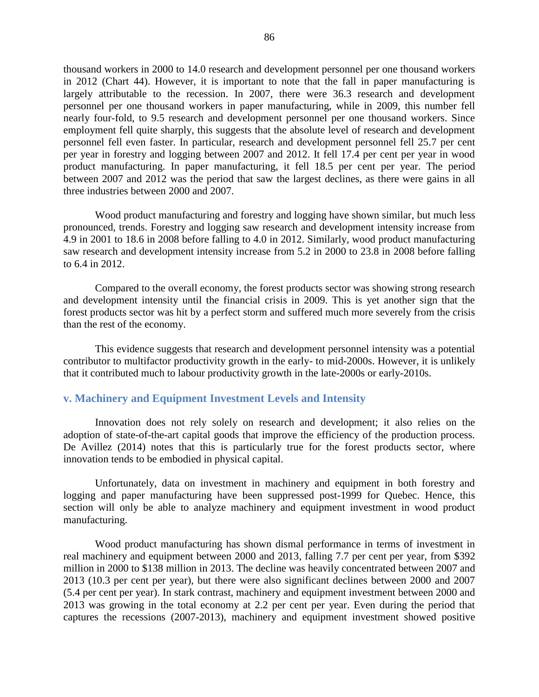thousand workers in 2000 to 14.0 research and development personnel per one thousand workers in 2012 [\(Chart 44\)](#page-84-0). However, it is important to note that the fall in paper manufacturing is largely attributable to the recession. In 2007, there were 36.3 research and development personnel per one thousand workers in paper manufacturing, while in 2009, this number fell nearly four-fold, to 9.5 research and development personnel per one thousand workers. Since employment fell quite sharply, this suggests that the absolute level of research and development personnel fell even faster. In particular, research and development personnel fell 25.7 per cent per year in forestry and logging between 2007 and 2012. It fell 17.4 per cent per year in wood product manufacturing. In paper manufacturing, it fell 18.5 per cent per year. The period between 2007 and 2012 was the period that saw the largest declines, as there were gains in all three industries between 2000 and 2007.

Wood product manufacturing and forestry and logging have shown similar, but much less pronounced, trends. Forestry and logging saw research and development intensity increase from 4.9 in 2001 to 18.6 in 2008 before falling to 4.0 in 2012. Similarly, wood product manufacturing saw research and development intensity increase from 5.2 in 2000 to 23.8 in 2008 before falling to 6.4 in 2012.

Compared to the overall economy, the forest products sector was showing strong research and development intensity until the financial crisis in 2009. This is yet another sign that the forest products sector was hit by a perfect storm and suffered much more severely from the crisis than the rest of the economy.

This evidence suggests that research and development personnel intensity was a potential contributor to multifactor productivity growth in the early- to mid-2000s. However, it is unlikely that it contributed much to labour productivity growth in the late-2000s or early-2010s.

## **v. Machinery and Equipment Investment Levels and Intensity**

Innovation does not rely solely on research and development; it also relies on the adoption of state-of-the-art capital goods that improve the efficiency of the production process. De Avillez (2014) notes that this is particularly true for the forest products sector, where innovation tends to be embodied in physical capital.

Unfortunately, data on investment in machinery and equipment in both forestry and logging and paper manufacturing have been suppressed post-1999 for Quebec. Hence, this section will only be able to analyze machinery and equipment investment in wood product manufacturing.

Wood product manufacturing has shown dismal performance in terms of investment in real machinery and equipment between 2000 and 2013, falling 7.7 per cent per year, from \$392 million in 2000 to \$138 million in 2013. The decline was heavily concentrated between 2007 and 2013 (10.3 per cent per year), but there were also significant declines between 2000 and 2007 (5.4 per cent per year). In stark contrast, machinery and equipment investment between 2000 and 2013 was growing in the total economy at 2.2 per cent per year. Even during the period that captures the recessions (2007-2013), machinery and equipment investment showed positive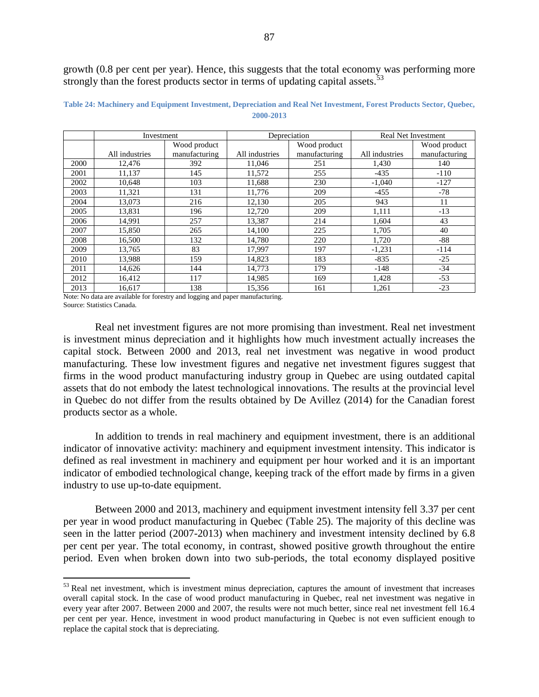growth (0.8 per cent per year). Hence, this suggests that the total economy was performing more strongly than the forest products sector in terms of updating capital assets.<sup>53</sup>

|      | Investment     |               |                | Depreciation  |                | <b>Real Net Investment</b> |
|------|----------------|---------------|----------------|---------------|----------------|----------------------------|
|      |                | Wood product  |                | Wood product  |                | Wood product               |
|      | All industries | manufacturing | All industries | manufacturing | All industries | manufacturing              |
| 2000 | 12,476         | 392           | 11,046         | 251           | 1,430          | 140                        |
| 2001 | 11,137         | 145           | 11,572         | 255           | $-435$         | $-110$                     |
| 2002 | 10,648         | 103           | 11,688         | 230           | $-1,040$       | $-127$                     |
| 2003 | 11,321         | 131           | 11,776         | 209           | $-455$         | $-78$                      |
| 2004 | 13,073         | 216           | 12,130         | 205           | 943            | 11                         |
| 2005 | 13,831         | 196           | 12,720         | 209           | 1,111          | $-13$                      |
| 2006 | 14,991         | 257           | 13,387         | 214           | 1,604          | 43                         |
| 2007 | 15,850         | 265           | 14,100         | 225           | 1,705          | 40                         |
| 2008 | 16,500         | 132           | 14,780         | 220           | 1,720          | -88                        |
| 2009 | 13,765         | 83            | 17,997         | 197           | $-1,231$       | $-114$                     |
| 2010 | 13,988         | 159           | 14,823         | 183           | $-835$         | $-25$                      |
| 2011 | 14,626         | 144           | 14,773         | 179           | $-148$         | $-34$                      |
| 2012 | 16,412         | 117           | 14,985         | 169           | 1,428          | $-53$                      |
| 2013 | 16,617         | 138           | 15,356         | 161           | 1,261          | $-23$                      |

**Table 24: Machinery and Equipment Investment, Depreciation and Real Net Investment, Forest Products Sector, Quebec, 2000-2013**

Note: No data are available for forestry and logging and paper manufacturing. Source: Statistics Canada.

 $\overline{a}$ 

Real net investment figures are not more promising than investment. Real net investment is investment minus depreciation and it highlights how much investment actually increases the capital stock. Between 2000 and 2013, real net investment was negative in wood product manufacturing. These low investment figures and negative net investment figures suggest that firms in the wood product manufacturing industry group in Quebec are using outdated capital assets that do not embody the latest technological innovations. The results at the provincial level in Quebec do not differ from the results obtained by De Avillez (2014) for the Canadian forest products sector as a whole.

In addition to trends in real machinery and equipment investment, there is an additional indicator of innovative activity: machinery and equipment investment intensity. This indicator is defined as real investment in machinery and equipment per hour worked and it is an important indicator of embodied technological change, keeping track of the effort made by firms in a given industry to use up-to-date equipment.

Between 2000 and 2013, machinery and equipment investment intensity fell 3.37 per cent per year in wood product manufacturing in Quebec [\(Table 25\)](#page-87-0). The majority of this decline was seen in the latter period (2007-2013) when machinery and investment intensity declined by 6.8 per cent per year. The total economy, in contrast, showed positive growth throughout the entire period. Even when broken down into two sub-periods, the total economy displayed positive

 $53$  Real net investment, which is investment minus depreciation, captures the amount of investment that increases overall capital stock. In the case of wood product manufacturing in Quebec, real net investment was negative in every year after 2007. Between 2000 and 2007, the results were not much better, since real net investment fell 16.4 per cent per year. Hence, investment in wood product manufacturing in Quebec is not even sufficient enough to replace the capital stock that is depreciating.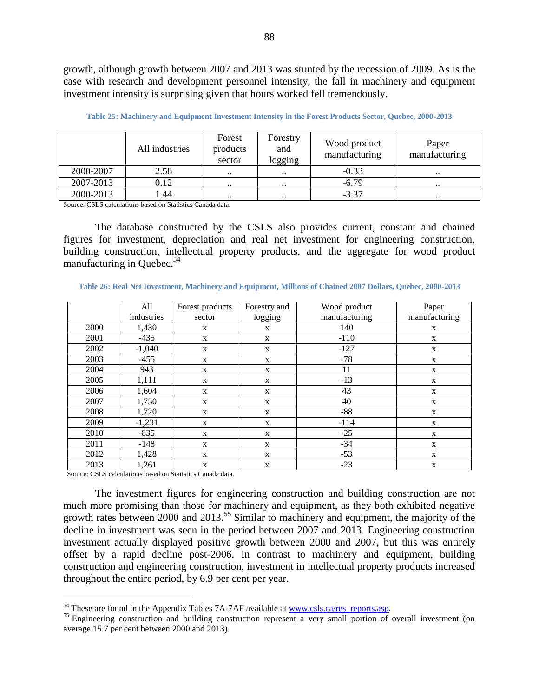growth, although growth between 2007 and 2013 was stunted by the recession of 2009. As is the case with research and development personnel intensity, the fall in machinery and equipment investment intensity is surprising given that hours worked fell tremendously.

<span id="page-87-0"></span>

|           | All industries | Forest<br>products<br>sector | Forestry<br>and<br>logging | Wood product<br>manufacturing | Paper<br>manufacturing |
|-----------|----------------|------------------------------|----------------------------|-------------------------------|------------------------|
| 2000-2007 | 2.58           | $\ddotsc$                    | $\ddotsc$                  | $-0.33$                       | $\ddotsc$              |
| 2007-2013 | 0.12           | $\ddot{\phantom{0}}$         | $\bullet\bullet$           | $-6.79$                       | $\cdot$                |
| 2000-2013 | .44            | $\ddotsc$                    | $\ddotsc$                  | $-3.37$                       | $\ddotsc$              |

**Table 25: Machinery and Equipment Investment Intensity in the Forest Products Sector, Quebec, 2000-2013**

Source: CSLS calculations based on Statistics Canada data.

The database constructed by the CSLS also provides current, constant and chained figures for investment, depreciation and real net investment for engineering construction, building construction, intellectual property products, and the aggregate for wood product manufacturing in Ouebec. $54$ 

|      | All        | Forest products | Forestry and | Wood product  | Paper         |
|------|------------|-----------------|--------------|---------------|---------------|
|      | industries | sector          | logging      | manufacturing | manufacturing |
| 2000 | 1,430      | X               | X            | 140           | X             |
| 2001 | $-435$     | X               | X            | $-110$        | X             |
| 2002 | $-1,040$   | $\mathbf X$     | X            | $-127$        | X             |
| 2003 | $-455$     | X               | $\mathbf{X}$ | $-78$         | X             |
| 2004 | 943        | X               | X            | 11            | X             |
| 2005 | 1,111      | X               | X            | $-13$         | X             |
| 2006 | 1,604      | X               | X            | 43            | X             |
| 2007 | 1,750      | X               | $\mathbf{X}$ | 40            | X             |
| 2008 | 1,720      | $\mathbf X$     | X            | $-88$         | $\mathbf X$   |
| 2009 | $-1,231$   | X               | $\mathbf{X}$ | $-114$        | X             |
| 2010 | $-835$     | X               | X            | $-25$         | $\mathbf X$   |
| 2011 | $-148$     | X               | X            | $-34$         | X             |
| 2012 | 1,428      | X               | $\mathbf{X}$ | $-53$         | X             |
| 2013 | 1,261      | X               | X            | $-23$         | X             |

**Table 26: Real Net Investment, Machinery and Equipment, Millions of Chained 2007 Dollars, Quebec, 2000-2013**

Source: CSLS calculations based on Statistics Canada data.

 $\overline{a}$ 

The investment figures for engineering construction and building construction are not much more promising than those for machinery and equipment, as they both exhibited negative growth rates between 2000 and 2013.<sup>55</sup> Similar to machinery and equipment, the majority of the decline in investment was seen in the period between 2007 and 2013. Engineering construction investment actually displayed positive growth between 2000 and 2007, but this was entirely offset by a rapid decline post-2006. In contrast to machinery and equipment, building construction and engineering construction, investment in intellectual property products increased throughout the entire period, by 6.9 per cent per year.

 $<sup>54</sup>$  These are found in the Appendix Tables 7A-7AF available at www.csls.ca/res reports.asp.</sup>

<sup>&</sup>lt;sup>55</sup> Engineering construction and building construction represent a very small portion of overall investment (on average 15.7 per cent between 2000 and 2013).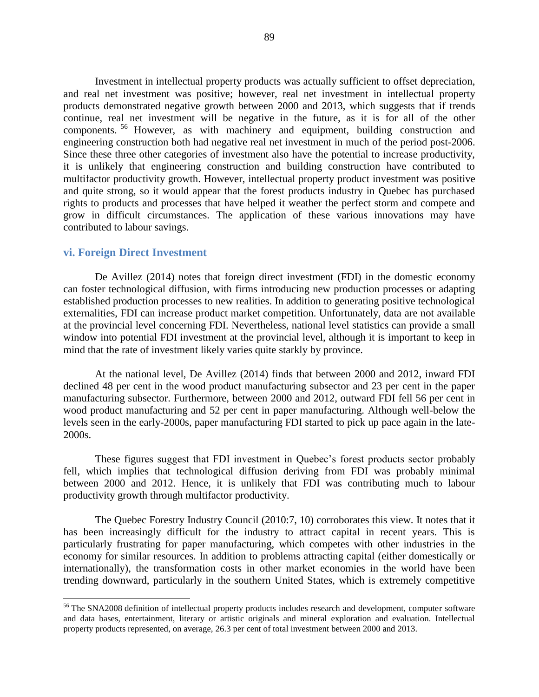Investment in intellectual property products was actually sufficient to offset depreciation, and real net investment was positive; however, real net investment in intellectual property products demonstrated negative growth between 2000 and 2013, which suggests that if trends continue, real net investment will be negative in the future, as it is for all of the other components. <sup>56</sup> However, as with machinery and equipment, building construction and engineering construction both had negative real net investment in much of the period post-2006. Since these three other categories of investment also have the potential to increase productivity, it is unlikely that engineering construction and building construction have contributed to multifactor productivity growth. However, intellectual property product investment was positive and quite strong, so it would appear that the forest products industry in Quebec has purchased rights to products and processes that have helped it weather the perfect storm and compete and grow in difficult circumstances. The application of these various innovations may have contributed to labour savings.

### **vi. Foreign Direct Investment**

 $\overline{a}$ 

De Avillez (2014) notes that foreign direct investment (FDI) in the domestic economy can foster technological diffusion, with firms introducing new production processes or adapting established production processes to new realities. In addition to generating positive technological externalities, FDI can increase product market competition. Unfortunately, data are not available at the provincial level concerning FDI. Nevertheless, national level statistics can provide a small window into potential FDI investment at the provincial level, although it is important to keep in mind that the rate of investment likely varies quite starkly by province.

At the national level, De Avillez (2014) finds that between 2000 and 2012, inward FDI declined 48 per cent in the wood product manufacturing subsector and 23 per cent in the paper manufacturing subsector. Furthermore, between 2000 and 2012, outward FDI fell 56 per cent in wood product manufacturing and 52 per cent in paper manufacturing. Although well-below the levels seen in the early-2000s, paper manufacturing FDI started to pick up pace again in the late-2000s.

These figures suggest that FDI investment in Quebec's forest products sector probably fell, which implies that technological diffusion deriving from FDI was probably minimal between 2000 and 2012. Hence, it is unlikely that FDI was contributing much to labour productivity growth through multifactor productivity.

The Quebec Forestry Industry Council (2010:7, 10) corroborates this view. It notes that it has been increasingly difficult for the industry to attract capital in recent years. This is particularly frustrating for paper manufacturing, which competes with other industries in the economy for similar resources. In addition to problems attracting capital (either domestically or internationally), the transformation costs in other market economies in the world have been trending downward, particularly in the southern United States, which is extremely competitive

<sup>&</sup>lt;sup>56</sup> The SNA2008 definition of intellectual property products includes research and development, computer software and data bases, entertainment, literary or artistic originals and mineral exploration and evaluation. Intellectual property products represented, on average, 26.3 per cent of total investment between 2000 and 2013.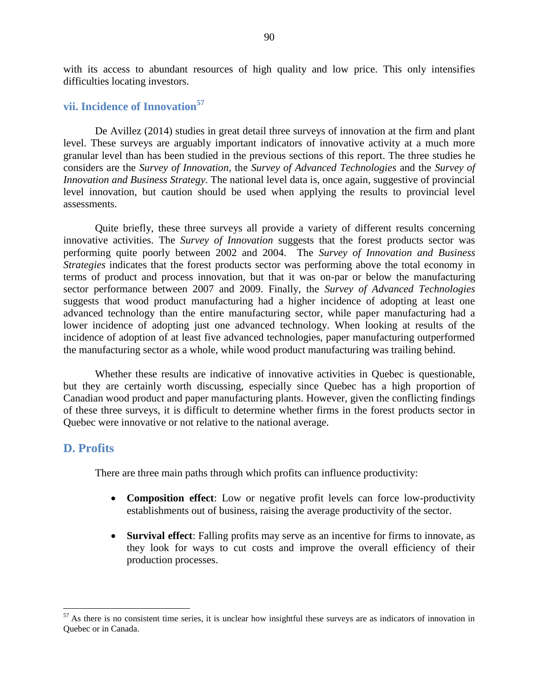with its access to abundant resources of high quality and low price. This only intensifies difficulties locating investors.

# **vii. Incidence of Innovation<sup>57</sup>**

De Avillez (2014) studies in great detail three surveys of innovation at the firm and plant level. These surveys are arguably important indicators of innovative activity at a much more granular level than has been studied in the previous sections of this report. The three studies he considers are the *Survey of Innovation*, the *Survey of Advanced Technologies* and the *Survey of Innovation and Business Strategy*. The national level data is, once again, suggestive of provincial level innovation, but caution should be used when applying the results to provincial level assessments.

Quite briefly, these three surveys all provide a variety of different results concerning innovative activities. The *Survey of Innovation* suggests that the forest products sector was performing quite poorly between 2002 and 2004. The *Survey of Innovation and Business Strategies* indicates that the forest products sector was performing above the total economy in terms of product and process innovation, but that it was on-par or below the manufacturing sector performance between 2007 and 2009. Finally, the *Survey of Advanced Technologies* suggests that wood product manufacturing had a higher incidence of adopting at least one advanced technology than the entire manufacturing sector, while paper manufacturing had a lower incidence of adopting just one advanced technology. When looking at results of the incidence of adoption of at least five advanced technologies, paper manufacturing outperformed the manufacturing sector as a whole, while wood product manufacturing was trailing behind.

Whether these results are indicative of innovative activities in Quebec is questionable, but they are certainly worth discussing, especially since Quebec has a high proportion of Canadian wood product and paper manufacturing plants. However, given the conflicting findings of these three surveys, it is difficult to determine whether firms in the forest products sector in Quebec were innovative or not relative to the national average.

### **D. Profits**

 $\overline{a}$ 

There are three main paths through which profits can influence productivity:

- **Composition effect**: Low or negative profit levels can force low-productivity establishments out of business, raising the average productivity of the sector.
- **Survival effect**: Falling profits may serve as an incentive for firms to innovate, as they look for ways to cut costs and improve the overall efficiency of their production processes.

 $<sup>57</sup>$  As there is no consistent time series, it is unclear how insightful these surveys are as indicators of innovation in</sup> Quebec or in Canada.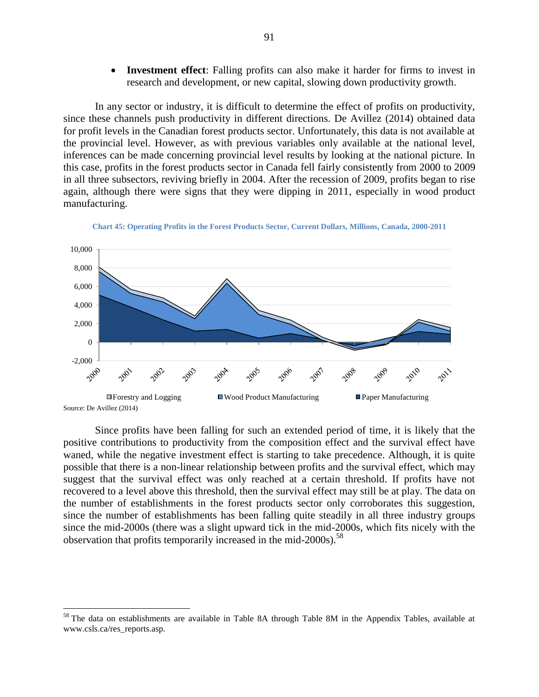**Investment effect**: Falling profits can also make it harder for firms to invest in research and development, or new capital, slowing down productivity growth.

In any sector or industry, it is difficult to determine the effect of profits on productivity, since these channels push productivity in different directions. De Avillez (2014) obtained data for profit levels in the Canadian forest products sector. Unfortunately, this data is not available at the provincial level. However, as with previous variables only available at the national level, inferences can be made concerning provincial level results by looking at the national picture. In this case, profits in the forest products sector in Canada fell fairly consistently from 2000 to 2009 in all three subsectors, reviving briefly in 2004. After the recession of 2009, profits began to rise again, although there were signs that they were dipping in 2011, especially in wood product manufacturing.



**Chart 45: Operating Profits in the Forest Products Sector, Current Dollars, Millions, Canada, 2000-2011**

Since profits have been falling for such an extended period of time, it is likely that the positive contributions to productivity from the composition effect and the survival effect have waned, while the negative investment effect is starting to take precedence. Although, it is quite possible that there is a non-linear relationship between profits and the survival effect, which may suggest that the survival effect was only reached at a certain threshold. If profits have not recovered to a level above this threshold, then the survival effect may still be at play. The data on the number of establishments in the forest products sector only corroborates this suggestion, since the number of establishments has been falling quite steadily in all three industry groups since the mid-2000s (there was a slight upward tick in the mid-2000s, which fits nicely with the observation that profits temporarily increased in the mid-2000s).<sup>58</sup>

<sup>&</sup>lt;sup>58</sup> The data on establishments are available in Table 8A through Table 8M in the Appendix Tables, available at www.csls.ca/res\_reports.asp.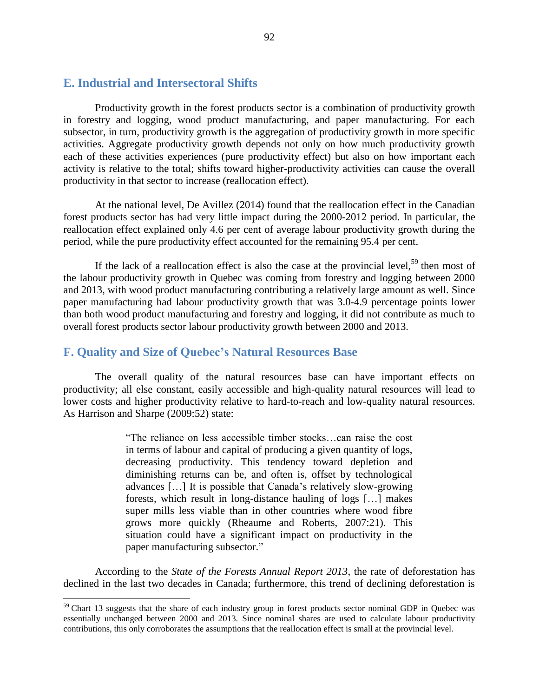# **E. Industrial and Intersectoral Shifts**

Productivity growth in the forest products sector is a combination of productivity growth in forestry and logging, wood product manufacturing, and paper manufacturing. For each subsector, in turn, productivity growth is the aggregation of productivity growth in more specific activities. Aggregate productivity growth depends not only on how much productivity growth each of these activities experiences (pure productivity effect) but also on how important each activity is relative to the total; shifts toward higher-productivity activities can cause the overall productivity in that sector to increase (reallocation effect).

At the national level, De Avillez (2014) found that the reallocation effect in the Canadian forest products sector has had very little impact during the 2000-2012 period. In particular, the reallocation effect explained only 4.6 per cent of average labour productivity growth during the period, while the pure productivity effect accounted for the remaining 95.4 per cent.

If the lack of a reallocation effect is also the case at the provincial level,<sup>59</sup> then most of the labour productivity growth in Quebec was coming from forestry and logging between 2000 and 2013, with wood product manufacturing contributing a relatively large amount as well. Since paper manufacturing had labour productivity growth that was 3.0-4.9 percentage points lower than both wood product manufacturing and forestry and logging, it did not contribute as much to overall forest products sector labour productivity growth between 2000 and 2013.

# **F. Quality and Size of Quebec's Natural Resources Base**

 $\overline{a}$ 

The overall quality of the natural resources base can have important effects on productivity; all else constant, easily accessible and high-quality natural resources will lead to lower costs and higher productivity relative to hard-to-reach and low-quality natural resources. As Harrison and Sharpe (2009:52) state:

> "The reliance on less accessible timber stocks…can raise the cost in terms of labour and capital of producing a given quantity of logs, decreasing productivity. This tendency toward depletion and diminishing returns can be, and often is, offset by technological advances […] It is possible that Canada's relatively slow-growing forests, which result in long-distance hauling of logs […] makes super mills less viable than in other countries where wood fibre grows more quickly (Rheaume and Roberts, 2007:21). This situation could have a significant impact on productivity in the paper manufacturing subsector."

According to the *State of the Forests Annual Report 2013*, the rate of deforestation has declined in the last two decades in Canada; furthermore, this trend of declining deforestation is

<sup>&</sup>lt;sup>59</sup> [Chart 13](#page-38-0) suggests that the share of each industry group in forest products sector nominal GDP in Quebec was essentially unchanged between 2000 and 2013. Since nominal shares are used to calculate labour productivity contributions, this only corroborates the assumptions that the reallocation effect is small at the provincial level.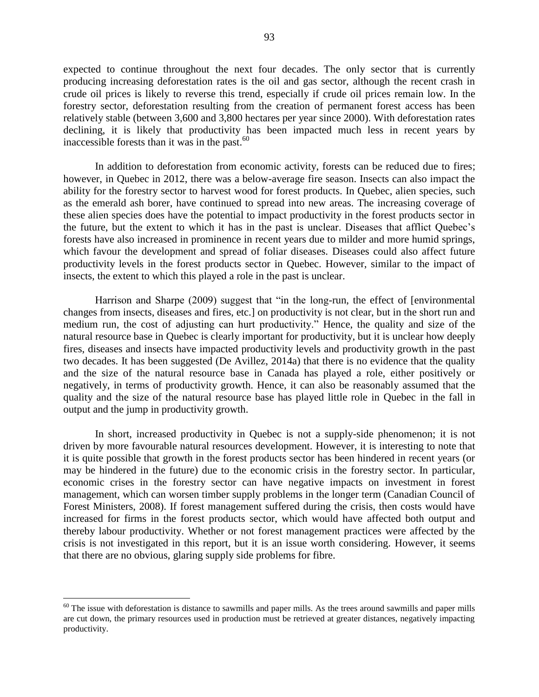expected to continue throughout the next four decades. The only sector that is currently producing increasing deforestation rates is the oil and gas sector, although the recent crash in crude oil prices is likely to reverse this trend, especially if crude oil prices remain low. In the forestry sector, deforestation resulting from the creation of permanent forest access has been relatively stable (between 3,600 and 3,800 hectares per year since 2000). With deforestation rates declining, it is likely that productivity has been impacted much less in recent years by inaccessible forests than it was in the past. $60$ 

In addition to deforestation from economic activity, forests can be reduced due to fires; however, in Quebec in 2012, there was a below-average fire season. Insects can also impact the ability for the forestry sector to harvest wood for forest products. In Quebec, alien species, such as the emerald ash borer, have continued to spread into new areas. The increasing coverage of these alien species does have the potential to impact productivity in the forest products sector in the future, but the extent to which it has in the past is unclear. Diseases that afflict Quebec's forests have also increased in prominence in recent years due to milder and more humid springs, which favour the development and spread of foliar diseases. Diseases could also affect future productivity levels in the forest products sector in Quebec. However, similar to the impact of insects, the extent to which this played a role in the past is unclear.

Harrison and Sharpe (2009) suggest that "in the long-run, the effect of [environmental changes from insects, diseases and fires, etc.] on productivity is not clear, but in the short run and medium run, the cost of adjusting can hurt productivity." Hence, the quality and size of the natural resource base in Quebec is clearly important for productivity, but it is unclear how deeply fires, diseases and insects have impacted productivity levels and productivity growth in the past two decades. It has been suggested (De Avillez, 2014a) that there is no evidence that the quality and the size of the natural resource base in Canada has played a role, either positively or negatively, in terms of productivity growth. Hence, it can also be reasonably assumed that the quality and the size of the natural resource base has played little role in Quebec in the fall in output and the jump in productivity growth.

In short, increased productivity in Quebec is not a supply-side phenomenon; it is not driven by more favourable natural resources development. However, it is interesting to note that it is quite possible that growth in the forest products sector has been hindered in recent years (or may be hindered in the future) due to the economic crisis in the forestry sector. In particular, economic crises in the forestry sector can have negative impacts on investment in forest management, which can worsen timber supply problems in the longer term (Canadian Council of Forest Ministers, 2008). If forest management suffered during the crisis, then costs would have increased for firms in the forest products sector, which would have affected both output and thereby labour productivity. Whether or not forest management practices were affected by the crisis is not investigated in this report, but it is an issue worth considering. However, it seems that there are no obvious, glaring supply side problems for fibre.

 $60$  The issue with deforestation is distance to sawmills and paper mills. As the trees around sawmills and paper mills are cut down, the primary resources used in production must be retrieved at greater distances, negatively impacting productivity.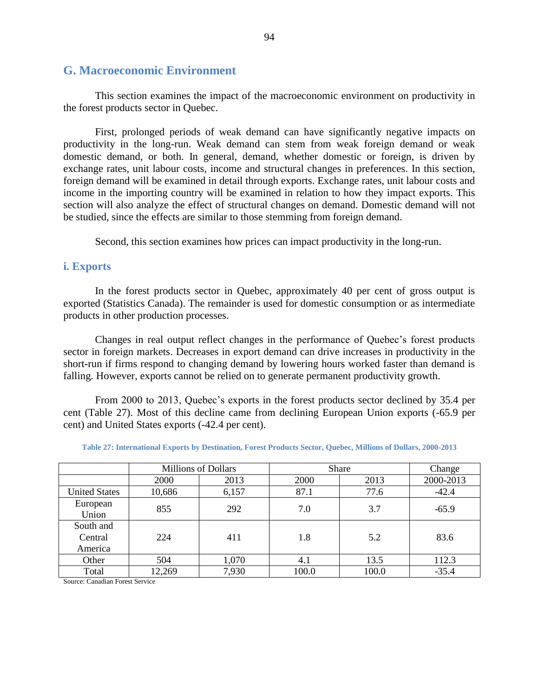# **G. Macroeconomic Environment**

This section examines the impact of the macroeconomic environment on productivity in the forest products sector in Quebec.

First, prolonged periods of weak demand can have significantly negative impacts on productivity in the long-run. Weak demand can stem from weak foreign demand or weak domestic demand, or both. In general, demand, whether domestic or foreign, is driven by exchange rates, unit labour costs, income and structural changes in preferences. In this section, foreign demand will be examined in detail through exports. Exchange rates, unit labour costs and income in the importing country will be examined in relation to how they impact exports. This section will also analyze the effect of structural changes on demand. Domestic demand will not be studied, since the effects are similar to those stemming from foreign demand.

Second, this section examines how prices can impact productivity in the long-run.

### **i. Exports**

In the forest products sector in Quebec, approximately 40 per cent of gross output is exported (Statistics Canada). The remainder is used for domestic consumption or as intermediate products in other production processes.

Changes in real output reflect changes in the performance of Quebec's forest products sector in foreign markets. Decreases in export demand can drive increases in productivity in the short-run if firms respond to changing demand by lowering hours worked faster than demand is falling. However, exports cannot be relied on to generate permanent productivity growth.

From 2000 to 2013, Quebec's exports in the forest products sector declined by 35.4 per cent [\(Table 27\)](#page-93-0). Most of this decline came from declining European Union exports (-65.9 per cent) and United States exports (-42.4 per cent).

<span id="page-93-0"></span>

|                                 | <b>Millions of Dollars</b> |       | <b>Share</b> | Change |           |
|---------------------------------|----------------------------|-------|--------------|--------|-----------|
|                                 | 2000                       | 2013  | <b>2000</b>  | 2013   | 2000-2013 |
| <b>United States</b>            | 10,686                     | 6,157 | 87.1         | 77.6   | $-42.4$   |
| European<br>Union               | 855                        | 292   | 7.0          | 3.7    | $-65.9$   |
| South and<br>Central<br>America | 224                        | 411   | 1.8          | 5.2    | 83.6      |
| Other                           | 504                        | 1,070 | 4.1          | 13.5   | 112.3     |
| Total                           | 12,269                     | 7,930 | 100.0        | 100.0  | $-35.4$   |

**Table 27: International Exports by Destination, Forest Products Sector, Quebec, Millions of Dollars, 2000-2013**

Source: Canadian Forest Service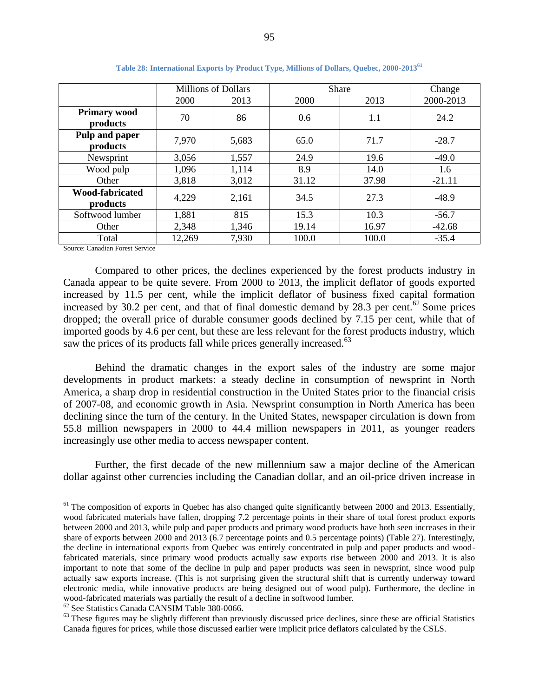|                                    |        | Millions of Dollars |       | <b>Share</b> | Change    |
|------------------------------------|--------|---------------------|-------|--------------|-----------|
|                                    | 2000   | 2013                | 2000  | 2013         | 2000-2013 |
| <b>Primary wood</b>                | 70     | 86                  | 0.6   | 1.1          | 24.2      |
| products                           |        |                     |       |              |           |
| Pulp and paper<br>products         | 7,970  | 5,683               | 65.0  | 71.7         | $-28.7$   |
| Newsprint                          | 3,056  | 1,557               | 24.9  | 19.6         | $-49.0$   |
| Wood pulp                          | 1,096  | 1,114               | 8.9   | 14.0         | 1.6       |
| Other                              | 3,818  | 3,012               | 31.12 | 37.98        | $-21.11$  |
| <b>Wood-fabricated</b><br>products | 4,229  | 2,161               | 34.5  | 27.3         | $-48.9$   |
| Softwood lumber                    | 1,881  | 815                 | 15.3  | 10.3         | $-56.7$   |
| Other                              | 2,348  | 1,346               | 19.14 | 16.97        | $-42.68$  |
| Total                              | 12,269 | 7,930               | 100.0 | 100.0        | $-35.4$   |

**Table 28: International Exports by Product Type, Millions of Dollars, Quebec, 2000-2013<sup>61</sup>**

Source: Canadian Forest Service

 $\overline{a}$ 

Compared to other prices, the declines experienced by the forest products industry in Canada appear to be quite severe. From 2000 to 2013, the implicit deflator of goods exported increased by 11.5 per cent, while the implicit deflator of business fixed capital formation increased by 30.2 per cent, and that of final domestic demand by 28.3 per cent.<sup>62</sup> Some prices dropped; the overall price of durable consumer goods declined by 7.15 per cent, while that of imported goods by 4.6 per cent, but these are less relevant for the forest products industry, which saw the prices of its products fall while prices generally increased.<sup>63</sup>

Behind the dramatic changes in the export sales of the industry are some major developments in product markets: a steady decline in consumption of newsprint in North America, a sharp drop in residential construction in the United States prior to the financial crisis of 2007-08, and economic growth in Asia. Newsprint consumption in North America has been declining since the turn of the century. In the United States, newspaper circulation is down from 55.8 million newspapers in 2000 to 44.4 million newspapers in 2011, as younger readers increasingly use other media to access newspaper content.

Further, the first decade of the new millennium saw a major decline of the American dollar against other currencies including the Canadian dollar, and an oil-price driven increase in

<sup>62</sup> See Statistics Canada CANSIM Table 380-0066.

 $<sup>61</sup>$  The composition of exports in Quebec has also changed quite significantly between 2000 and 2013. Essentially,</sup> wood fabricated materials have fallen, dropping 7.2 percentage points in their share of total forest product exports between 2000 and 2013, while pulp and paper products and primary wood products have both seen increases in their share of exports between 2000 and 2013 (6.7 percentage points and 0.5 percentage points) (Table 27). Interestingly, the decline in international exports from Quebec was entirely concentrated in pulp and paper products and woodfabricated materials, since primary wood products actually saw exports rise between 2000 and 2013. It is also important to note that some of the decline in pulp and paper products was seen in newsprint, since wood pulp actually saw exports increase. (This is not surprising given the structural shift that is currently underway toward electronic media, while innovative products are being designed out of wood pulp). Furthermore, the decline in wood-fabricated materials was partially the result of a decline in softwood lumber.

 $63$  These figures may be slightly different than previously discussed price declines, since these are official Statistics Canada figures for prices, while those discussed earlier were implicit price deflators calculated by the CSLS.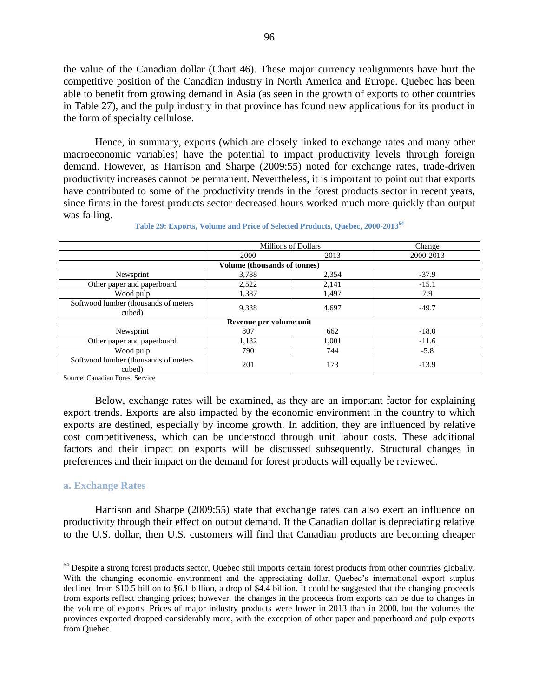the value of the Canadian dollar [\(Chart 46\)](#page-96-0). These major currency realignments have hurt the competitive position of the Canadian industry in North America and Europe. Quebec has been able to benefit from growing demand in Asia (as seen in the growth of exports to other countries in [Table 27\)](#page-93-0), and the pulp industry in that province has found new applications for its product in the form of specialty cellulose.

Hence, in summary, exports (which are closely linked to exchange rates and many other macroeconomic variables) have the potential to impact productivity levels through foreign demand. However, as Harrison and Sharpe (2009:55) noted for exchange rates, trade-driven productivity increases cannot be permanent. Nevertheless, it is important to point out that exports have contributed to some of the productivity trends in the forest products sector in recent years, since firms in the forest products sector decreased hours worked much more quickly than output was falling.

|                                                 |                                     | <b>Millions of Dollars</b> | Change    |
|-------------------------------------------------|-------------------------------------|----------------------------|-----------|
|                                                 | 2000                                | 2013                       | 2000-2013 |
|                                                 | <b>Volume (thousands of tonnes)</b> |                            |           |
| Newsprint                                       | 3,788                               | 2,354                      | $-37.9$   |
| Other paper and paperboard                      | 2,522                               | 2,141                      | $-15.1$   |
| Wood pulp                                       | 1,387                               | 1,497                      | 7.9       |
| Softwood lumber (thousands of meters<br>cubed)  | 9,338                               | 4,697                      | $-49.7$   |
|                                                 | Revenue per volume unit             |                            |           |
| Newsprint                                       | 807                                 | 662                        | $-18.0$   |
| Other paper and paperboard                      | 1,132                               | 1.001                      | $-11.6$   |
| Wood pulp                                       | 790                                 | 744                        | $-5.8$    |
| Softwood lumber (thousands of meters)<br>cubed) | 201                                 | 173                        | $-13.9$   |

**Table 29: Exports, Volume and Price of Selected Products, Quebec, 2000-2013<sup>64</sup>**

Source: Canadian Forest Service

Below, exchange rates will be examined, as they are an important factor for explaining export trends. Exports are also impacted by the economic environment in the country to which exports are destined, especially by income growth. In addition, they are influenced by relative cost competitiveness, which can be understood through unit labour costs. These additional factors and their impact on exports will be discussed subsequently. Structural changes in preferences and their impact on the demand for forest products will equally be reviewed.

#### **a. Exchange Rates**

 $\overline{a}$ 

Harrison and Sharpe (2009:55) state that exchange rates can also exert an influence on productivity through their effect on output demand. If the Canadian dollar is depreciating relative to the U.S. dollar, then U.S. customers will find that Canadian products are becoming cheaper

<sup>&</sup>lt;sup>64</sup> Despite a strong forest products sector, Quebec still imports certain forest products from other countries globally. With the changing economic environment and the appreciating dollar, Quebec's international export surplus declined from \$10.5 billion to \$6.1 billion, a drop of \$4.4 billion. It could be suggested that the changing proceeds from exports reflect changing prices; however, the changes in the proceeds from exports can be due to changes in the volume of exports. Prices of major industry products were lower in 2013 than in 2000, but the volumes the provinces exported dropped considerably more, with the exception of other paper and paperboard and pulp exports from Quebec.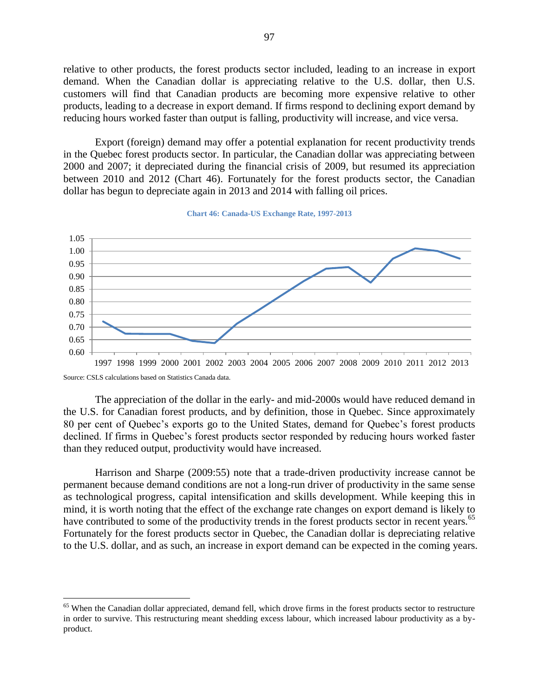relative to other products, the forest products sector included, leading to an increase in export demand. When the Canadian dollar is appreciating relative to the U.S. dollar, then U.S. customers will find that Canadian products are becoming more expensive relative to other products, leading to a decrease in export demand. If firms respond to declining export demand by reducing hours worked faster than output is falling, productivity will increase, and vice versa.

Export (foreign) demand may offer a potential explanation for recent productivity trends in the Quebec forest products sector. In particular, the Canadian dollar was appreciating between 2000 and 2007; it depreciated during the financial crisis of 2009, but resumed its appreciation between 2010 and 2012 [\(Chart 46\)](#page-96-0). Fortunately for the forest products sector, the Canadian dollar has begun to depreciate again in 2013 and 2014 with falling oil prices.

<span id="page-96-0"></span>

**Chart 46: Canada-US Exchange Rate, 1997-2013**

 $\overline{a}$ 

The appreciation of the dollar in the early- and mid-2000s would have reduced demand in the U.S. for Canadian forest products, and by definition, those in Quebec. Since approximately 80 per cent of Quebec's exports go to the United States, demand for Quebec's forest products declined. If firms in Quebec's forest products sector responded by reducing hours worked faster than they reduced output, productivity would have increased.

Harrison and Sharpe (2009:55) note that a trade-driven productivity increase cannot be permanent because demand conditions are not a long-run driver of productivity in the same sense as technological progress, capital intensification and skills development. While keeping this in mind, it is worth noting that the effect of the exchange rate changes on export demand is likely to have contributed to some of the productivity trends in the forest products sector in recent years.<sup>65</sup> Fortunately for the forest products sector in Quebec, the Canadian dollar is depreciating relative to the U.S. dollar, and as such, an increase in export demand can be expected in the coming years.

Source: CSLS calculations based on Statistics Canada data.

<sup>&</sup>lt;sup>65</sup> When the Canadian dollar appreciated, demand fell, which drove firms in the forest products sector to restructure in order to survive. This restructuring meant shedding excess labour, which increased labour productivity as a byproduct.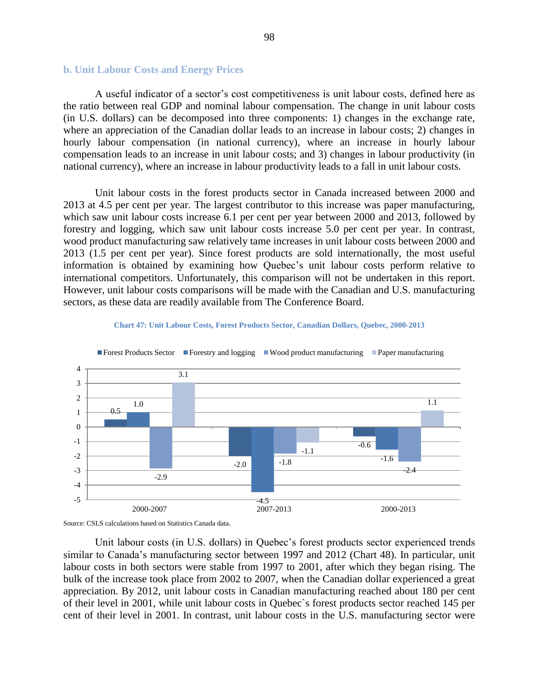#### **b. Unit Labour Costs and Energy Prices**

A useful indicator of a sector's cost competitiveness is unit labour costs, defined here as the ratio between real GDP and nominal labour compensation. The change in unit labour costs (in U.S. dollars) can be decomposed into three components: 1) changes in the exchange rate, where an appreciation of the Canadian dollar leads to an increase in labour costs; 2) changes in hourly labour compensation (in national currency), where an increase in hourly labour compensation leads to an increase in unit labour costs; and 3) changes in labour productivity (in national currency), where an increase in labour productivity leads to a fall in unit labour costs.

Unit labour costs in the forest products sector in Canada increased between 2000 and 2013 at 4.5 per cent per year. The largest contributor to this increase was paper manufacturing, which saw unit labour costs increase 6.1 per cent per year between 2000 and 2013, followed by forestry and logging, which saw unit labour costs increase 5.0 per cent per year. In contrast, wood product manufacturing saw relatively tame increases in unit labour costs between 2000 and 2013 (1.5 per cent per year). Since forest products are sold internationally, the most useful information is obtained by examining how Quebec's unit labour costs perform relative to international competitors. Unfortunately, this comparison will not be undertaken in this report. However, unit labour costs comparisons will be made with the Canadian and U.S. manufacturing sectors, as these data are readily available from The Conference Board.







Unit labour costs (in U.S. dollars) in Quebec's forest products sector experienced trends similar to Canada's manufacturing sector between 1997 and 2012 (Chart 48). In particular, unit labour costs in both sectors were stable from 1997 to 2001, after which they began rising. The bulk of the increase took place from 2002 to 2007, when the Canadian dollar experienced a great appreciation. By 2012, unit labour costs in Canadian manufacturing reached about 180 per cent of their level in 2001, while unit labour costs in Quebec`s forest products sector reached 145 per cent of their level in 2001. In contrast, unit labour costs in the U.S. manufacturing sector were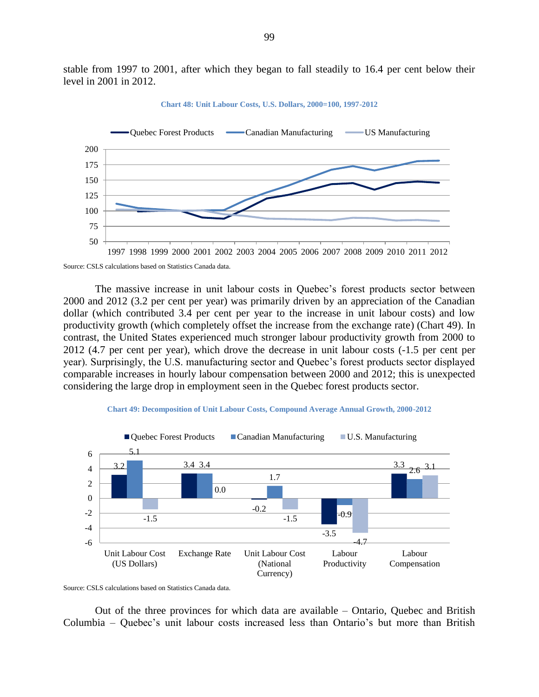stable from 1997 to 2001, after which they began to fall steadily to 16.4 per cent below their level in 2001 in 2012.



**Chart 48: Unit Labour Costs, U.S. Dollars, 2000=100, 1997-2012**

The massive increase in unit labour costs in Quebec's forest products sector between 2000 and 2012 (3.2 per cent per year) was primarily driven by an appreciation of the Canadian dollar (which contributed 3.4 per cent per year to the increase in unit labour costs) and low productivity growth (which completely offset the increase from the exchange rate) (Chart 49). In contrast, the United States experienced much stronger labour productivity growth from 2000 to 2012 (4.7 per cent per year), which drove the decrease in unit labour costs (-1.5 per cent per year). Surprisingly, the U.S. manufacturing sector and Quebec's forest products sector displayed comparable increases in hourly labour compensation between 2000 and 2012; this is unexpected considering the large drop in employment seen in the Quebec forest products sector.





Source: CSLS calculations based on Statistics Canada data.

Out of the three provinces for which data are available – Ontario, Quebec and British Columbia – Quebec's unit labour costs increased less than Ontario's but more than British

Source: CSLS calculations based on Statistics Canada data.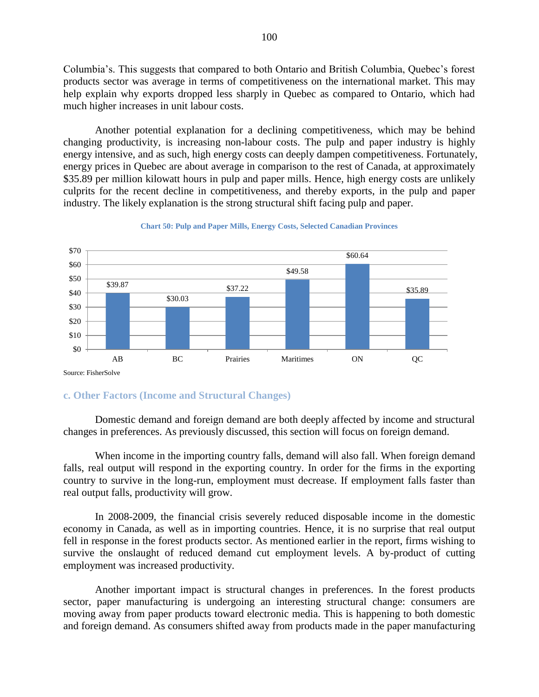Columbia's. This suggests that compared to both Ontario and British Columbia, Quebec's forest products sector was average in terms of competitiveness on the international market. This may help explain why exports dropped less sharply in Quebec as compared to Ontario, which had much higher increases in unit labour costs.

Another potential explanation for a declining competitiveness, which may be behind changing productivity, is increasing non-labour costs. The pulp and paper industry is highly energy intensive, and as such, high energy costs can deeply dampen competitiveness. Fortunately, energy prices in Quebec are about average in comparison to the rest of Canada, at approximately \$35.89 per million kilowatt hours in pulp and paper mills. Hence, high energy costs are unlikely culprits for the recent decline in competitiveness, and thereby exports, in the pulp and paper industry. The likely explanation is the strong structural shift facing pulp and paper.



**Chart 50: Pulp and Paper Mills, Energy Costs, Selected Canadian Provinces**

# **c. Other Factors (Income and Structural Changes)**

Domestic demand and foreign demand are both deeply affected by income and structural changes in preferences. As previously discussed, this section will focus on foreign demand.

When income in the importing country falls, demand will also fall. When foreign demand falls, real output will respond in the exporting country. In order for the firms in the exporting country to survive in the long-run, employment must decrease. If employment falls faster than real output falls, productivity will grow.

In 2008-2009, the financial crisis severely reduced disposable income in the domestic economy in Canada, as well as in importing countries. Hence, it is no surprise that real output fell in response in the forest products sector. As mentioned earlier in the report, firms wishing to survive the onslaught of reduced demand cut employment levels. A by-product of cutting employment was increased productivity.

Another important impact is structural changes in preferences. In the forest products sector, paper manufacturing is undergoing an interesting structural change: consumers are moving away from paper products toward electronic media. This is happening to both domestic and foreign demand. As consumers shifted away from products made in the paper manufacturing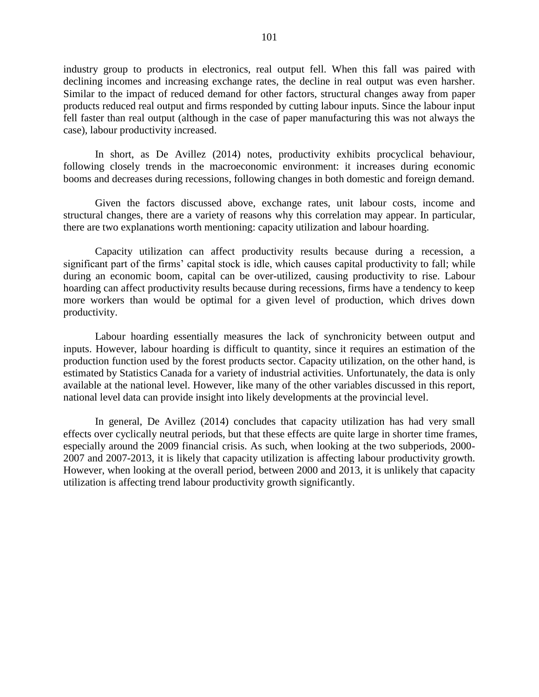industry group to products in electronics, real output fell. When this fall was paired with declining incomes and increasing exchange rates, the decline in real output was even harsher. Similar to the impact of reduced demand for other factors, structural changes away from paper products reduced real output and firms responded by cutting labour inputs. Since the labour input fell faster than real output (although in the case of paper manufacturing this was not always the case), labour productivity increased.

In short, as De Avillez (2014) notes, productivity exhibits procyclical behaviour, following closely trends in the macroeconomic environment: it increases during economic booms and decreases during recessions, following changes in both domestic and foreign demand.

Given the factors discussed above, exchange rates, unit labour costs, income and structural changes, there are a variety of reasons why this correlation may appear. In particular, there are two explanations worth mentioning: capacity utilization and labour hoarding.

Capacity utilization can affect productivity results because during a recession, a significant part of the firms' capital stock is idle, which causes capital productivity to fall; while during an economic boom, capital can be over-utilized, causing productivity to rise. Labour hoarding can affect productivity results because during recessions, firms have a tendency to keep more workers than would be optimal for a given level of production, which drives down productivity.

Labour hoarding essentially measures the lack of synchronicity between output and inputs. However, labour hoarding is difficult to quantity, since it requires an estimation of the production function used by the forest products sector. Capacity utilization, on the other hand, is estimated by Statistics Canada for a variety of industrial activities. Unfortunately, the data is only available at the national level. However, like many of the other variables discussed in this report, national level data can provide insight into likely developments at the provincial level.

In general, De Avillez (2014) concludes that capacity utilization has had very small effects over cyclically neutral periods, but that these effects are quite large in shorter time frames, especially around the 2009 financial crisis. As such, when looking at the two subperiods, 2000- 2007 and 2007-2013, it is likely that capacity utilization is affecting labour productivity growth. However, when looking at the overall period, between 2000 and 2013, it is unlikely that capacity utilization is affecting trend labour productivity growth significantly.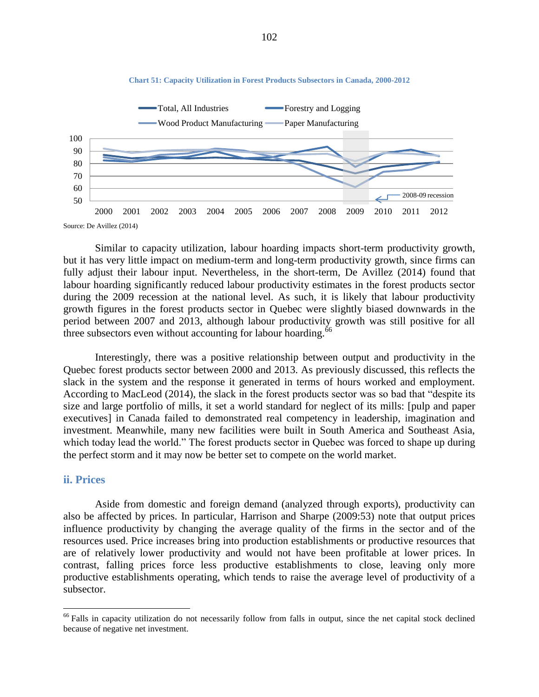

Similar to capacity utilization, labour hoarding impacts short-term productivity growth, but it has very little impact on medium-term and long-term productivity growth, since firms can fully adjust their labour input. Nevertheless, in the short-term, De Avillez (2014) found that labour hoarding significantly reduced labour productivity estimates in the forest products sector during the 2009 recession at the national level. As such, it is likely that labour productivity growth figures in the forest products sector in Quebec were slightly biased downwards in the period between 2007 and 2013, although labour productivity growth was still positive for all three subsectors even without accounting for labour hoarding.<sup>66</sup>

Interestingly, there was a positive relationship between output and productivity in the Quebec forest products sector between 2000 and 2013. As previously discussed, this reflects the slack in the system and the response it generated in terms of hours worked and employment. According to MacLeod (2014), the slack in the forest products sector was so bad that "despite its size and large portfolio of mills, it set a world standard for neglect of its mills: [pulp and paper executives] in Canada failed to demonstrated real competency in leadership, imagination and investment. Meanwhile, many new facilities were built in South America and Southeast Asia, which today lead the world." The forest products sector in Quebec was forced to shape up during the perfect storm and it may now be better set to compete on the world market.

#### **ii. Prices**

 $\overline{a}$ 

Aside from domestic and foreign demand (analyzed through exports), productivity can also be affected by prices. In particular, Harrison and Sharpe (2009:53) note that output prices influence productivity by changing the average quality of the firms in the sector and of the resources used. Price increases bring into production establishments or productive resources that are of relatively lower productivity and would not have been profitable at lower prices. In contrast, falling prices force less productive establishments to close, leaving only more productive establishments operating, which tends to raise the average level of productivity of a subsector.

**Chart 51: Capacity Utilization in Forest Products Subsectors in Canada, 2000-2012**

<sup>&</sup>lt;sup>66</sup> Falls in capacity utilization do not necessarily follow from falls in output, since the net capital stock declined because of negative net investment.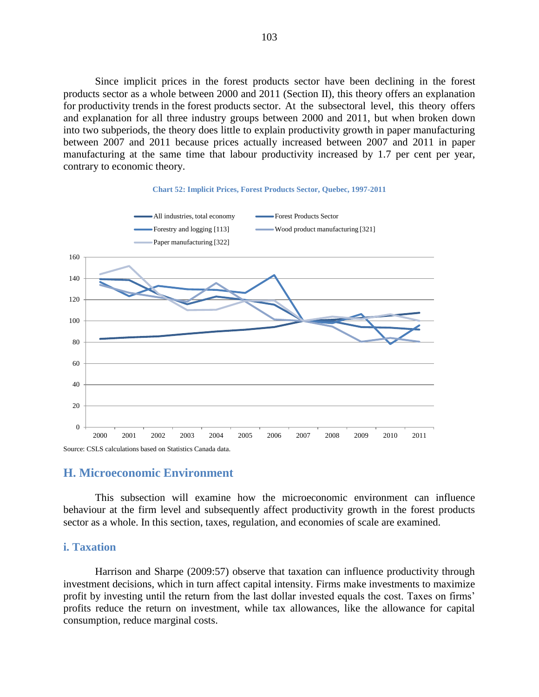Since implicit prices in the forest products sector have been declining in the forest products sector as a whole between 2000 and 2011 (Section II), this theory offers an explanation for productivity trends in the forest products sector. At the subsectoral level, this theory offers and explanation for all three industry groups between 2000 and 2011, but when broken down into two subperiods, the theory does little to explain productivity growth in paper manufacturing between 2007 and 2011 because prices actually increased between 2007 and 2011 in paper manufacturing at the same time that labour productivity increased by 1.7 per cent per year, contrary to economic theory.



#### **Chart 52: Implicit Prices, Forest Products Sector, Quebec, 1997-2011**

### **H. Microeconomic Environment**

This subsection will examine how the microeconomic environment can influence behaviour at the firm level and subsequently affect productivity growth in the forest products sector as a whole. In this section, taxes, regulation, and economies of scale are examined.

## **i. Taxation**

Harrison and Sharpe (2009:57) observe that taxation can influence productivity through investment decisions, which in turn affect capital intensity. Firms make investments to maximize profit by investing until the return from the last dollar invested equals the cost. Taxes on firms' profits reduce the return on investment, while tax allowances, like the allowance for capital consumption, reduce marginal costs.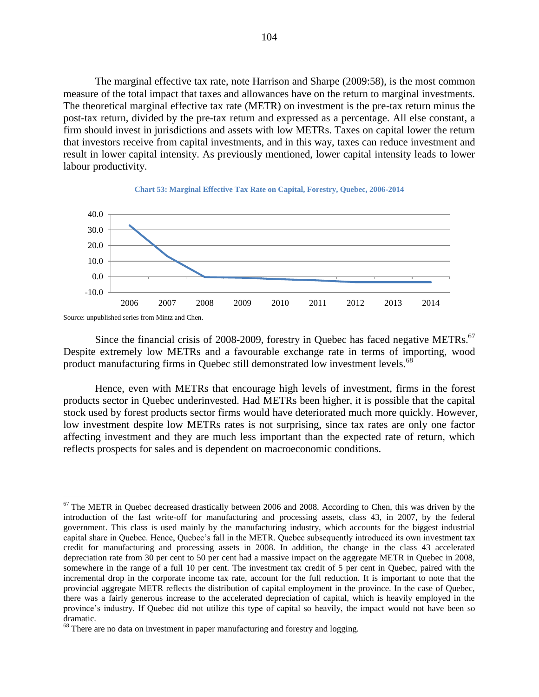The marginal effective tax rate, note Harrison and Sharpe (2009:58), is the most common measure of the total impact that taxes and allowances have on the return to marginal investments. The theoretical marginal effective tax rate (METR) on investment is the pre-tax return minus the post-tax return, divided by the pre-tax return and expressed as a percentage. All else constant, a firm should invest in jurisdictions and assets with low METRs. Taxes on capital lower the return that investors receive from capital investments, and in this way, taxes can reduce investment and result in lower capital intensity. As previously mentioned, lower capital intensity leads to lower labour productivity.





Source: unpublished series from Mintz and Chen.

 $\overline{a}$ 

Since the financial crisis of 2008-2009, forestry in Quebec has faced negative METRs.<sup>67</sup> Despite extremely low METRs and a favourable exchange rate in terms of importing, wood product manufacturing firms in Quebec still demonstrated low investment levels.<sup>68</sup>

Hence, even with METRs that encourage high levels of investment, firms in the forest products sector in Quebec underinvested. Had METRs been higher, it is possible that the capital stock used by forest products sector firms would have deteriorated much more quickly. However, low investment despite low METRs rates is not surprising, since tax rates are only one factor affecting investment and they are much less important than the expected rate of return, which reflects prospects for sales and is dependent on macroeconomic conditions.

<sup>&</sup>lt;sup>67</sup> The METR in Quebec decreased drastically between 2006 and 2008. According to Chen, this was driven by the introduction of the fast write-off for manufacturing and processing assets, class 43, in 2007, by the federal government. This class is used mainly by the manufacturing industry, which accounts for the biggest industrial capital share in Quebec. Hence, Quebec's fall in the METR. Quebec subsequently introduced its own investment tax credit for manufacturing and processing assets in 2008. In addition, the change in the class 43 accelerated depreciation rate from 30 per cent to 50 per cent had a massive impact on the aggregate METR in Quebec in 2008, somewhere in the range of a full 10 per cent. The investment tax credit of 5 per cent in Quebec, paired with the incremental drop in the corporate income tax rate, account for the full reduction. It is important to note that the provincial aggregate METR reflects the distribution of capital employment in the province. In the case of Quebec, there was a fairly generous increase to the accelerated depreciation of capital, which is heavily employed in the province's industry. If Quebec did not utilize this type of capital so heavily, the impact would not have been so dramatic.

<sup>&</sup>lt;sup>68</sup> There are no data on investment in paper manufacturing and forestry and logging.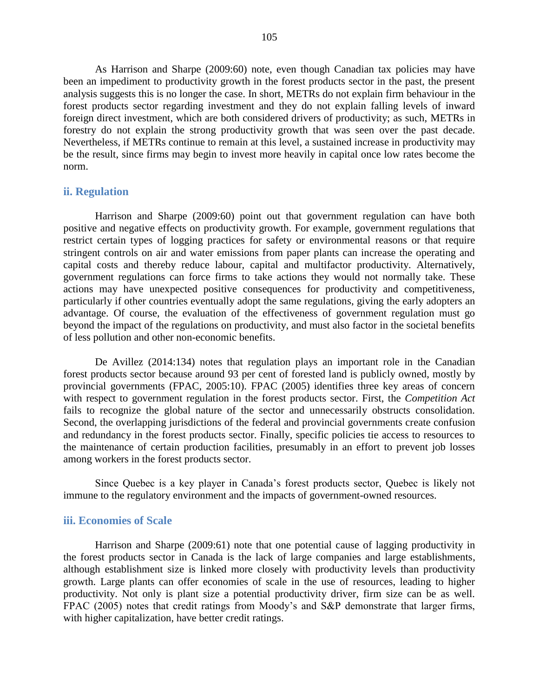As Harrison and Sharpe (2009:60) note, even though Canadian tax policies may have been an impediment to productivity growth in the forest products sector in the past, the present analysis suggests this is no longer the case. In short, METRs do not explain firm behaviour in the forest products sector regarding investment and they do not explain falling levels of inward foreign direct investment, which are both considered drivers of productivity; as such, METRs in forestry do not explain the strong productivity growth that was seen over the past decade. Nevertheless, if METRs continue to remain at this level, a sustained increase in productivity may be the result, since firms may begin to invest more heavily in capital once low rates become the norm.

#### **ii. Regulation**

Harrison and Sharpe (2009:60) point out that government regulation can have both positive and negative effects on productivity growth. For example, government regulations that restrict certain types of logging practices for safety or environmental reasons or that require stringent controls on air and water emissions from paper plants can increase the operating and capital costs and thereby reduce labour, capital and multifactor productivity. Alternatively, government regulations can force firms to take actions they would not normally take. These actions may have unexpected positive consequences for productivity and competitiveness, particularly if other countries eventually adopt the same regulations, giving the early adopters an advantage. Of course, the evaluation of the effectiveness of government regulation must go beyond the impact of the regulations on productivity, and must also factor in the societal benefits of less pollution and other non-economic benefits.

De Avillez (2014:134) notes that regulation plays an important role in the Canadian forest products sector because around 93 per cent of forested land is publicly owned, mostly by provincial governments (FPAC, 2005:10). FPAC (2005) identifies three key areas of concern with respect to government regulation in the forest products sector. First, the *Competition Act* fails to recognize the global nature of the sector and unnecessarily obstructs consolidation. Second, the overlapping jurisdictions of the federal and provincial governments create confusion and redundancy in the forest products sector. Finally, specific policies tie access to resources to the maintenance of certain production facilities, presumably in an effort to prevent job losses among workers in the forest products sector.

Since Quebec is a key player in Canada's forest products sector, Quebec is likely not immune to the regulatory environment and the impacts of government-owned resources.

### **iii. Economies of Scale**

Harrison and Sharpe (2009:61) note that one potential cause of lagging productivity in the forest products sector in Canada is the lack of large companies and large establishments, although establishment size is linked more closely with productivity levels than productivity growth. Large plants can offer economies of scale in the use of resources, leading to higher productivity. Not only is plant size a potential productivity driver, firm size can be as well. FPAC (2005) notes that credit ratings from Moody's and S&P demonstrate that larger firms, with higher capitalization, have better credit ratings.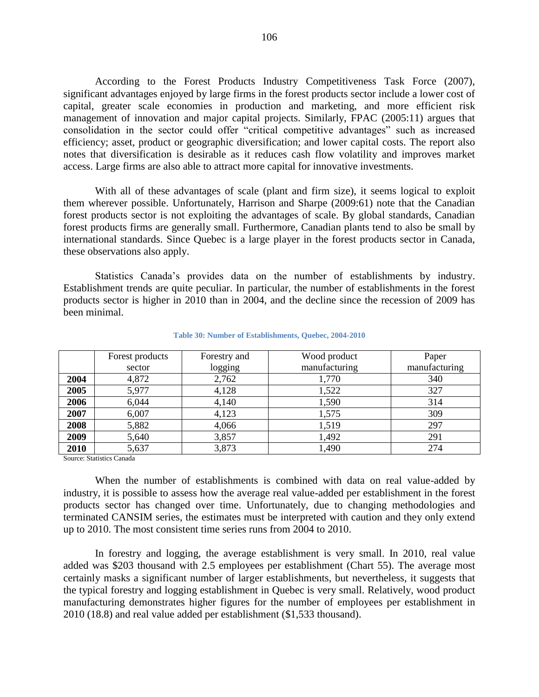According to the Forest Products Industry Competitiveness Task Force (2007), significant advantages enjoyed by large firms in the forest products sector include a lower cost of capital, greater scale economies in production and marketing, and more efficient risk management of innovation and major capital projects. Similarly, FPAC (2005:11) argues that consolidation in the sector could offer "critical competitive advantages" such as increased efficiency; asset, product or geographic diversification; and lower capital costs. The report also notes that diversification is desirable as it reduces cash flow volatility and improves market access. Large firms are also able to attract more capital for innovative investments.

With all of these advantages of scale (plant and firm size), it seems logical to exploit them wherever possible. Unfortunately, Harrison and Sharpe (2009:61) note that the Canadian forest products sector is not exploiting the advantages of scale. By global standards, Canadian forest products firms are generally small. Furthermore, Canadian plants tend to also be small by international standards. Since Quebec is a large player in the forest products sector in Canada, these observations also apply.

Statistics Canada's provides data on the number of establishments by industry. Establishment trends are quite peculiar. In particular, the number of establishments in the forest products sector is higher in 2010 than in 2004, and the decline since the recession of 2009 has been minimal.

|      | Forest products | Forestry and | Wood product  | Paper         |
|------|-----------------|--------------|---------------|---------------|
|      | sector          | logging      | manufacturing | manufacturing |
| 2004 | 4,872           | 2,762        | 1,770         | 340           |
| 2005 | 5,977           | 4,128        | 1,522         | 327           |
| 2006 | 6,044           | 4,140        | 1,590         | 314           |
| 2007 | 6,007           | 4,123        | 1,575         | 309           |
| 2008 | 5,882           | 4,066        | 1,519         | 297           |
| 2009 | 5,640           | 3,857        | 1,492         | 291           |
| 2010 | 5,637           | 3,873        | 1,490         | 274           |

#### **Table 30: Number of Establishments, Quebec, 2004-2010**

Source: Statistics Canada

When the number of establishments is combined with data on real value-added by industry, it is possible to assess how the average real value-added per establishment in the forest products sector has changed over time. Unfortunately, due to changing methodologies and terminated CANSIM series, the estimates must be interpreted with caution and they only extend up to 2010. The most consistent time series runs from 2004 to 2010.

In forestry and logging, the average establishment is very small. In 2010, real value added was \$203 thousand with 2.5 employees per establishment [\(Chart 55\)](#page-106-0). The average most certainly masks a significant number of larger establishments, but nevertheless, it suggests that the typical forestry and logging establishment in Quebec is very small. Relatively, wood product manufacturing demonstrates higher figures for the number of employees per establishment in 2010 (18.8) and real value added per establishment (\$1,533 thousand).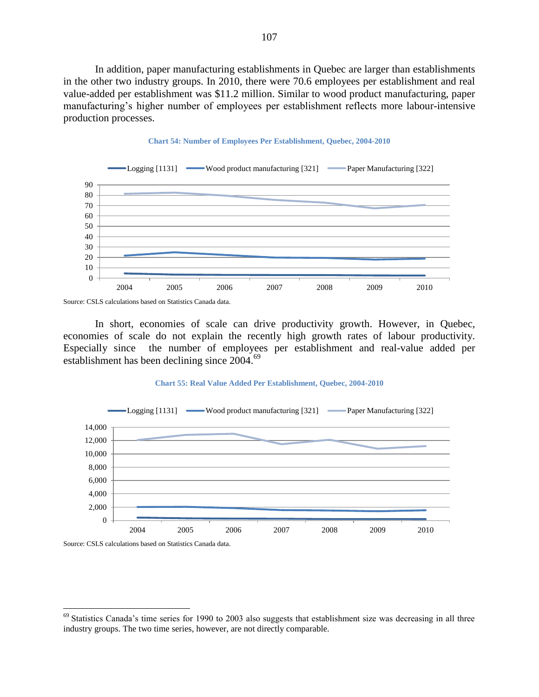In addition, paper manufacturing establishments in Quebec are larger than establishments in the other two industry groups. In 2010, there were 70.6 employees per establishment and real value-added per establishment was \$11.2 million. Similar to wood product manufacturing, paper manufacturing's higher number of employees per establishment reflects more labour-intensive production processes.



# **Chart 54: Number of Employees Per Establishment, Quebec, 2004-2010**

In short, economies of scale can drive productivity growth. However, in Quebec, economies of scale do not explain the recently high growth rates of labour productivity. Especially since the number of employees per establishment and real-value added per establishment has been declining since 2004.<sup>69</sup>

#### **Chart 55: Real Value Added Per Establishment, Quebec, 2004-2010**

<span id="page-106-0"></span>

Source: CSLS calculations based on Statistics Canada data.

Source: CSLS calculations based on Statistics Canada data.

 $69$  Statistics Canada's time series for 1990 to 2003 also suggests that establishment size was decreasing in all three industry groups. The two time series, however, are not directly comparable.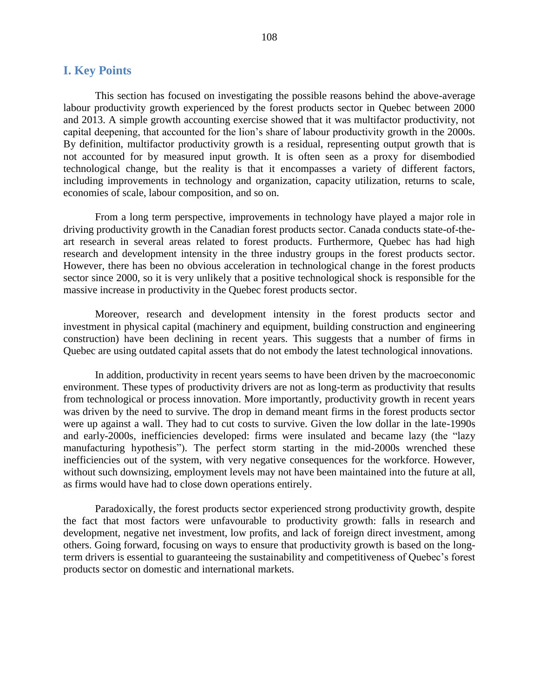## **I. Key Points**

This section has focused on investigating the possible reasons behind the above-average labour productivity growth experienced by the forest products sector in Quebec between 2000 and 2013. A simple growth accounting exercise showed that it was multifactor productivity, not capital deepening, that accounted for the lion's share of labour productivity growth in the 2000s. By definition, multifactor productivity growth is a residual, representing output growth that is not accounted for by measured input growth. It is often seen as a proxy for disembodied technological change, but the reality is that it encompasses a variety of different factors, including improvements in technology and organization, capacity utilization, returns to scale, economies of scale, labour composition, and so on.

From a long term perspective, improvements in technology have played a major role in driving productivity growth in the Canadian forest products sector. Canada conducts state-of-theart research in several areas related to forest products. Furthermore, Quebec has had high research and development intensity in the three industry groups in the forest products sector. However, there has been no obvious acceleration in technological change in the forest products sector since 2000, so it is very unlikely that a positive technological shock is responsible for the massive increase in productivity in the Quebec forest products sector.

Moreover, research and development intensity in the forest products sector and investment in physical capital (machinery and equipment, building construction and engineering construction) have been declining in recent years. This suggests that a number of firms in Quebec are using outdated capital assets that do not embody the latest technological innovations.

In addition, productivity in recent years seems to have been driven by the macroeconomic environment. These types of productivity drivers are not as long-term as productivity that results from technological or process innovation. More importantly, productivity growth in recent years was driven by the need to survive. The drop in demand meant firms in the forest products sector were up against a wall. They had to cut costs to survive. Given the low dollar in the late-1990s and early-2000s, inefficiencies developed: firms were insulated and became lazy (the "lazy manufacturing hypothesis"). The perfect storm starting in the mid-2000s wrenched these inefficiencies out of the system, with very negative consequences for the workforce. However, without such downsizing, employment levels may not have been maintained into the future at all, as firms would have had to close down operations entirely.

Paradoxically, the forest products sector experienced strong productivity growth, despite the fact that most factors were unfavourable to productivity growth: falls in research and development, negative net investment, low profits, and lack of foreign direct investment, among others. Going forward, focusing on ways to ensure that productivity growth is based on the longterm drivers is essential to guaranteeing the sustainability and competitiveness of Quebec's forest products sector on domestic and international markets.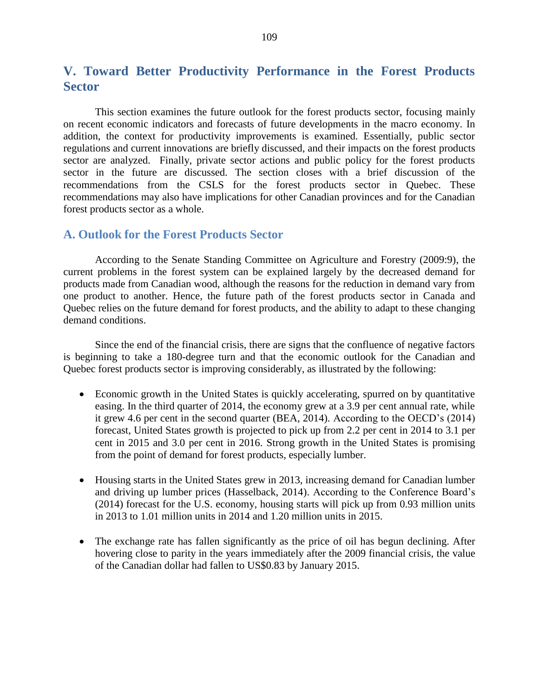# **V. Toward Better Productivity Performance in the Forest Products Sector**

This section examines the future outlook for the forest products sector, focusing mainly on recent economic indicators and forecasts of future developments in the macro economy. In addition, the context for productivity improvements is examined. Essentially, public sector regulations and current innovations are briefly discussed, and their impacts on the forest products sector are analyzed. Finally, private sector actions and public policy for the forest products sector in the future are discussed. The section closes with a brief discussion of the recommendations from the CSLS for the forest products sector in Quebec. These recommendations may also have implications for other Canadian provinces and for the Canadian forest products sector as a whole.

#### **A. Outlook for the Forest Products Sector**

According to the Senate Standing Committee on Agriculture and Forestry (2009:9), the current problems in the forest system can be explained largely by the decreased demand for products made from Canadian wood, although the reasons for the reduction in demand vary from one product to another. Hence, the future path of the forest products sector in Canada and Quebec relies on the future demand for forest products, and the ability to adapt to these changing demand conditions.

Since the end of the financial crisis, there are signs that the confluence of negative factors is beginning to take a 180-degree turn and that the economic outlook for the Canadian and Quebec forest products sector is improving considerably, as illustrated by the following:

- Economic growth in the United States is quickly accelerating, spurred on by quantitative easing. In the third quarter of 2014, the economy grew at a 3.9 per cent annual rate, while it grew 4.6 per cent in the second quarter (BEA, 2014). According to the OECD's (2014) forecast, United States growth is projected to pick up from 2.2 per cent in 2014 to 3.1 per cent in 2015 and 3.0 per cent in 2016. Strong growth in the United States is promising from the point of demand for forest products, especially lumber.
- Housing starts in the United States grew in 2013, increasing demand for Canadian lumber and driving up lumber prices (Hasselback, 2014). According to the Conference Board's (2014) forecast for the U.S. economy, housing starts will pick up from 0.93 million units in 2013 to 1.01 million units in 2014 and 1.20 million units in 2015.
- The exchange rate has fallen significantly as the price of oil has begun declining. After hovering close to parity in the years immediately after the 2009 financial crisis, the value of the Canadian dollar had fallen to US\$0.83 by January 2015.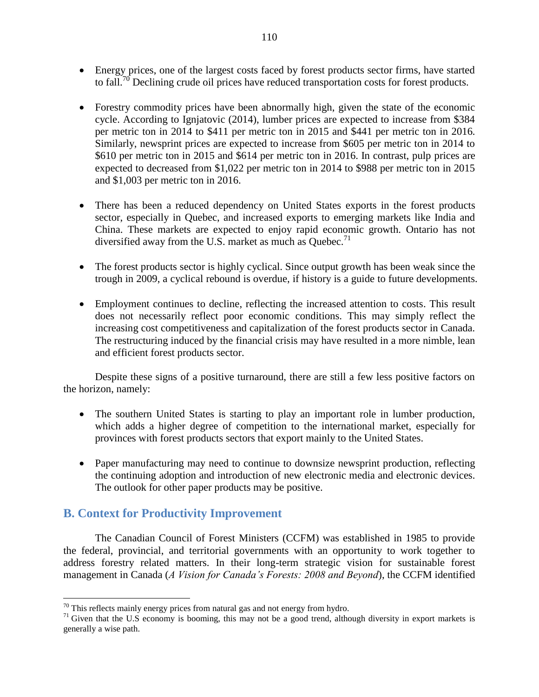- Energy prices, one of the largest costs faced by forest products sector firms, have started to fall.<sup>70</sup> Declining crude oil prices have reduced transportation costs for forest products.
- Forestry commodity prices have been abnormally high, given the state of the economic cycle. According to Ignjatovic (2014), lumber prices are expected to increase from \$384 per metric ton in 2014 to \$411 per metric ton in 2015 and \$441 per metric ton in 2016. Similarly, newsprint prices are expected to increase from \$605 per metric ton in 2014 to \$610 per metric ton in 2015 and \$614 per metric ton in 2016. In contrast, pulp prices are expected to decreased from \$1,022 per metric ton in 2014 to \$988 per metric ton in 2015 and \$1,003 per metric ton in 2016.
- There has been a reduced dependency on United States exports in the forest products sector, especially in Quebec, and increased exports to emerging markets like India and China. These markets are expected to enjoy rapid economic growth. Ontario has not diversified away from the U.S. market as much as Quebec.<sup>71</sup>
- The forest products sector is highly cyclical. Since output growth has been weak since the trough in 2009, a cyclical rebound is overdue, if history is a guide to future developments.
- Employment continues to decline, reflecting the increased attention to costs. This result does not necessarily reflect poor economic conditions. This may simply reflect the increasing cost competitiveness and capitalization of the forest products sector in Canada. The restructuring induced by the financial crisis may have resulted in a more nimble, lean and efficient forest products sector.

Despite these signs of a positive turnaround, there are still a few less positive factors on the horizon, namely:

- The southern United States is starting to play an important role in lumber production, which adds a higher degree of competition to the international market, especially for provinces with forest products sectors that export mainly to the United States.
- Paper manufacturing may need to continue to downsize newsprint production, reflecting the continuing adoption and introduction of new electronic media and electronic devices. The outlook for other paper products may be positive.

## **B. Context for Productivity Improvement**

 $\overline{a}$ 

The Canadian Council of Forest Ministers (CCFM) was established in 1985 to provide the federal, provincial, and territorial governments with an opportunity to work together to address forestry related matters. In their long-term strategic vision for sustainable forest management in Canada (*A Vision for Canada's Forests: 2008 and Beyond*), the CCFM identified

 $70$  This reflects mainly energy prices from natural gas and not energy from hydro.

 $71$  Given that the U.S economy is booming, this may not be a good trend, although diversity in export markets is generally a wise path.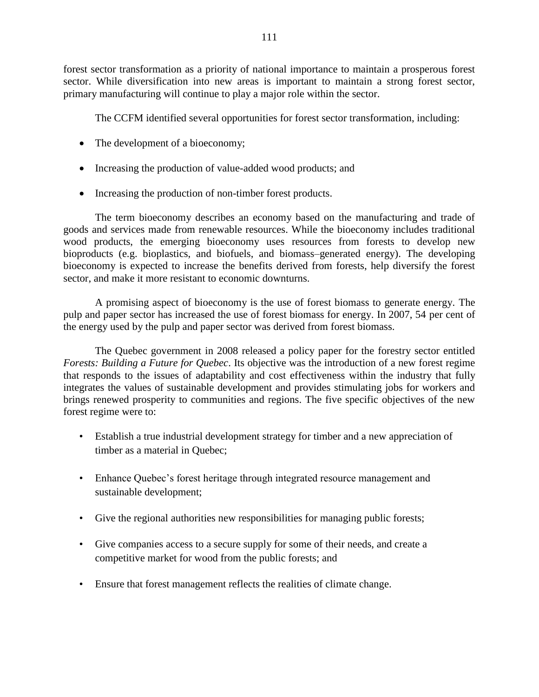forest sector transformation as a priority of national importance to maintain a prosperous forest sector. While diversification into new areas is important to maintain a strong forest sector, primary manufacturing will continue to play a major role within the sector.

The CCFM identified several opportunities for forest sector transformation, including:

- The development of a bioeconomy;
- Increasing the production of value-added wood products; and
- Increasing the production of non-timber forest products.

The term bioeconomy describes an economy based on the manufacturing and trade of goods and services made from renewable resources. While the bioeconomy includes traditional wood products, the emerging bioeconomy uses resources from forests to develop new bioproducts (e.g. bioplastics, and biofuels, and biomass–generated energy). The developing bioeconomy is expected to increase the benefits derived from forests, help diversify the forest sector, and make it more resistant to economic downturns.

A promising aspect of bioeconomy is the use of forest biomass to generate energy. The pulp and paper sector has increased the use of forest biomass for energy. In 2007, 54 per cent of the energy used by the pulp and paper sector was derived from forest biomass.

The Quebec government in 2008 released a policy paper for the forestry sector entitled *Forests: Building a Future for Quebec*. Its objective was the introduction of a new forest regime that responds to the issues of adaptability and cost effectiveness within the industry that fully integrates the values of sustainable development and provides stimulating jobs for workers and brings renewed prosperity to communities and regions. The five specific objectives of the new forest regime were to:

- Establish a true industrial development strategy for timber and a new appreciation of timber as a material in Quebec;
- Enhance Quebec's forest heritage through integrated resource management and sustainable development;
- Give the regional authorities new responsibilities for managing public forests;
- Give companies access to a secure supply for some of their needs, and create a competitive market for wood from the public forests; and
- Ensure that forest management reflects the realities of climate change.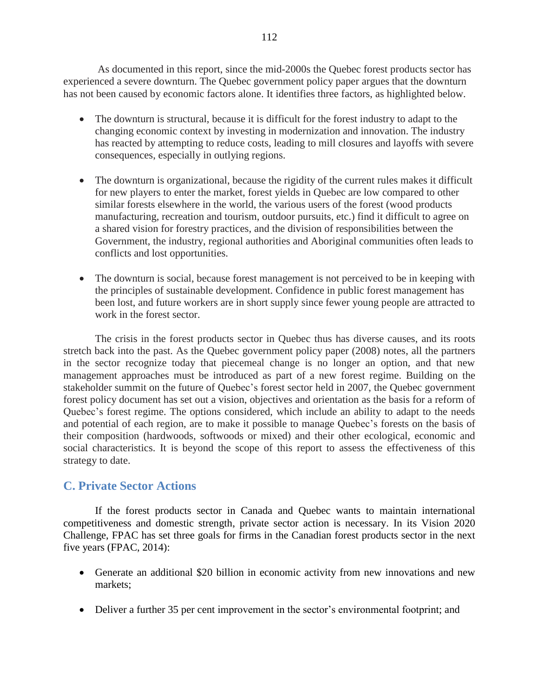As documented in this report, since the mid-2000s the Quebec forest products sector has experienced a severe downturn. The Quebec government policy paper argues that the downturn has not been caused by economic factors alone. It identifies three factors, as highlighted below.

- The downturn is structural, because it is difficult for the forest industry to adapt to the changing economic context by investing in modernization and innovation. The industry has reacted by attempting to reduce costs, leading to mill closures and layoffs with severe consequences, especially in outlying regions.
- The downturn is organizational, because the rigidity of the current rules makes it difficult for new players to enter the market, forest yields in Quebec are low compared to other similar forests elsewhere in the world, the various users of the forest (wood products manufacturing, recreation and tourism, outdoor pursuits, etc.) find it difficult to agree on a shared vision for forestry practices, and the division of responsibilities between the Government, the industry, regional authorities and Aboriginal communities often leads to conflicts and lost opportunities.
- The downturn is social, because forest management is not perceived to be in keeping with the principles of sustainable development. Confidence in public forest management has been lost, and future workers are in short supply since fewer young people are attracted to work in the forest sector.

The crisis in the forest products sector in Quebec thus has diverse causes, and its roots stretch back into the past. As the Quebec government policy paper (2008) notes, all the partners in the sector recognize today that piecemeal change is no longer an option, and that new management approaches must be introduced as part of a new forest regime. Building on the stakeholder summit on the future of Quebec's forest sector held in 2007, the Quebec government forest policy document has set out a vision, objectives and orientation as the basis for a reform of Quebec's forest regime. The options considered, which include an ability to adapt to the needs and potential of each region, are to make it possible to manage Quebec's forests on the basis of their composition (hardwoods, softwoods or mixed) and their other ecological, economic and social characteristics. It is beyond the scope of this report to assess the effectiveness of this strategy to date.

# **C. Private Sector Actions**

If the forest products sector in Canada and Quebec wants to maintain international competitiveness and domestic strength, private sector action is necessary. In its Vision 2020 Challenge, FPAC has set three goals for firms in the Canadian forest products sector in the next five years (FPAC, 2014):

- Generate an additional \$20 billion in economic activity from new innovations and new markets;
- Deliver a further 35 per cent improvement in the sector's environmental footprint; and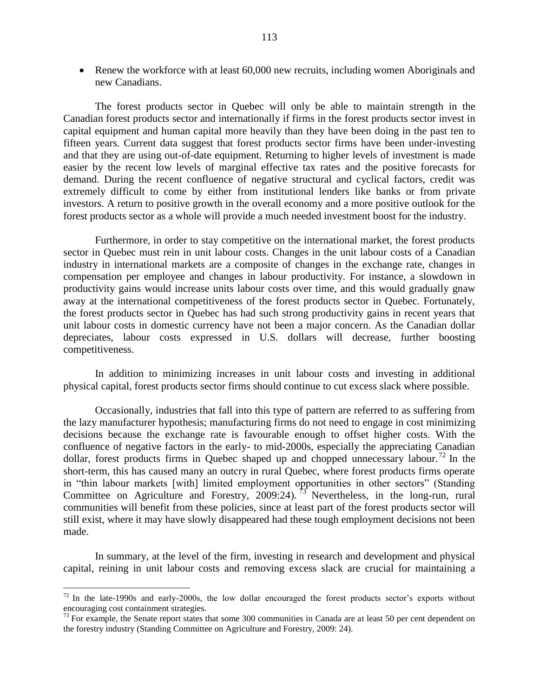• Renew the workforce with at least 60,000 new recruits, including women Aboriginals and new Canadians.

The forest products sector in Quebec will only be able to maintain strength in the Canadian forest products sector and internationally if firms in the forest products sector invest in capital equipment and human capital more heavily than they have been doing in the past ten to fifteen years. Current data suggest that forest products sector firms have been under-investing and that they are using out-of-date equipment. Returning to higher levels of investment is made easier by the recent low levels of marginal effective tax rates and the positive forecasts for demand. During the recent confluence of negative structural and cyclical factors, credit was extremely difficult to come by either from institutional lenders like banks or from private investors. A return to positive growth in the overall economy and a more positive outlook for the forest products sector as a whole will provide a much needed investment boost for the industry.

Furthermore, in order to stay competitive on the international market, the forest products sector in Quebec must rein in unit labour costs. Changes in the unit labour costs of a Canadian industry in international markets are a composite of changes in the exchange rate, changes in compensation per employee and changes in labour productivity. For instance, a slowdown in productivity gains would increase units labour costs over time, and this would gradually gnaw away at the international competitiveness of the forest products sector in Quebec. Fortunately, the forest products sector in Quebec has had such strong productivity gains in recent years that unit labour costs in domestic currency have not been a major concern. As the Canadian dollar depreciates, labour costs expressed in U.S. dollars will decrease, further boosting competitiveness.

In addition to minimizing increases in unit labour costs and investing in additional physical capital, forest products sector firms should continue to cut excess slack where possible.

Occasionally, industries that fall into this type of pattern are referred to as suffering from the lazy manufacturer hypothesis; manufacturing firms do not need to engage in cost minimizing decisions because the exchange rate is favourable enough to offset higher costs. With the confluence of negative factors in the early- to mid-2000s, especially the appreciating Canadian dollar, forest products firms in Quebec shaped up and chopped unnecessary labour.<sup>72</sup> In the short-term, this has caused many an outcry in rural Quebec, where forest products firms operate in "thin labour markets [with] limited employment opportunities in other sectors" (Standing Committee on Agriculture and Forestry, 2009:24).<sup>73</sup> Nevertheless, in the long-run, rural communities will benefit from these policies, since at least part of the forest products sector will still exist, where it may have slowly disappeared had these tough employment decisions not been made.

In summary, at the level of the firm, investing in research and development and physical capital, reining in unit labour costs and removing excess slack are crucial for maintaining a

 $\overline{a}$ 

 $72$  In the late-1990s and early-2000s, the low dollar encouraged the forest products sector's exports without encouraging cost containment strategies.

 $73$  For example, the Senate report states that some 300 communities in Canada are at least 50 per cent dependent on the forestry industry (Standing Committee on Agriculture and Forestry, 2009: 24).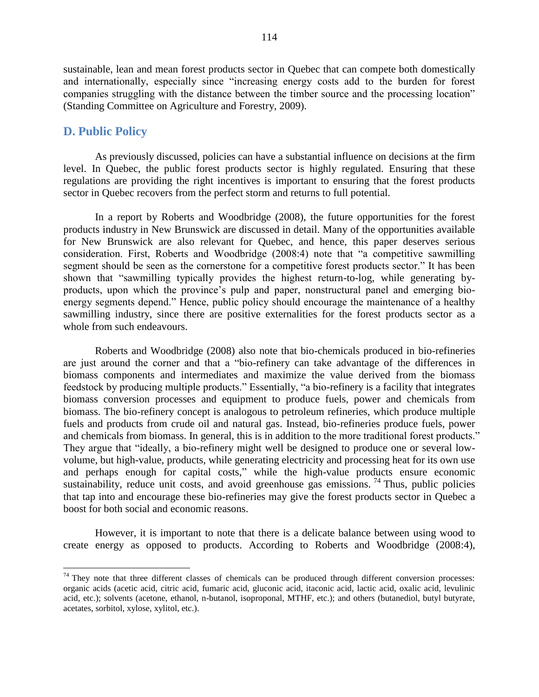sustainable, lean and mean forest products sector in Quebec that can compete both domestically and internationally, especially since "increasing energy costs add to the burden for forest companies struggling with the distance between the timber source and the processing location" (Standing Committee on Agriculture and Forestry, 2009).

### **D. Public Policy**

 $\overline{a}$ 

As previously discussed, policies can have a substantial influence on decisions at the firm level. In Quebec, the public forest products sector is highly regulated. Ensuring that these regulations are providing the right incentives is important to ensuring that the forest products sector in Quebec recovers from the perfect storm and returns to full potential.

In a report by Roberts and Woodbridge (2008), the future opportunities for the forest products industry in New Brunswick are discussed in detail. Many of the opportunities available for New Brunswick are also relevant for Quebec, and hence, this paper deserves serious consideration. First, Roberts and Woodbridge (2008:4) note that "a competitive sawmilling segment should be seen as the cornerstone for a competitive forest products sector." It has been shown that "sawmilling typically provides the highest return-to-log, while generating byproducts, upon which the province's pulp and paper, nonstructural panel and emerging bioenergy segments depend." Hence, public policy should encourage the maintenance of a healthy sawmilling industry, since there are positive externalities for the forest products sector as a whole from such endeavours.

Roberts and Woodbridge (2008) also note that bio-chemicals produced in bio-refineries are just around the corner and that a "bio-refinery can take advantage of the differences in biomass components and intermediates and maximize the value derived from the biomass feedstock by producing multiple products." Essentially, "a bio-refinery is a facility that integrates biomass conversion processes and equipment to produce fuels, power and chemicals from biomass. The bio-refinery concept is analogous to petroleum refineries, which produce multiple fuels and products from crude oil and natural gas. Instead, bio-refineries produce fuels, power and chemicals from biomass. In general, this is in addition to the more traditional forest products." They argue that "ideally, a bio-refinery might well be designed to produce one or several lowvolume, but high-value, products, while generating electricity and processing heat for its own use and perhaps enough for capital costs," while the high-value products ensure economic sustainability, reduce unit costs, and avoid greenhouse gas emissions.<sup>74</sup> Thus, public policies that tap into and encourage these bio-refineries may give the forest products sector in Quebec a boost for both social and economic reasons.

However, it is important to note that there is a delicate balance between using wood to create energy as opposed to products. According to Roberts and Woodbridge (2008:4),

 $74$  They note that three different classes of chemicals can be produced through different conversion processes: organic acids (acetic acid, citric acid, fumaric acid, gluconic acid, itaconic acid, lactic acid, oxalic acid, levulinic acid, etc.); solvents (acetone, ethanol, n-butanol, isoproponal, MTHF, etc.); and others (butanediol, butyl butyrate, acetates, sorbitol, xylose, xylitol, etc.).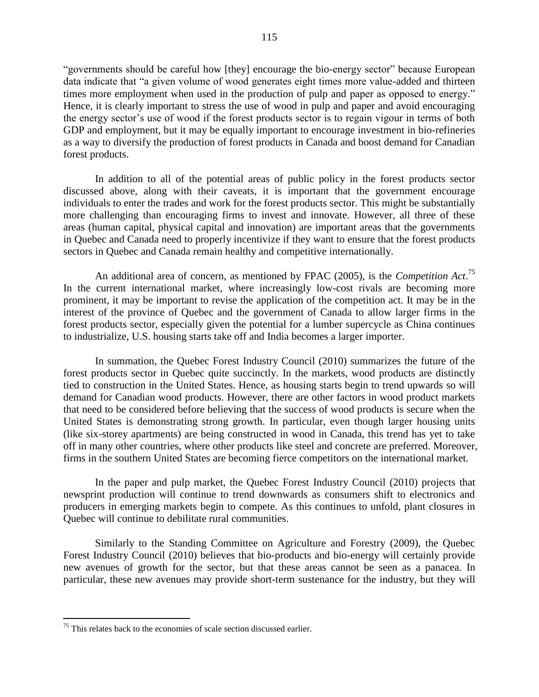"governments should be careful how [they] encourage the bio-energy sector" because European data indicate that "a given volume of wood generates eight times more value-added and thirteen times more employment when used in the production of pulp and paper as opposed to energy." Hence, it is clearly important to stress the use of wood in pulp and paper and avoid encouraging the energy sector's use of wood if the forest products sector is to regain vigour in terms of both GDP and employment, but it may be equally important to encourage investment in bio-refineries as a way to diversify the production of forest products in Canada and boost demand for Canadian forest products.

In addition to all of the potential areas of public policy in the forest products sector discussed above, along with their caveats, it is important that the government encourage individuals to enter the trades and work for the forest products sector. This might be substantially more challenging than encouraging firms to invest and innovate. However, all three of these areas (human capital, physical capital and innovation) are important areas that the governments in Quebec and Canada need to properly incentivize if they want to ensure that the forest products sectors in Quebec and Canada remain healthy and competitive internationally.

An additional area of concern, as mentioned by FPAC (2005), is the *Competition Act*. 75 In the current international market, where increasingly low-cost rivals are becoming more prominent, it may be important to revise the application of the competition act. It may be in the interest of the province of Quebec and the government of Canada to allow larger firms in the forest products sector, especially given the potential for a lumber supercycle as China continues to industrialize, U.S. housing starts take off and India becomes a larger importer.

In summation, the Quebec Forest Industry Council (2010) summarizes the future of the forest products sector in Quebec quite succinctly. In the markets, wood products are distinctly tied to construction in the United States. Hence, as housing starts begin to trend upwards so will demand for Canadian wood products. However, there are other factors in wood product markets that need to be considered before believing that the success of wood products is secure when the United States is demonstrating strong growth. In particular, even though larger housing units (like six-storey apartments) are being constructed in wood in Canada, this trend has yet to take off in many other countries, where other products like steel and concrete are preferred. Moreover, firms in the southern United States are becoming fierce competitors on the international market.

In the paper and pulp market, the Quebec Forest Industry Council (2010) projects that newsprint production will continue to trend downwards as consumers shift to electronics and producers in emerging markets begin to compete. As this continues to unfold, plant closures in Quebec will continue to debilitate rural communities.

Similarly to the Standing Committee on Agriculture and Forestry (2009), the Quebec Forest Industry Council (2010) believes that bio-products and bio-energy will certainly provide new avenues of growth for the sector, but that these areas cannot be seen as a panacea. In particular, these new avenues may provide short-term sustenance for the industry, but they will

 $\overline{a}$ 

 $75$  This relates back to the economies of scale section discussed earlier.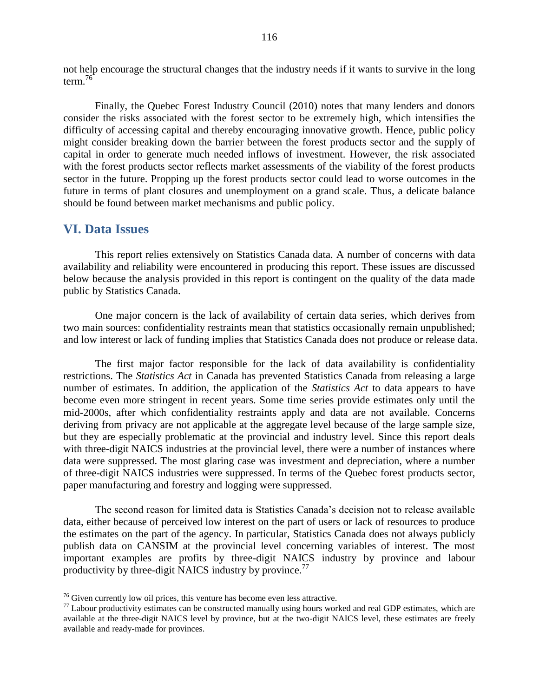not help encourage the structural changes that the industry needs if it wants to survive in the long term.<sup>76</sup>

Finally, the Quebec Forest Industry Council (2010) notes that many lenders and donors consider the risks associated with the forest sector to be extremely high, which intensifies the difficulty of accessing capital and thereby encouraging innovative growth. Hence, public policy might consider breaking down the barrier between the forest products sector and the supply of capital in order to generate much needed inflows of investment. However, the risk associated with the forest products sector reflects market assessments of the viability of the forest products sector in the future. Propping up the forest products sector could lead to worse outcomes in the future in terms of plant closures and unemployment on a grand scale. Thus, a delicate balance should be found between market mechanisms and public policy.

### **VI. Data Issues**

 $\overline{a}$ 

This report relies extensively on Statistics Canada data. A number of concerns with data availability and reliability were encountered in producing this report. These issues are discussed below because the analysis provided in this report is contingent on the quality of the data made public by Statistics Canada.

One major concern is the lack of availability of certain data series, which derives from two main sources: confidentiality restraints mean that statistics occasionally remain unpublished; and low interest or lack of funding implies that Statistics Canada does not produce or release data.

The first major factor responsible for the lack of data availability is confidentiality restrictions. The *Statistics Act* in Canada has prevented Statistics Canada from releasing a large number of estimates. In addition, the application of the *Statistics Act* to data appears to have become even more stringent in recent years. Some time series provide estimates only until the mid-2000s, after which confidentiality restraints apply and data are not available. Concerns deriving from privacy are not applicable at the aggregate level because of the large sample size, but they are especially problematic at the provincial and industry level. Since this report deals with three-digit NAICS industries at the provincial level, there were a number of instances where data were suppressed. The most glaring case was investment and depreciation, where a number of three-digit NAICS industries were suppressed. In terms of the Quebec forest products sector, paper manufacturing and forestry and logging were suppressed.

The second reason for limited data is Statistics Canada's decision not to release available data, either because of perceived low interest on the part of users or lack of resources to produce the estimates on the part of the agency. In particular, Statistics Canada does not always publicly publish data on CANSIM at the provincial level concerning variables of interest. The most important examples are profits by three-digit NAICS industry by province and labour productivity by three-digit NAICS industry by province.<sup>77</sup>

 $76$  Given currently low oil prices, this venture has become even less attractive.

 $77$  Labour productivity estimates can be constructed manually using hours worked and real GDP estimates, which are available at the three-digit NAICS level by province, but at the two-digit NAICS level, these estimates are freely available and ready-made for provinces.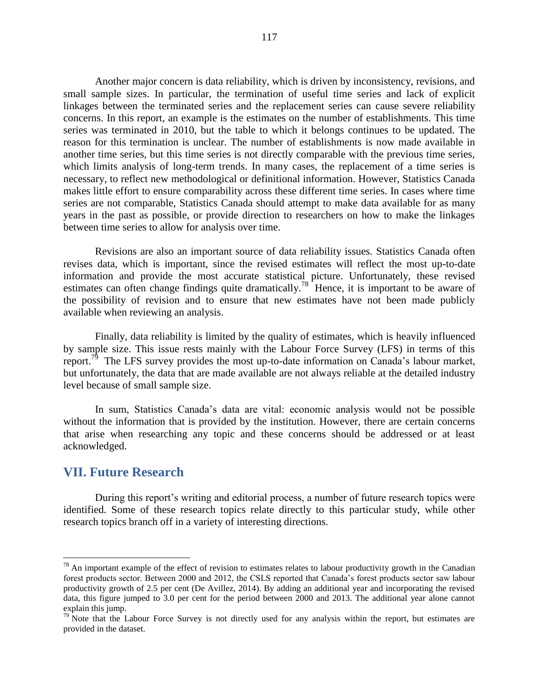Another major concern is data reliability, which is driven by inconsistency, revisions, and small sample sizes. In particular, the termination of useful time series and lack of explicit linkages between the terminated series and the replacement series can cause severe reliability concerns. In this report, an example is the estimates on the number of establishments. This time series was terminated in 2010, but the table to which it belongs continues to be updated. The reason for this termination is unclear. The number of establishments is now made available in another time series, but this time series is not directly comparable with the previous time series, which limits analysis of long-term trends. In many cases, the replacement of a time series is necessary, to reflect new methodological or definitional information. However, Statistics Canada makes little effort to ensure comparability across these different time series. In cases where time series are not comparable, Statistics Canada should attempt to make data available for as many years in the past as possible, or provide direction to researchers on how to make the linkages between time series to allow for analysis over time.

Revisions are also an important source of data reliability issues. Statistics Canada often revises data, which is important, since the revised estimates will reflect the most up-to-date information and provide the most accurate statistical picture. Unfortunately, these revised estimates can often change findings quite dramatically.<sup>78</sup> Hence, it is important to be aware of the possibility of revision and to ensure that new estimates have not been made publicly available when reviewing an analysis.

Finally, data reliability is limited by the quality of estimates, which is heavily influenced by sample size. This issue rests mainly with the Labour Force Survey (LFS) in terms of this report.<sup>79</sup> The LFS survey provides the most up-to-date information on Canada's labour market, but unfortunately, the data that are made available are not always reliable at the detailed industry level because of small sample size.

In sum, Statistics Canada's data are vital: economic analysis would not be possible without the information that is provided by the institution. However, there are certain concerns that arise when researching any topic and these concerns should be addressed or at least acknowledged.

### **VII. Future Research**

 $\overline{a}$ 

During this report's writing and editorial process, a number of future research topics were identified. Some of these research topics relate directly to this particular study, while other research topics branch off in a variety of interesting directions.

 $78$  An important example of the effect of revision to estimates relates to labour productivity growth in the Canadian forest products sector. Between 2000 and 2012, the CSLS reported that Canada's forest products sector saw labour productivity growth of 2.5 per cent (De Avillez, 2014). By adding an additional year and incorporating the revised data, this figure jumped to 3.0 per cent for the period between 2000 and 2013. The additional year alone cannot explain this jump.

 $79$  Note that the Labour Force Survey is not directly used for any analysis within the report, but estimates are provided in the dataset.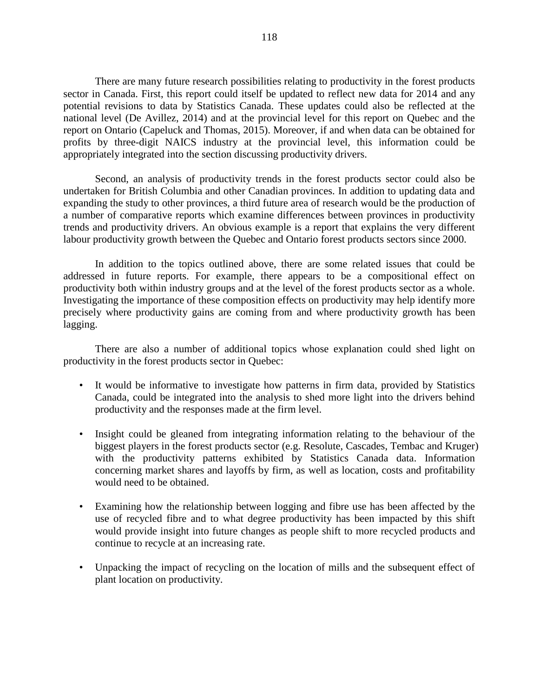There are many future research possibilities relating to productivity in the forest products sector in Canada. First, this report could itself be updated to reflect new data for 2014 and any potential revisions to data by Statistics Canada. These updates could also be reflected at the national level (De Avillez, 2014) and at the provincial level for this report on Quebec and the report on Ontario (Capeluck and Thomas, 2015). Moreover, if and when data can be obtained for profits by three-digit NAICS industry at the provincial level, this information could be appropriately integrated into the section discussing productivity drivers.

Second, an analysis of productivity trends in the forest products sector could also be undertaken for British Columbia and other Canadian provinces. In addition to updating data and expanding the study to other provinces, a third future area of research would be the production of a number of comparative reports which examine differences between provinces in productivity trends and productivity drivers. An obvious example is a report that explains the very different labour productivity growth between the Quebec and Ontario forest products sectors since 2000.

In addition to the topics outlined above, there are some related issues that could be addressed in future reports. For example, there appears to be a compositional effect on productivity both within industry groups and at the level of the forest products sector as a whole. Investigating the importance of these composition effects on productivity may help identify more precisely where productivity gains are coming from and where productivity growth has been lagging.

There are also a number of additional topics whose explanation could shed light on productivity in the forest products sector in Quebec:

- It would be informative to investigate how patterns in firm data, provided by Statistics Canada, could be integrated into the analysis to shed more light into the drivers behind productivity and the responses made at the firm level.
- Insight could be gleaned from integrating information relating to the behaviour of the biggest players in the forest products sector (e.g. Resolute, Cascades, Tembac and Kruger) with the productivity patterns exhibited by Statistics Canada data. Information concerning market shares and layoffs by firm, as well as location, costs and profitability would need to be obtained.
- Examining how the relationship between logging and fibre use has been affected by the use of recycled fibre and to what degree productivity has been impacted by this shift would provide insight into future changes as people shift to more recycled products and continue to recycle at an increasing rate.
- Unpacking the impact of recycling on the location of mills and the subsequent effect of plant location on productivity.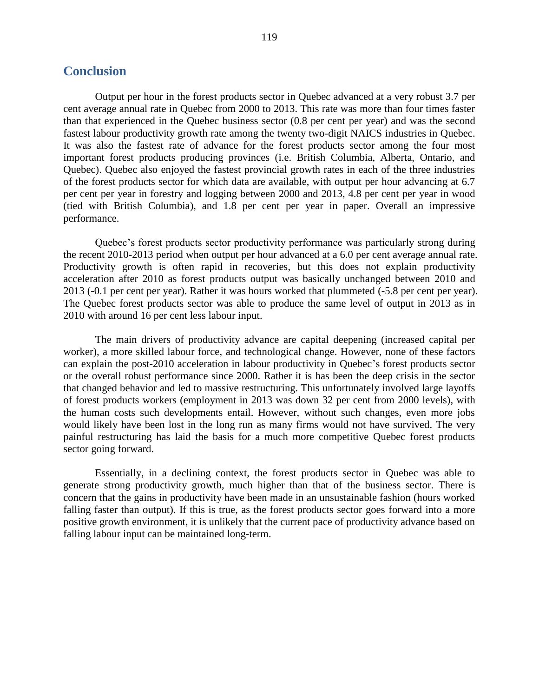#### **Conclusion**

Output per hour in the forest products sector in Quebec advanced at a very robust 3.7 per cent average annual rate in Quebec from 2000 to 2013. This rate was more than four times faster than that experienced in the Quebec business sector (0.8 per cent per year) and was the second fastest labour productivity growth rate among the twenty two-digit NAICS industries in Quebec. It was also the fastest rate of advance for the forest products sector among the four most important forest products producing provinces (i.e. British Columbia, Alberta, Ontario, and Quebec). Quebec also enjoyed the fastest provincial growth rates in each of the three industries of the forest products sector for which data are available, with output per hour advancing at 6.7 per cent per year in forestry and logging between 2000 and 2013, 4.8 per cent per year in wood (tied with British Columbia), and 1.8 per cent per year in paper. Overall an impressive performance.

Quebec's forest products sector productivity performance was particularly strong during the recent 2010-2013 period when output per hour advanced at a 6.0 per cent average annual rate. Productivity growth is often rapid in recoveries, but this does not explain productivity acceleration after 2010 as forest products output was basically unchanged between 2010 and 2013 (-0.1 per cent per year). Rather it was hours worked that plummeted (-5.8 per cent per year). The Quebec forest products sector was able to produce the same level of output in 2013 as in 2010 with around 16 per cent less labour input.

The main drivers of productivity advance are capital deepening (increased capital per worker), a more skilled labour force, and technological change. However, none of these factors can explain the post-2010 acceleration in labour productivity in Quebec's forest products sector or the overall robust performance since 2000. Rather it is has been the deep crisis in the sector that changed behavior and led to massive restructuring. This unfortunately involved large layoffs of forest products workers (employment in 2013 was down 32 per cent from 2000 levels), with the human costs such developments entail. However, without such changes, even more jobs would likely have been lost in the long run as many firms would not have survived. The very painful restructuring has laid the basis for a much more competitive Quebec forest products sector going forward.

Essentially, in a declining context, the forest products sector in Quebec was able to generate strong productivity growth, much higher than that of the business sector. There is concern that the gains in productivity have been made in an unsustainable fashion (hours worked falling faster than output). If this is true, as the forest products sector goes forward into a more positive growth environment, it is unlikely that the current pace of productivity advance based on falling labour input can be maintained long-term.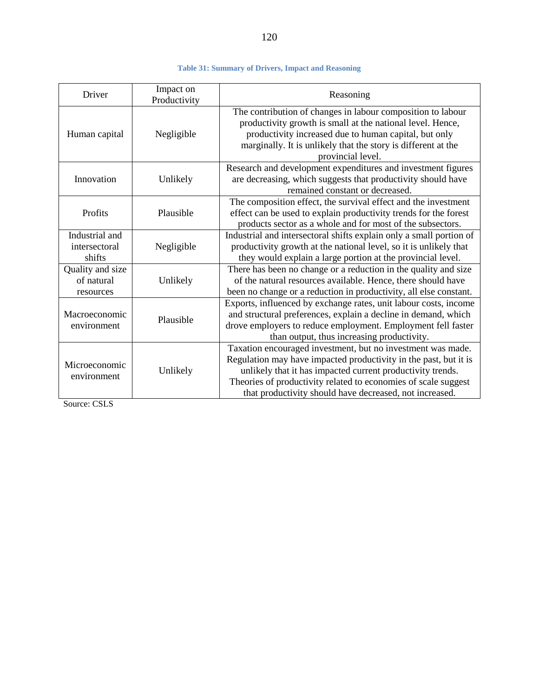#### **Table 31: Summary of Drivers, Impact and Reasoning**

| Driver                                      | Impact on<br>Productivity | Reasoning                                                                                                                                                                                                                                                                                                                  |
|---------------------------------------------|---------------------------|----------------------------------------------------------------------------------------------------------------------------------------------------------------------------------------------------------------------------------------------------------------------------------------------------------------------------|
| Human capital                               | Negligible                | The contribution of changes in labour composition to labour<br>productivity growth is small at the national level. Hence,<br>productivity increased due to human capital, but only<br>marginally. It is unlikely that the story is different at the<br>provincial level.                                                   |
| Innovation                                  | Unlikely                  | Research and development expenditures and investment figures<br>are decreasing, which suggests that productivity should have<br>remained constant or decreased.                                                                                                                                                            |
| Profits                                     | Plausible                 | The composition effect, the survival effect and the investment<br>effect can be used to explain productivity trends for the forest<br>products sector as a whole and for most of the subsectors.                                                                                                                           |
| Industrial and<br>intersectoral<br>shifts   | Negligible                | Industrial and intersectoral shifts explain only a small portion of<br>productivity growth at the national level, so it is unlikely that<br>they would explain a large portion at the provincial level.                                                                                                                    |
| Quality and size<br>of natural<br>resources | Unlikely                  | There has been no change or a reduction in the quality and size<br>of the natural resources available. Hence, there should have<br>been no change or a reduction in productivity, all else constant.                                                                                                                       |
| Macroeconomic<br>environment                | Plausible                 | Exports, influenced by exchange rates, unit labour costs, income<br>and structural preferences, explain a decline in demand, which<br>drove employers to reduce employment. Employment fell faster<br>than output, thus increasing productivity.                                                                           |
| Microeconomic<br>environment                | Unlikely                  | Taxation encouraged investment, but no investment was made.<br>Regulation may have impacted productivity in the past, but it is<br>unlikely that it has impacted current productivity trends.<br>Theories of productivity related to economies of scale suggest<br>that productivity should have decreased, not increased. |

Source: CSLS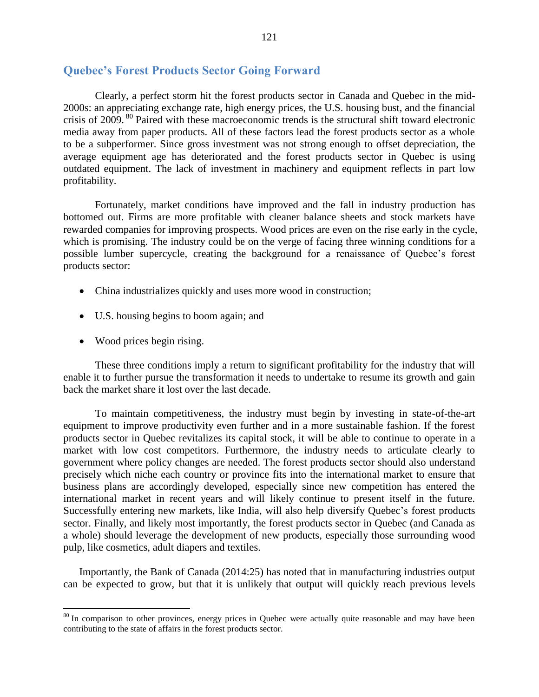#### **Quebec's Forest Products Sector Going Forward**

Clearly, a perfect storm hit the forest products sector in Canada and Quebec in the mid-2000s: an appreciating exchange rate, high energy prices, the U.S. housing bust, and the financial crisis of 2009.<sup>80</sup> Paired with these macroeconomic trends is the structural shift toward electronic media away from paper products. All of these factors lead the forest products sector as a whole to be a subperformer. Since gross investment was not strong enough to offset depreciation, the average equipment age has deteriorated and the forest products sector in Quebec is using outdated equipment. The lack of investment in machinery and equipment reflects in part low profitability.

Fortunately, market conditions have improved and the fall in industry production has bottomed out. Firms are more profitable with cleaner balance sheets and stock markets have rewarded companies for improving prospects. Wood prices are even on the rise early in the cycle, which is promising. The industry could be on the verge of facing three winning conditions for a possible lumber supercycle, creating the background for a renaissance of Quebec's forest products sector:

- China industrializes quickly and uses more wood in construction;
- U.S. housing begins to boom again; and
- Wood prices begin rising.

 $\overline{a}$ 

These three conditions imply a return to significant profitability for the industry that will enable it to further pursue the transformation it needs to undertake to resume its growth and gain back the market share it lost over the last decade.

To maintain competitiveness, the industry must begin by investing in state-of-the-art equipment to improve productivity even further and in a more sustainable fashion. If the forest products sector in Quebec revitalizes its capital stock, it will be able to continue to operate in a market with low cost competitors. Furthermore, the industry needs to articulate clearly to government where policy changes are needed. The forest products sector should also understand precisely which niche each country or province fits into the international market to ensure that business plans are accordingly developed, especially since new competition has entered the international market in recent years and will likely continue to present itself in the future. Successfully entering new markets, like India, will also help diversify Quebec's forest products sector. Finally, and likely most importantly, the forest products sector in Quebec (and Canada as a whole) should leverage the development of new products, especially those surrounding wood pulp, like cosmetics, adult diapers and textiles.

Importantly, the Bank of Canada (2014:25) has noted that in manufacturing industries output can be expected to grow, but that it is unlikely that output will quickly reach previous levels

 $80$  In comparison to other provinces, energy prices in Quebec were actually quite reasonable and may have been contributing to the state of affairs in the forest products sector.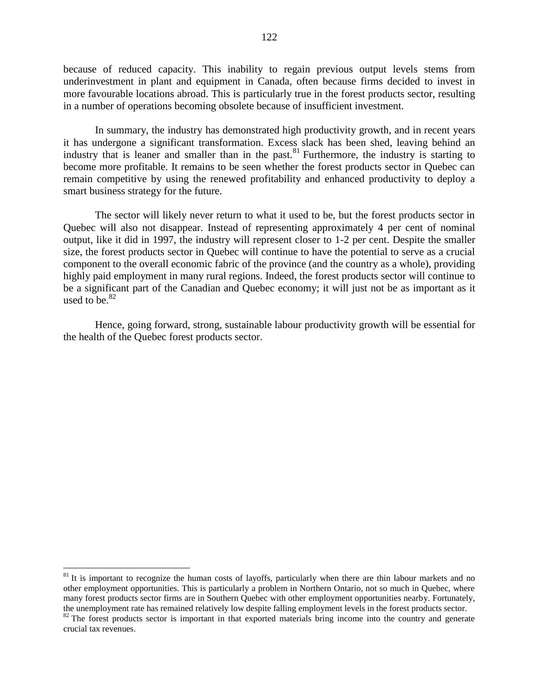because of reduced capacity. This inability to regain previous output levels stems from underinvestment in plant and equipment in Canada, often because firms decided to invest in more favourable locations abroad. This is particularly true in the forest products sector, resulting in a number of operations becoming obsolete because of insufficient investment.

In summary, the industry has demonstrated high productivity growth, and in recent years it has undergone a significant transformation. Excess slack has been shed, leaving behind an industry that is leaner and smaller than in the past. <sup>81</sup> Furthermore, the industry is starting to become more profitable. It remains to be seen whether the forest products sector in Quebec can remain competitive by using the renewed profitability and enhanced productivity to deploy a smart business strategy for the future.

The sector will likely never return to what it used to be, but the forest products sector in Quebec will also not disappear. Instead of representing approximately 4 per cent of nominal output, like it did in 1997, the industry will represent closer to 1-2 per cent. Despite the smaller size, the forest products sector in Quebec will continue to have the potential to serve as a crucial component to the overall economic fabric of the province (and the country as a whole), providing highly paid employment in many rural regions. Indeed, the forest products sector will continue to be a significant part of the Canadian and Quebec economy; it will just not be as important as it used to be. $82$ 

Hence, going forward, strong, sustainable labour productivity growth will be essential for the health of the Quebec forest products sector.

 $\overline{a}$ 

 $81$  It is important to recognize the human costs of layoffs, particularly when there are thin labour markets and no other employment opportunities. This is particularly a problem in Northern Ontario, not so much in Quebec, where many forest products sector firms are in Southern Quebec with other employment opportunities nearby. Fortunately, the unemployment rate has remained relatively low despite falling employment levels in the forest products sector.

<sup>&</sup>lt;sup>82</sup> The forest products sector is important in that exported materials bring income into the country and generate crucial tax revenues.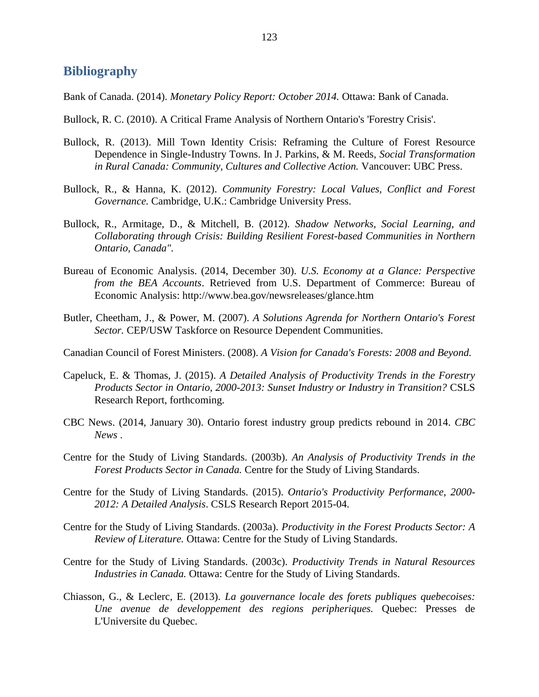## **Bibliography**

Bank of Canada. (2014). *Monetary Policy Report: October 2014.* Ottawa: Bank of Canada.

- Bullock, R. C. (2010). A Critical Frame Analysis of Northern Ontario's 'Forestry Crisis'.
- Bullock, R. (2013). Mill Town Identity Crisis: Reframing the Culture of Forest Resource Dependence in Single-Industry Towns. In J. Parkins, & M. Reeds, *Social Transformation in Rural Canada: Community, Cultures and Collective Action.* Vancouver: UBC Press.
- Bullock, R., & Hanna, K. (2012). *Community Forestry: Local Values, Conflict and Forest Governance.* Cambridge, U.K.: Cambridge University Press.
- Bullock, R., Armitage, D., & Mitchell, B. (2012). *Shadow Networks, Social Learning, and Collaborating through Crisis: Building Resilient Forest-based Communities in Northern Ontario, Canada".*
- Bureau of Economic Analysis. (2014, December 30). *U.S. Economy at a Glance: Perspective from the BEA Accounts*. Retrieved from U.S. Department of Commerce: Bureau of Economic Analysis: http://www.bea.gov/newsreleases/glance.htm
- Butler, Cheetham, J., & Power, M. (2007). *A Solutions Agrenda for Northern Ontario's Forest Sector.* CEP/USW Taskforce on Resource Dependent Communities.
- Canadian Council of Forest Ministers. (2008). *A Vision for Canada's Forests: 2008 and Beyond.*
- Capeluck, E. & Thomas, J. (2015). *A Detailed Analysis of Productivity Trends in the Forestry Products Sector in Ontario, 2000-2013: Sunset Industry or Industry in Transition?* CSLS Research Report, forthcoming.
- CBC News. (2014, January 30). Ontario forest industry group predicts rebound in 2014. *CBC News* .
- Centre for the Study of Living Standards. (2003b). *An Analysis of Productivity Trends in the Forest Products Sector in Canada.* Centre for the Study of Living Standards.
- Centre for the Study of Living Standards. (2015). *Ontario's Productivity Performance, 2000- 2012: A Detailed Analysis*. CSLS Research Report 2015-04.
- Centre for the Study of Living Standards. (2003a). *Productivity in the Forest Products Sector: A Review of Literature.* Ottawa: Centre for the Study of Living Standards.
- Centre for the Study of Living Standards. (2003c). *Productivity Trends in Natural Resources Industries in Canada.* Ottawa: Centre for the Study of Living Standards.
- Chiasson, G., & Leclerc, E. (2013). *La gouvernance locale des forets publiques quebecoises: Une avenue de developpement des regions peripheriques.* Quebec: Presses de L'Universite du Quebec.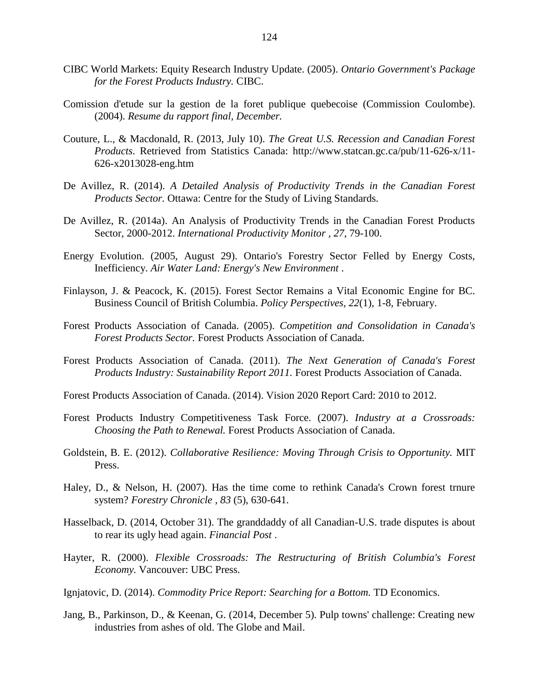- CIBC World Markets: Equity Research Industry Update. (2005). *Ontario Government's Package for the Forest Products Industry.* CIBC.
- Comission d'etude sur la gestion de la foret publique quebecoise (Commission Coulombe). (2004). *Resume du rapport final, December.*
- Couture, L., & Macdonald, R. (2013, July 10). *The Great U.S. Recession and Canadian Forest Products*. Retrieved from Statistics Canada: http://www.statcan.gc.ca/pub/11-626-x/11- 626-x2013028-eng.htm
- De Avillez, R. (2014). *A Detailed Analysis of Productivity Trends in the Canadian Forest Products Sector.* Ottawa: Centre for the Study of Living Standards.
- De Avillez, R. (2014a). An Analysis of Productivity Trends in the Canadian Forest Products Sector, 2000-2012. *International Productivity Monitor , 27*, 79-100.
- Energy Evolution. (2005, August 29). Ontario's Forestry Sector Felled by Energy Costs, Inefficiency. *Air Water Land: Energy's New Environment* .
- Finlayson, J. & Peacock, K. (2015). Forest Sector Remains a Vital Economic Engine for BC. Business Council of British Columbia. *Policy Perspectives, 22*(1), 1-8, February.
- Forest Products Association of Canada. (2005). *Competition and Consolidation in Canada's Forest Products Sector.* Forest Products Association of Canada.
- Forest Products Association of Canada. (2011). *The Next Generation of Canada's Forest Products Industry: Sustainability Report 2011.* Forest Products Association of Canada.
- Forest Products Association of Canada. (2014). Vision 2020 Report Card: 2010 to 2012.
- Forest Products Industry Competitiveness Task Force. (2007). *Industry at a Crossroads: Choosing the Path to Renewal.* Forest Products Association of Canada.
- Goldstein, B. E. (2012). *Collaborative Resilience: Moving Through Crisis to Opportunity.* MIT Press.
- Haley, D., & Nelson, H. (2007). Has the time come to rethink Canada's Crown forest trnure system? *Forestry Chronicle , 83* (5), 630-641.
- Hasselback, D. (2014, October 31). The granddaddy of all Canadian-U.S. trade disputes is about to rear its ugly head again. *Financial Post* .
- Hayter, R. (2000). *Flexible Crossroads: The Restructuring of British Columbia's Forest Economy.* Vancouver: UBC Press.
- Ignjatovic, D. (2014). *Commodity Price Report: Searching for a Bottom.* TD Economics.
- Jang, B., Parkinson, D., & Keenan, G. (2014, December 5). Pulp towns' challenge: Creating new industries from ashes of old. The Globe and Mail.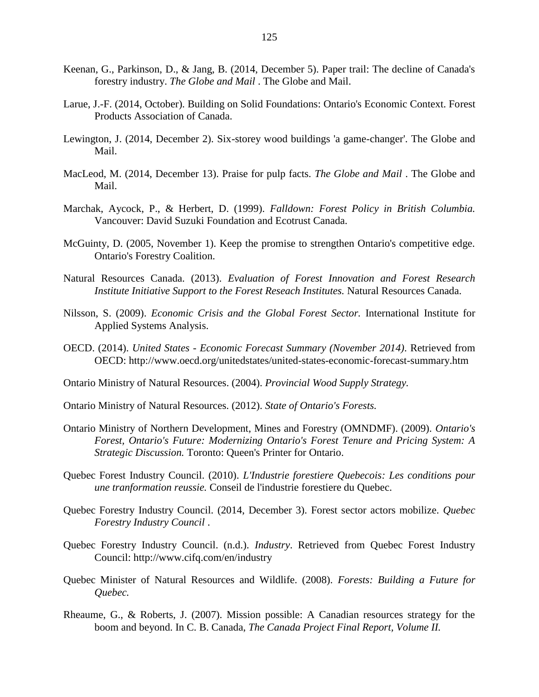- Keenan, G., Parkinson, D., & Jang, B. (2014, December 5). Paper trail: The decline of Canada's forestry industry. *The Globe and Mail* . The Globe and Mail.
- Larue, J.-F. (2014, October). Building on Solid Foundations: Ontario's Economic Context. Forest Products Association of Canada.
- Lewington, J. (2014, December 2). Six-storey wood buildings 'a game-changer'. The Globe and Mail.
- MacLeod, M. (2014, December 13). Praise for pulp facts. *The Globe and Mail* . The Globe and Mail.
- Marchak, Aycock, P., & Herbert, D. (1999). *Falldown: Forest Policy in British Columbia.* Vancouver: David Suzuki Foundation and Ecotrust Canada.
- McGuinty, D. (2005, November 1). Keep the promise to strengthen Ontario's competitive edge. Ontario's Forestry Coalition.
- Natural Resources Canada. (2013). *Evaluation of Forest Innovation and Forest Research Institute Initiative Support to the Forest Reseach Institutes.* Natural Resources Canada.
- Nilsson, S. (2009). *Economic Crisis and the Global Forest Sector.* International Institute for Applied Systems Analysis.
- OECD. (2014). *United States - Economic Forecast Summary (November 2014)*. Retrieved from OECD: http://www.oecd.org/unitedstates/united-states-economic-forecast-summary.htm
- Ontario Ministry of Natural Resources. (2004). *Provincial Wood Supply Strategy.*
- Ontario Ministry of Natural Resources. (2012). *State of Ontario's Forests.*
- Ontario Ministry of Northern Development, Mines and Forestry (OMNDMF). (2009). *Ontario's Forest, Ontario's Future: Modernizing Ontario's Forest Tenure and Pricing System: A Strategic Discussion.* Toronto: Queen's Printer for Ontario.
- Quebec Forest Industry Council. (2010). *L'Industrie forestiere Quebecois: Les conditions pour une tranformation reussie.* Conseil de l'industrie forestiere du Quebec.
- Quebec Forestry Industry Council. (2014, December 3). Forest sector actors mobilize. *Quebec Forestry Industry Council* .
- Quebec Forestry Industry Council. (n.d.). *Industry*. Retrieved from Quebec Forest Industry Council: http://www.cifq.com/en/industry
- Quebec Minister of Natural Resources and Wildlife. (2008). *Forests: Building a Future for Quebec.*
- Rheaume, G., & Roberts, J. (2007). Mission possible: A Canadian resources strategy for the boom and beyond. In C. B. Canada, *The Canada Project Final Report, Volume II.*